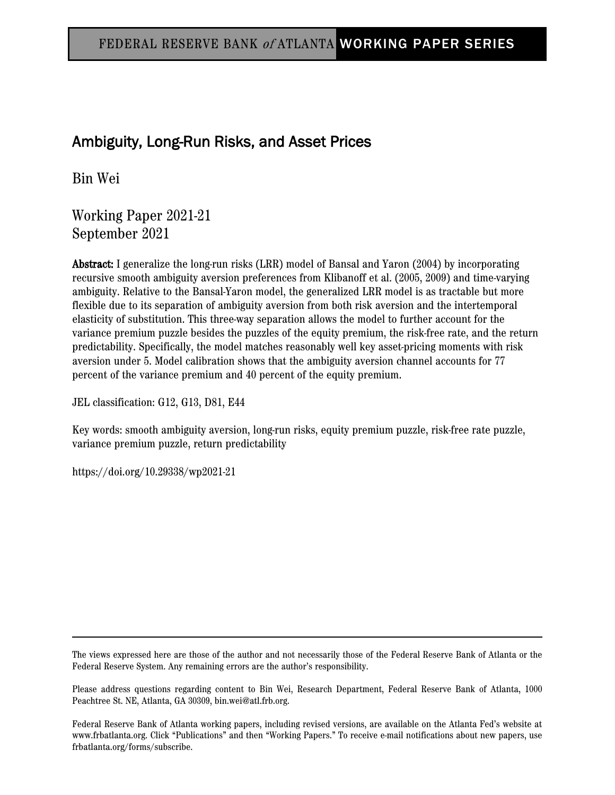# Ambiguity, Long-Run Risks, and Asset Prices

Bin Wei

Working Paper 2021-21 September 2021

Abstract: I generalize the long-run risks (LRR) model of Bansal and Yaron (2004) by incorporating recursive smooth ambiguity aversion preferences from Klibanoff et al. (2005, 2009) and time-varying ambiguity. Relative to the Bansal-Yaron model, the generalized LRR model is as tractable but more flexible due to its separation of ambiguity aversion from both risk aversion and the intertemporal elasticity of substitution. This three-way separation allows the model to further account for the variance premium puzzle besides the puzzles of the equity premium, the risk-free rate, and the return predictability. Specifically, the model matches reasonably well key asset-pricing moments with risk aversion under 5. Model calibration shows that the ambiguity aversion channel accounts for 77 percent of the variance premium and 40 percent of the equity premium.

JEL classification: G12, G13, D81, E44

Key words: smooth ambiguity aversion, long-run risks, equity premium puzzle, risk-free rate puzzle, variance premium puzzle, return predictability

https://doi.org/10.29338/wp2021-21

The views expressed here are those of the author and not necessarily those of the Federal Reserve Bank of Atlanta or the Federal Reserve System. Any remaining errors are the author's responsibility.

Please address questions regarding content to Bin Wei, Research Department, Federal Reserve Bank of Atlanta, 1000 Peachtree St. NE, Atlanta, GA 30309, bin.wei@atl.frb.org.

Federal Reserve Bank of Atlanta working papers, including revised versions, are available on the Atlanta Fed's website at www.frbatlanta.org. Click "Publications" and then "Working Papers." To receive e-mail notifications about new papers, use frbatlanta.org/forms/subscribe.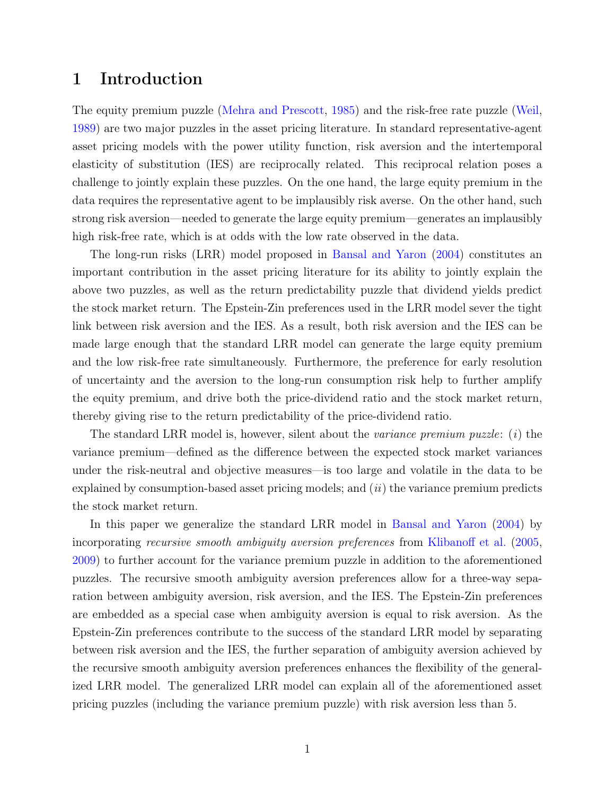### 1 Introduction

The equity premium puzzle [\(Mehra and Prescott,](#page-28-0) [1985\)](#page-28-0) and the risk-free rate puzzle [\(Weil,](#page-29-0) [1989\)](#page-29-0) are two major puzzles in the asset pricing literature. In standard representative-agent asset pricing models with the power utility function, risk aversion and the intertemporal elasticity of substitution (IES) are reciprocally related. This reciprocal relation poses a challenge to jointly explain these puzzles. On the one hand, the large equity premium in the data requires the representative agent to be implausibly risk averse. On the other hand, such strong risk aversion—needed to generate the large equity premium—generates an implausibly high risk-free rate, which is at odds with the low rate observed in the data.

The long-run risks (LRR) model proposed in [Bansal and Yaron](#page-26-0) [\(2004\)](#page-26-0) constitutes an important contribution in the asset pricing literature for its ability to jointly explain the above two puzzles, as well as the return predictability puzzle that dividend yields predict the stock market return. The Epstein-Zin preferences used in the LRR model sever the tight link between risk aversion and the IES. As a result, both risk aversion and the IES can be made large enough that the standard LRR model can generate the large equity premium and the low risk-free rate simultaneously. Furthermore, the preference for early resolution of uncertainty and the aversion to the long-run consumption risk help to further amplify the equity premium, and drive both the price-dividend ratio and the stock market return, thereby giving rise to the return predictability of the price-dividend ratio.

The standard LRR model is, however, silent about the *variance premium puzzle*: (*i*) the variance premium—defined as the difference between the expected stock market variances under the risk-neutral and objective measures—is too large and volatile in the data to be explained by consumption-based asset pricing models; and  $(ii)$  the variance premium predicts the stock market return.

In this paper we generalize the standard LRR model in [Bansal and Yaron](#page-26-0) [\(2004\)](#page-26-0) by incorporating recursive smooth ambiguity aversion preferences from [Klibanoff et al.](#page-28-1) [\(2005,](#page-28-1) [2009\)](#page-28-2) to further account for the variance premium puzzle in addition to the aforementioned puzzles. The recursive smooth ambiguity aversion preferences allow for a three-way separation between ambiguity aversion, risk aversion, and the IES. The Epstein-Zin preferences are embedded as a special case when ambiguity aversion is equal to risk aversion. As the Epstein-Zin preferences contribute to the success of the standard LRR model by separating between risk aversion and the IES, the further separation of ambiguity aversion achieved by the recursive smooth ambiguity aversion preferences enhances the flexibility of the generalized LRR model. The generalized LRR model can explain all of the aforementioned asset pricing puzzles (including the variance premium puzzle) with risk aversion less than 5.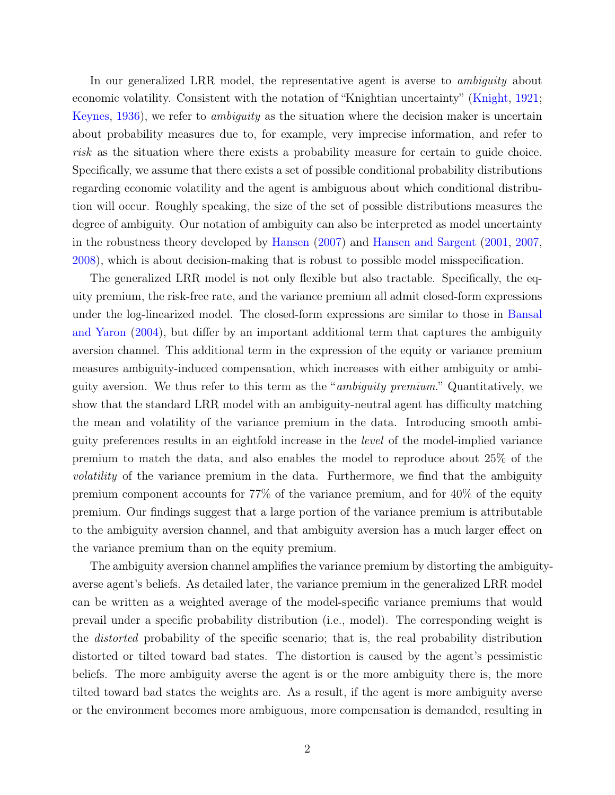In our generalized LRR model, the representative agent is averse to *ambiguity* about economic volatility. Consistent with the notation of "Knightian uncertainty" [\(Knight,](#page-28-3) [1921;](#page-28-3) [Keynes,](#page-28-4) [1936\)](#page-28-4), we refer to ambiguity as the situation where the decision maker is uncertain about probability measures due to, for example, very imprecise information, and refer to risk as the situation where there exists a probability measure for certain to guide choice. Specifically, we assume that there exists a set of possible conditional probability distributions regarding economic volatility and the agent is ambiguous about which conditional distribution will occur. Roughly speaking, the size of the set of possible distributions measures the degree of ambiguity. Our notation of ambiguity can also be interpreted as model uncertainty in the robustness theory developed by [Hansen](#page-27-0) [\(2007\)](#page-27-0) and [Hansen and Sargent](#page-27-1) [\(2001,](#page-27-1) [2007,](#page-27-2) [2008\)](#page-28-5), which is about decision-making that is robust to possible model misspecification.

The generalized LRR model is not only flexible but also tractable. Specifically, the equity premium, the risk-free rate, and the variance premium all admit closed-form expressions under the log-linearized model. The closed-form expressions are similar to those in [Bansal](#page-26-0) [and Yaron](#page-26-0) [\(2004\)](#page-26-0), but differ by an important additional term that captures the ambiguity aversion channel. This additional term in the expression of the equity or variance premium measures ambiguity-induced compensation, which increases with either ambiguity or ambiguity aversion. We thus refer to this term as the "ambiguity premium." Quantitatively, we show that the standard LRR model with an ambiguity-neutral agent has difficulty matching the mean and volatility of the variance premium in the data. Introducing smooth ambiguity preferences results in an eightfold increase in the level of the model-implied variance premium to match the data, and also enables the model to reproduce about 25% of the volatility of the variance premium in the data. Furthermore, we find that the ambiguity premium component accounts for 77% of the variance premium, and for 40% of the equity premium. Our findings suggest that a large portion of the variance premium is attributable to the ambiguity aversion channel, and that ambiguity aversion has a much larger effect on the variance premium than on the equity premium.

The ambiguity aversion channel amplifies the variance premium by distorting the ambiguityaverse agent's beliefs. As detailed later, the variance premium in the generalized LRR model can be written as a weighted average of the model-specific variance premiums that would prevail under a specific probability distribution (i.e., model). The corresponding weight is the *distorted* probability of the specific scenario; that is, the real probability distribution distorted or tilted toward bad states. The distortion is caused by the agent's pessimistic beliefs. The more ambiguity averse the agent is or the more ambiguity there is, the more tilted toward bad states the weights are. As a result, if the agent is more ambiguity averse or the environment becomes more ambiguous, more compensation is demanded, resulting in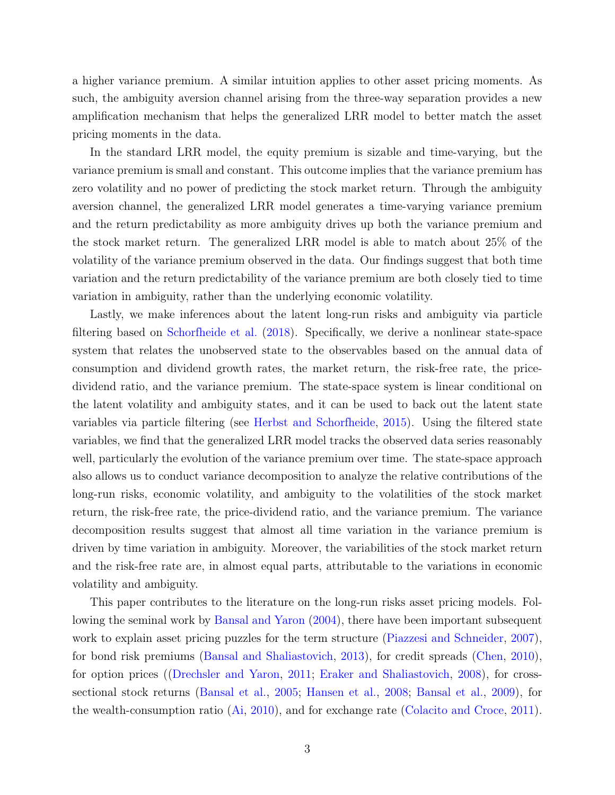a higher variance premium. A similar intuition applies to other asset pricing moments. As such, the ambiguity aversion channel arising from the three-way separation provides a new amplification mechanism that helps the generalized LRR model to better match the asset pricing moments in the data.

In the standard LRR model, the equity premium is sizable and time-varying, but the variance premium is small and constant. This outcome implies that the variance premium has zero volatility and no power of predicting the stock market return. Through the ambiguity aversion channel, the generalized LRR model generates a time-varying variance premium and the return predictability as more ambiguity drives up both the variance premium and the stock market return. The generalized LRR model is able to match about 25% of the volatility of the variance premium observed in the data. Our findings suggest that both time variation and the return predictability of the variance premium are both closely tied to time variation in ambiguity, rather than the underlying economic volatility.

Lastly, we make inferences about the latent long-run risks and ambiguity via particle filtering based on [Schorfheide et al.](#page-29-1) [\(2018\)](#page-29-1). Specifically, we derive a nonlinear state-space system that relates the unobserved state to the observables based on the annual data of consumption and dividend growth rates, the market return, the risk-free rate, the pricedividend ratio, and the variance premium. The state-space system is linear conditional on the latent volatility and ambiguity states, and it can be used to back out the latent state variables via particle filtering (see [Herbst and Schorfheide,](#page-28-6) [2015\)](#page-28-6). Using the filtered state variables, we find that the generalized LRR model tracks the observed data series reasonably well, particularly the evolution of the variance premium over time. The state-space approach also allows us to conduct variance decomposition to analyze the relative contributions of the long-run risks, economic volatility, and ambiguity to the volatilities of the stock market return, the risk-free rate, the price-dividend ratio, and the variance premium. The variance decomposition results suggest that almost all time variation in the variance premium is driven by time variation in ambiguity. Moreover, the variabilities of the stock market return and the risk-free rate are, in almost equal parts, attributable to the variations in economic volatility and ambiguity.

This paper contributes to the literature on the long-run risks asset pricing models. Following the seminal work by [Bansal and Yaron](#page-26-0) [\(2004\)](#page-26-0), there have been important subsequent work to explain asset pricing puzzles for the term structure [\(Piazzesi and Schneider,](#page-28-7) [2007\)](#page-28-7), for bond risk premiums [\(Bansal and Shaliastovich,](#page-26-1) [2013\)](#page-26-1), for credit spreads [\(Chen,](#page-27-3) [2010\)](#page-27-3), for option prices ([\(Drechsler and Yaron,](#page-27-4) [2011;](#page-27-4) [Eraker and Shaliastovich,](#page-27-5) [2008\)](#page-27-5), for crosssectional stock returns [\(Bansal et al.,](#page-26-2) [2005;](#page-26-2) [Hansen et al.,](#page-27-6) [2008;](#page-27-6) [Bansal et al.,](#page-26-3) [2009\)](#page-26-3), for the wealth-consumption ratio [\(Ai,](#page-26-4) [2010\)](#page-26-4), and for exchange rate [\(Colacito and Croce,](#page-27-7) [2011\)](#page-27-7).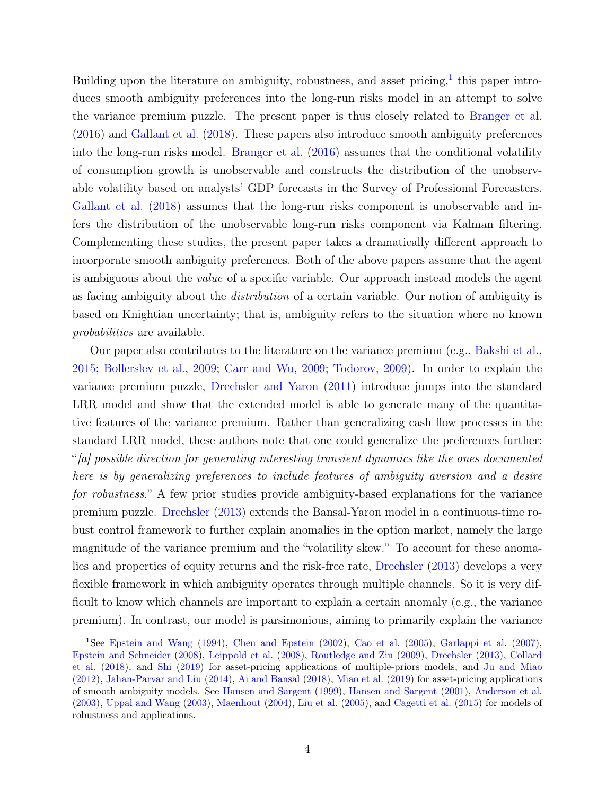Building upon the literature on ambiguity, robustness, and asset pricing,  $1$  this paper introduces smooth ambiguity preferences into the long-run risks model in an attempt to solve the variance premium puzzle. The present paper is thus closely related to [Branger et al.](#page-26-5) [\(2016\)](#page-26-5) and [Gallant et al.](#page-27-8) [\(2018\)](#page-27-8). These papers also introduce smooth ambiguity preferences into the long-run risks model. [Branger et al.](#page-26-5) [\(2016\)](#page-26-5) assumes that the conditional volatility of consumption growth is unobservable and constructs the distribution of the unobservable volatility based on analysts' GDP forecasts in the Survey of Professional Forecasters. [Gallant et al.](#page-27-8) [\(2018\)](#page-27-8) assumes that the long-run risks component is unobservable and infers the distribution of the unobservable long-run risks component via Kalman filtering. Complementing these studies, the present paper takes a dramatically different approach to incorporate smooth ambiguity preferences. Both of the above papers assume that the agent is ambiguous about the value of a specific variable. Our approach instead models the agent as facing ambiguity about the distribution of a certain variable. Our notion of ambiguity is based on Knightian uncertainty; that is, ambiguity refers to the situation where no known probabilities are available.

Our paper also contributes to the literature on the variance premium (e.g., [Bakshi et al.,](#page-26-6) [2015;](#page-26-6) [Bollerslev et al.,](#page-26-7) [2009;](#page-26-7) [Carr and Wu,](#page-27-9) [2009;](#page-27-9) [Todorov,](#page-29-2) [2009\)](#page-29-2). In order to explain the variance premium puzzle, [Drechsler and Yaron](#page-27-4) [\(2011\)](#page-27-4) introduce jumps into the standard LRR model and show that the extended model is able to generate many of the quantitative features of the variance premium. Rather than generalizing cash flow processes in the standard LRR model, these authors note that one could generalize the preferences further: "[a] possible direction for generating interesting transient dynamics like the ones documented here is by generalizing preferences to include features of ambiguity aversion and a desire for robustness." A few prior studies provide ambiguity-based explanations for the variance premium puzzle. [Drechsler](#page-27-10) [\(2013\)](#page-27-10) extends the Bansal-Yaron model in a continuous-time robust control framework to further explain anomalies in the option market, namely the large magnitude of the variance premium and the "volatility skew." To account for these anomalies and properties of equity returns and the risk-free rate, [Drechsler](#page-27-10) [\(2013\)](#page-27-10) develops a very flexible framework in which ambiguity operates through multiple channels. So it is very difficult to know which channels are important to explain a certain anomaly (e.g., the variance premium). In contrast, our model is parsimonious, aiming to primarily explain the variance

<span id="page-4-0"></span><sup>1</sup>See [Epstein and Wang](#page-27-11) [\(1994\)](#page-27-11), [Chen and Epstein](#page-27-12) [\(2002\)](#page-27-12), [Cao et al.](#page-26-8) [\(2005\)](#page-26-8), [Garlappi et al.](#page-27-13) [\(2007\)](#page-27-13), [Epstein and Schneider](#page-27-14) [\(2008\)](#page-27-14), [Leippold et al.](#page-28-8) [\(2008\)](#page-28-8), [Routledge and Zin](#page-28-9) [\(2009\)](#page-28-9), [Drechsler](#page-27-10) [\(2013\)](#page-27-10), [Collard](#page-27-15) [et al.](#page-27-15) [\(2018\)](#page-27-15), and [Shi](#page-29-3) [\(2019\)](#page-29-3) for asset-pricing applications of multiple-priors models, and [Ju and Miao](#page-28-10) [\(2012\)](#page-28-10), [Jahan-Parvar and Liu](#page-28-11) [\(2014\)](#page-28-11), [Ai and Bansal](#page-26-9) [\(2018\)](#page-26-9), [Miao et al.](#page-28-12) [\(2019\)](#page-28-12) for asset-pricing applications of smooth ambiguity models. See [Hansen and Sargent](#page-27-16) [\(1999\)](#page-27-16), [Hansen and Sargent](#page-27-1) [\(2001\)](#page-27-1), [Anderson et al.](#page-26-10) [\(2003\)](#page-26-10), [Uppal and Wang](#page-29-4) [\(2003\)](#page-29-4), [Maenhout](#page-28-13) [\(2004\)](#page-28-13), [Liu et al.](#page-28-14) [\(2005\)](#page-28-14), and [Cagetti et al.](#page-26-11) [\(2015\)](#page-26-11) for models of robustness and applications.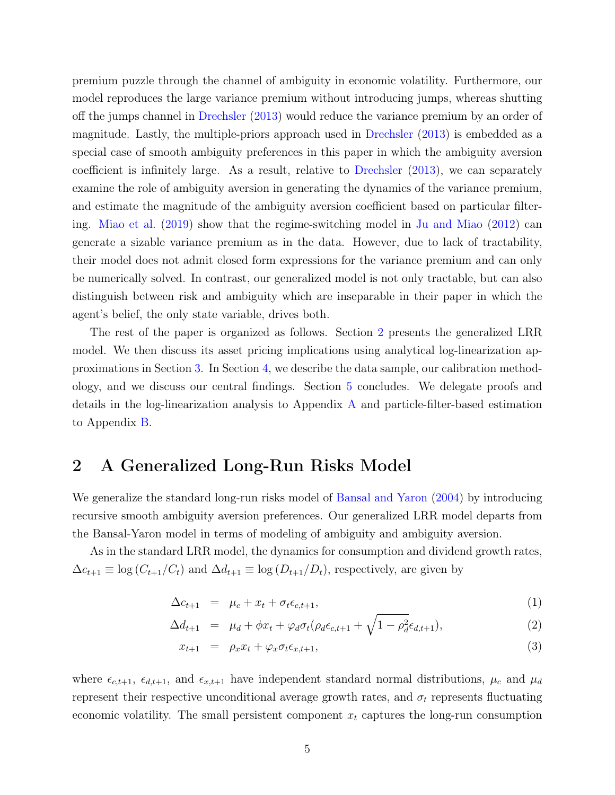premium puzzle through the channel of ambiguity in economic volatility. Furthermore, our model reproduces the large variance premium without introducing jumps, whereas shutting off the jumps channel in [Drechsler](#page-27-10) [\(2013\)](#page-27-10) would reduce the variance premium by an order of magnitude. Lastly, the multiple-priors approach used in [Drechsler](#page-27-10) [\(2013\)](#page-27-10) is embedded as a special case of smooth ambiguity preferences in this paper in which the ambiguity aversion coefficient is infinitely large. As a result, relative to [Drechsler](#page-27-10) [\(2013\)](#page-27-10), we can separately examine the role of ambiguity aversion in generating the dynamics of the variance premium, and estimate the magnitude of the ambiguity aversion coefficient based on particular filtering. [Miao et al.](#page-28-12) [\(2019\)](#page-28-12) show that the regime-switching model in [Ju and Miao](#page-28-10) [\(2012\)](#page-28-10) can generate a sizable variance premium as in the data. However, due to lack of tractability, their model does not admit closed form expressions for the variance premium and can only be numerically solved. In contrast, our generalized model is not only tractable, but can also distinguish between risk and ambiguity which are inseparable in their paper in which the agent's belief, the only state variable, drives both.

The rest of the paper is organized as follows. Section [2](#page-5-0) presents the generalized LRR model. We then discuss its asset pricing implications using analytical log-linearization approximations in Section [3.](#page-9-0) In Section [4,](#page-16-0) we describe the data sample, our calibration methodology, and we discuss our central findings. Section [5](#page-24-0) concludes. We delegate proofs and details in the log-linearization analysis to Appendix [A](#page-30-0) and particle-filter-based estimation to Appendix [B.](#page-40-0)

### <span id="page-5-0"></span>2 A Generalized Long-Run Risks Model

We generalize the standard long-run risks model of [Bansal and Yaron](#page-26-0) [\(2004\)](#page-26-0) by introducing recursive smooth ambiguity aversion preferences. Our generalized LRR model departs from the Bansal-Yaron model in terms of modeling of ambiguity and ambiguity aversion.

As in the standard LRR model, the dynamics for consumption and dividend growth rates,  $\Delta c_{t+1} \equiv \log (C_{t+1}/C_t)$  and  $\Delta d_{t+1} \equiv \log (D_{t+1}/D_t)$ , respectively, are given by

$$
\Delta c_{t+1} = \mu_c + x_t + \sigma_t \epsilon_{c,t+1}, \tag{1}
$$

$$
\Delta d_{t+1} = \mu_d + \phi x_t + \varphi_d \sigma_t (\rho_d \epsilon_{c,t+1} + \sqrt{1 - \rho_d^2} \epsilon_{d,t+1}), \tag{2}
$$

$$
x_{t+1} = \rho_x x_t + \varphi_x \sigma_t \epsilon_{x,t+1}, \tag{3}
$$

where  $\epsilon_{c,t+1}$ ,  $\epsilon_{d,t+1}$ , and  $\epsilon_{x,t+1}$  have independent standard normal distributions,  $\mu_c$  and  $\mu_d$ represent their respective unconditional average growth rates, and  $\sigma_t$  represents fluctuating economic volatility. The small persistent component  $x_t$  captures the long-run consumption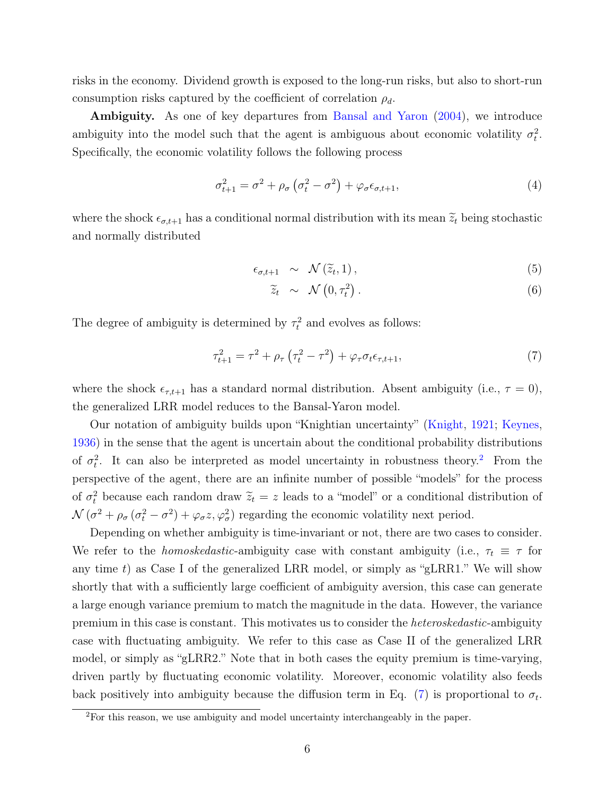risks in the economy. Dividend growth is exposed to the long-run risks, but also to short-run consumption risks captured by the coefficient of correlation  $\rho_d$ .

Ambiguity. As one of key departures from [Bansal and Yaron](#page-26-0) [\(2004\)](#page-26-0), we introduce ambiguity into the model such that the agent is ambiguous about economic volatility  $\sigma_t^2$ . Specifically, the economic volatility follows the following process

$$
\sigma_{t+1}^2 = \sigma^2 + \rho_\sigma \left(\sigma_t^2 - \sigma^2\right) + \varphi_\sigma \epsilon_{\sigma, t+1},\tag{4}
$$

where the shock  $\epsilon_{\sigma,t+1}$  has a conditional normal distribution with its mean  $\tilde{z}_t$  being stochastic and normally distributed

<span id="page-6-2"></span>
$$
\epsilon_{\sigma,t+1} \sim \mathcal{N}(\widetilde{z}_t,1), \qquad (5)
$$

$$
\widetilde{z}_t \sim \mathcal{N}\left(0, \tau_t^2\right). \tag{6}
$$

The degree of ambiguity is determined by  $\tau_t^2$  and evolves as follows:

<span id="page-6-1"></span>
$$
\tau_{t+1}^2 = \tau^2 + \rho_\tau \left( \tau_t^2 - \tau^2 \right) + \varphi_\tau \sigma_t \epsilon_{\tau, t+1}, \tag{7}
$$

where the shock  $\epsilon_{\tau,t+1}$  has a standard normal distribution. Absent ambiguity (i.e.,  $\tau = 0$ ), the generalized LRR model reduces to the Bansal-Yaron model.

Our notation of ambiguity builds upon "Knightian uncertainty" [\(Knight,](#page-28-3) [1921;](#page-28-3) [Keynes,](#page-28-4) [1936\)](#page-28-4) in the sense that the agent is uncertain about the conditional probability distributions of  $\sigma_t^2$  $\sigma_t^2$ . It can also be interpreted as model uncertainty in robustness theory.<sup>2</sup> From the perspective of the agent, there are an infinite number of possible "models" for the process of  $\sigma_t^2$  because each random draw  $\tilde{z}_t = z$  leads to a "model" or a conditional distribution of  $\mathcal{N}(\sigma^2 + \rho_\sigma(\sigma_t^2 - \sigma^2) + \varphi_\sigma z, \varphi_\sigma^2)$  regarding the economic volatility next period.

Depending on whether ambiguity is time-invariant or not, there are two cases to consider. We refer to the *homoskedastic*-ambiguity case with constant ambiguity (i.e.,  $\tau_t \equiv \tau$  for any time t) as Case I of the generalized LRR model, or simply as "gLRR1." We will show shortly that with a sufficiently large coefficient of ambiguity aversion, this case can generate a large enough variance premium to match the magnitude in the data. However, the variance premium in this case is constant. This motivates us to consider the heteroskedastic-ambiguity case with fluctuating ambiguity. We refer to this case as Case II of the generalized LRR model, or simply as "gLRR2." Note that in both cases the equity premium is time-varying, driven partly by fluctuating economic volatility. Moreover, economic volatility also feeds back positively into ambiguity because the diffusion term in Eq. [\(7\)](#page-6-1) is proportional to  $\sigma_t$ .

<span id="page-6-0"></span><sup>2</sup>For this reason, we use ambiguity and model uncertainty interchangeably in the paper.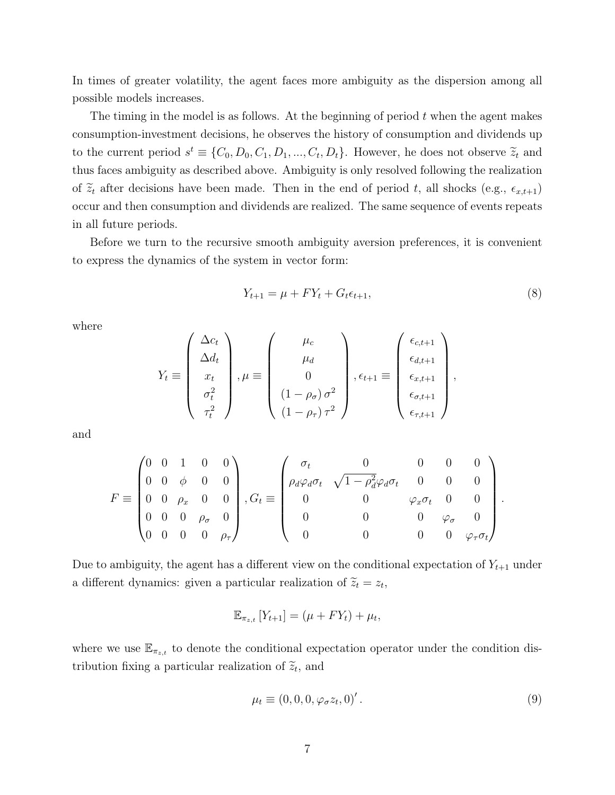In times of greater volatility, the agent faces more ambiguity as the dispersion among all possible models increases.

The timing in the model is as follows. At the beginning of period  $t$  when the agent makes consumption-investment decisions, he observes the history of consumption and dividends up to the current period  $s^t \equiv \{C_0, D_0, C_1, D_1, ..., C_t, D_t\}$ . However, he does not observe  $\widetilde{z}_t$  and thus faces ambiguity as described above. Ambiguity is only resolved following the realization of  $\tilde{z}_t$  after decisions have been made. Then in the end of period t, all shocks (e.g.,  $\epsilon_{x,t+1}$ ) occur and then consumption and dividends are realized. The same sequence of events repeats in all future periods.

Before we turn to the recursive smooth ambiguity aversion preferences, it is convenient to express the dynamics of the system in vector form:

$$
Y_{t+1} = \mu + FY_t + G_t \epsilon_{t+1}, \tag{8}
$$

where

$$
Y_t \equiv \begin{pmatrix} \Delta c_t \\ \Delta d_t \\ x_t \\ \sigma_t^2 \\ \tau_t^2 \end{pmatrix}, \mu \equiv \begin{pmatrix} \mu_c \\ \mu_d \\ 0 \\ (1 - \rho_\sigma) \sigma^2 \\ (1 - \rho_\sigma) \tau^2 \end{pmatrix}, \epsilon_{t+1} \equiv \begin{pmatrix} \epsilon_{c,t+1} \\ \epsilon_{d,t+1} \\ \epsilon_{x,t+1} \\ \epsilon_{\sigma,t+1} \\ \epsilon_{\tau,t+1} \end{pmatrix},
$$

and

$$
F \equiv \begin{pmatrix} 0 & 0 & 1 & 0 & 0 \\ 0 & 0 & \phi & 0 & 0 \\ 0 & 0 & \rho_x & 0 & 0 \\ 0 & 0 & 0 & \rho_\sigma & 0 \\ 0 & 0 & 0 & 0 & \rho_\tau \end{pmatrix}, G_t \equiv \begin{pmatrix} \sigma_t & 0 & 0 & 0 & 0 \\ \rho_d \varphi_d \sigma_t & \sqrt{1 - \rho_d^2} \varphi_d \sigma_t & 0 & 0 & 0 \\ 0 & 0 & \varphi_x \sigma_t & 0 & 0 \\ 0 & 0 & 0 & \varphi_\sigma & 0 \\ 0 & 0 & 0 & 0 & \varphi_\tau \sigma_t \end{pmatrix}.
$$

Due to ambiguity, the agent has a different view on the conditional expectation of  $Y_{t+1}$  under a different dynamics: given a particular realization of  $\tilde{z}_t = z_t$ ,

$$
\mathbb{E}_{\pi_{z,t}}\left[Y_{t+1}\right] = \left(\mu + FY_t\right) + \mu_t,
$$

where we use  $\mathbb{E}_{\pi_{z,t}}$  to denote the conditional expectation operator under the condition distribution fixing a particular realization of  $\tilde{z}_t$ , and

$$
\mu_t \equiv (0, 0, 0, \varphi_{\sigma} z_t, 0)'. \tag{9}
$$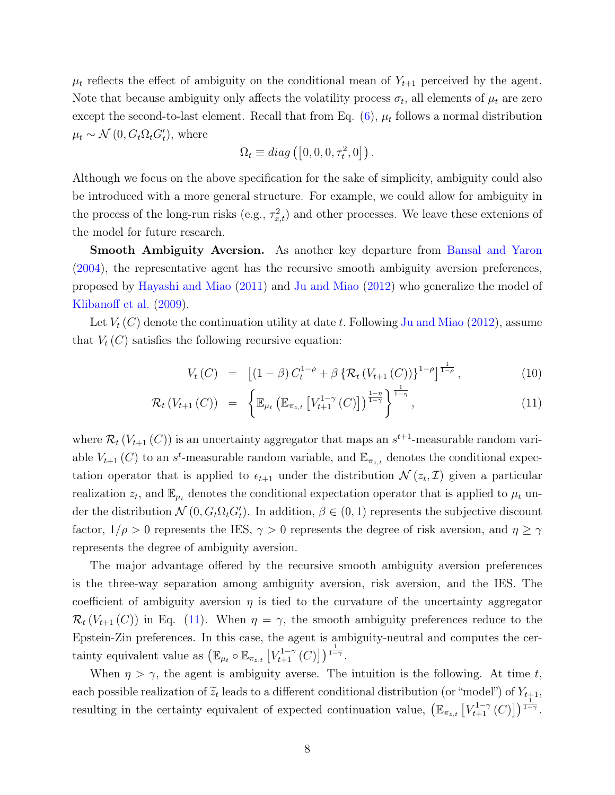$\mu_t$  reflects the effect of ambiguity on the conditional mean of  $Y_{t+1}$  perceived by the agent. Note that because ambiguity only affects the volatility process  $\sigma_t$ , all elements of  $\mu_t$  are zero except the second-to-last element. Recall that from Eq.  $(6)$ ,  $\mu_t$  follows a normal distribution  $\mu_t \sim \mathcal{N}(0, G_t \Omega_t G_t)$ , where

$$
\Omega_t \equiv diag([0, 0, 0, \tau_t^2, 0]).
$$

Although we focus on the above specification for the sake of simplicity, ambiguity could also be introduced with a more general structure. For example, we could allow for ambiguity in the process of the long-run risks (e.g.,  $\tau_{x,t}^2$ ) and other processes. We leave these extenions of the model for future research.

Smooth Ambiguity Aversion. As another key departure from [Bansal and Yaron](#page-26-0) [\(2004\)](#page-26-0), the representative agent has the recursive smooth ambiguity aversion preferences, proposed by [Hayashi and Miao](#page-28-15) [\(2011\)](#page-28-15) and [Ju and Miao](#page-28-10) [\(2012\)](#page-28-10) who generalize the model of [Klibanoff et al.](#page-28-2) [\(2009\)](#page-28-2).

Let  $V_t(C)$  denote the continuation utility at date t. Following [Ju and Miao](#page-28-10) [\(2012\)](#page-28-10), assume that  $V_t(C)$  satisfies the following recursive equation:

<span id="page-8-0"></span>
$$
V_t(C) = [(1 - \beta) C_t^{1-\rho} + \beta \{ \mathcal{R}_t (V_{t+1}(C)) \}^{1-\rho}]^{\frac{1}{1-\rho}}, \qquad (10)
$$

$$
\mathcal{R}_{t}\left(V_{t+1}\left(C\right)\right) = \left\{\mathbb{E}_{\mu_{t}}\left(\mathbb{E}_{\pi_{z,t}}\left[V_{t+1}^{1-\gamma}\left(C\right)\right]\right)^{\frac{1-\eta}{1-\gamma}}\right\}^{\frac{1}{1-\eta}},\tag{11}
$$

where  $\mathcal{R}_t(V_{t+1}(C))$  is an uncertainty aggregator that maps an  $s^{t+1}$ -measurable random variable  $V_{t+1}(C)$  to an  $s<sup>t</sup>$ -measurable random variable, and  $\mathbb{E}_{\pi_{z,t}}$  denotes the conditional expectation operator that is applied to  $\epsilon_{t+1}$  under the distribution  $\mathcal{N}(z_t, \mathcal{I})$  given a particular realization  $z_t$ , and  $\mathbb{E}_{\mu_t}$  denotes the conditional expectation operator that is applied to  $\mu_t$  under the distribution  $\mathcal{N}(0, G_t \Omega_t G_t')$ . In addition,  $\beta \in (0, 1)$  represents the subjective discount factor,  $1/\rho > 0$  represents the IES,  $\gamma > 0$  represents the degree of risk aversion, and  $\eta \ge \gamma$ represents the degree of ambiguity aversion.

The major advantage offered by the recursive smooth ambiguity aversion preferences is the three-way separation among ambiguity aversion, risk aversion, and the IES. The coefficient of ambiguity aversion  $\eta$  is tied to the curvature of the uncertainty aggregator  $\mathcal{R}_t(V_{t+1}(C))$  in Eq. [\(11\)](#page-8-0). When  $\eta = \gamma$ , the smooth ambiguity preferences reduce to the Epstein-Zin preferences. In this case, the agent is ambiguity-neutral and computes the certainty equivalent value as  $\left(\mathbb{E}_{\mu_t} \circ \mathbb{E}_{\pi_{z,t}}\left[V_{t+1}^{1-\gamma}(C)\right]\right)^{\frac{1}{1-\gamma}}$ .

When  $\eta > \gamma$ , the agent is ambiguity averse. The intuition is the following. At time t, each possible realization of  $\tilde{z}_t$  leads to a different conditional distribution (or "model") of  $Y_{t+1}$ , resulting in the certainty equivalent of expected continuation value,  $(\mathbb{E}_{\pi_{z,t}}[V^{1-\gamma}_{t+1}(C)])^{\frac{1}{1-\gamma}}$ .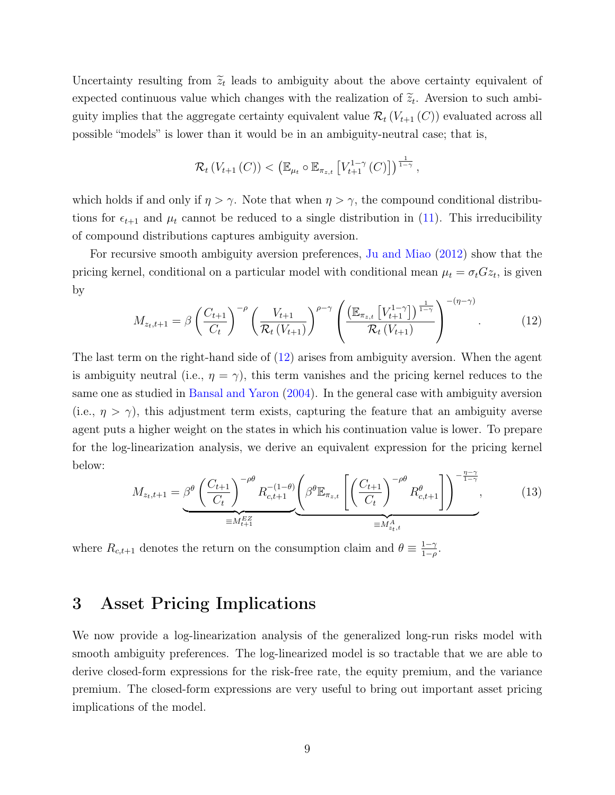Uncertainty resulting from  $\tilde{z}_t$  leads to ambiguity about the above certainty equivalent of expected continuous value which changes with the realization of  $\tilde{z}_t$ . Aversion to such ambiguity implies that the aggregate certainty equivalent value  $\mathcal{R}_t(V_{t+1}(C))$  evaluated across all possible "models" is lower than it would be in an ambiguity-neutral case; that is,

$$
\mathcal{R}_t\left(V_{t+1}\left(C\right)\right)<\left(\mathbb{E}_{\mu_t}\circ\mathbb{E}_{\pi_{z,t}}\left[V_{t+1}^{1-\gamma}\left(C\right)\right]\right)^{\frac{1}{1-\gamma}},
$$

which holds if and only if  $\eta > \gamma$ . Note that when  $\eta > \gamma$ , the compound conditional distributions for  $\epsilon_{t+1}$  and  $\mu_t$  cannot be reduced to a single distribution in [\(11\)](#page-8-0). This irreducibility of compound distributions captures ambiguity aversion.

For recursive smooth ambiguity aversion preferences, [Ju and Miao](#page-28-10) [\(2012\)](#page-28-10) show that the pricing kernel, conditional on a particular model with conditional mean  $\mu_t = \sigma_t G z_t$ , is given by

<span id="page-9-1"></span>
$$
M_{z_t, t+1} = \beta \left(\frac{C_{t+1}}{C_t}\right)^{-\rho} \left(\frac{V_{t+1}}{\mathcal{R}_t(V_{t+1})}\right)^{\rho - \gamma} \left(\frac{\left(\mathbb{E}_{\pi_{z,t}}\left[V_{t+1}^{1-\gamma}\right]\right)^{\frac{1}{1-\gamma}}}{\mathcal{R}_t(V_{t+1})}\right)^{-(\eta - \gamma)}.
$$
 (12)

The last term on the right-hand side of [\(12\)](#page-9-1) arises from ambiguity aversion. When the agent is ambiguity neutral (i.e.,  $\eta = \gamma$ ), this term vanishes and the pricing kernel reduces to the same one as studied in [Bansal and Yaron](#page-26-0) [\(2004\)](#page-26-0). In the general case with ambiguity aversion (i.e.,  $\eta > \gamma$ ), this adjustment term exists, capturing the feature that an ambiguity averse agent puts a higher weight on the states in which his continuation value is lower. To prepare for the log-linearization analysis, we derive an equivalent expression for the pricing kernel below:  $n-\gamma$ 

<span id="page-9-2"></span>
$$
M_{z_t,t+1} = \underbrace{\beta^{\theta} \left(\frac{C_{t+1}}{C_t}\right)^{-\rho \theta} R_{c,t+1}^{-\left(1-\theta\right)} \left(\beta^{\theta} \mathbb{E}_{\pi_{z,t}} \left[\left(\frac{C_{t+1}}{C_t}\right)^{-\rho \theta} R_{c,t+1}^{\theta}\right]\right)^{-\frac{\eta-\gamma}{1-\gamma}}}_{\equiv M_{z_t,t}^A},\tag{13}
$$

where  $R_{c,t+1}$  denotes the return on the consumption claim and  $\theta \equiv \frac{1-\gamma}{1-\rho}$  $\frac{1-\gamma}{1-\rho}$ .

# <span id="page-9-0"></span>3 Asset Pricing Implications

We now provide a log-linearization analysis of the generalized long-run risks model with smooth ambiguity preferences. The log-linearized model is so tractable that we are able to derive closed-form expressions for the risk-free rate, the equity premium, and the variance premium. The closed-form expressions are very useful to bring out important asset pricing implications of the model.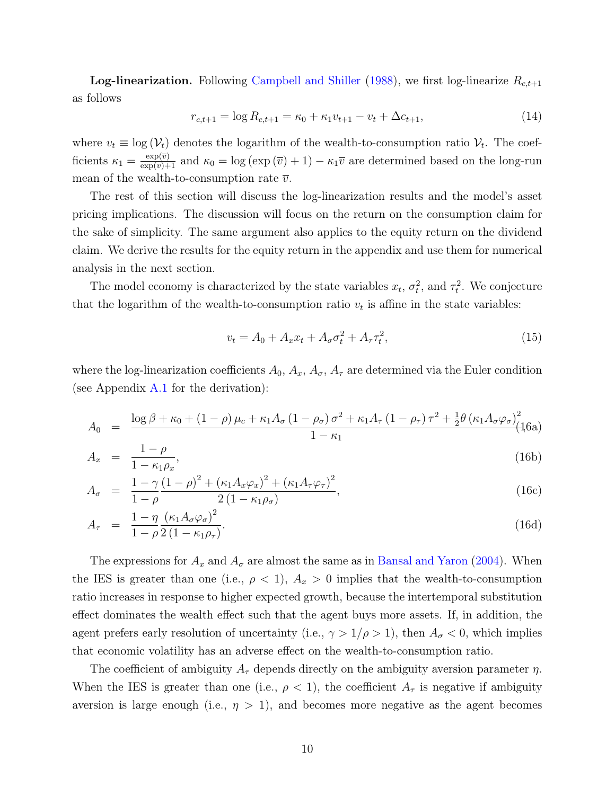**Log-linearization.** Following [Campbell and Shiller](#page-26-12) [\(1988\)](#page-26-12), we first log-linearize  $R_{c,t+1}$ as follows

<span id="page-10-0"></span>
$$
r_{c,t+1} = \log R_{c,t+1} = \kappa_0 + \kappa_1 v_{t+1} - v_t + \Delta c_{t+1},\tag{14}
$$

where  $v_t \equiv \log(V_t)$  denotes the logarithm of the wealth-to-consumption ratio  $V_t$ . The coefficients  $\kappa_1 = \frac{\exp(\overline{v})}{\exp(\overline{v})+1}$  and  $\kappa_0 = \log(\exp(\overline{v})+1) - \kappa_1\overline{v}$  are determined based on the long-run mean of the wealth-to-consumption rate  $\overline{v}$ .

The rest of this section will discuss the log-linearization results and the model's asset pricing implications. The discussion will focus on the return on the consumption claim for the sake of simplicity. The same argument also applies to the equity return on the dividend claim. We derive the results for the equity return in the appendix and use them for numerical analysis in the next section.

The model economy is characterized by the state variables  $x_t$ ,  $\sigma_t^2$ , and  $\tau_t^2$ . We conjecture that the logarithm of the wealth-to-consumption ratio  $v_t$  is affine in the state variables:

<span id="page-10-1"></span>
$$
v_t = A_0 + A_x x_t + A_\sigma \sigma_t^2 + A_\tau \tau_t^2, \tag{15}
$$

where the log-linearization coefficients  $A_0$ ,  $A_x$ ,  $A_\sigma$ ,  $A_\tau$  are determined via the Euler condition (see Appendix  $A.1$  for the derivation):

$$
A_0 = \frac{\log \beta + \kappa_0 + (1 - \rho) \mu_c + \kappa_1 A_\sigma (1 - \rho_\sigma) \sigma^2 + \kappa_1 A_\tau (1 - \rho_\tau) \tau^2 + \frac{1}{2} \theta (\kappa_1 A_\sigma \varphi_\sigma)^2}{1 - \kappa_1} (16a)
$$

$$
A_x = \frac{1 - \rho}{1 - \kappa_1 \rho_x},\tag{16b}
$$

$$
A_{\sigma} = \frac{1 - \gamma (1 - \rho)^2 + (\kappa_1 A_x \varphi_x)^2 + (\kappa_1 A_\tau \varphi_\tau)^2}{2 (1 - \kappa_1 \rho_\sigma)},
$$
(16c)

$$
A_{\tau} = \frac{1 - \eta}{1 - \rho} \frac{(\kappa_1 A_{\sigma} \varphi_{\sigma})^2}{2 (1 - \kappa_1 \rho_{\tau})}.
$$
\n(16d)

The expressions for  $A_x$  and  $A_\sigma$  are almost the same as in [Bansal and Yaron](#page-26-0) [\(2004\)](#page-26-0). When the IES is greater than one (i.e.,  $\rho < 1$ ),  $A_x > 0$  implies that the wealth-to-consumption ratio increases in response to higher expected growth, because the intertemporal substitution effect dominates the wealth effect such that the agent buys more assets. If, in addition, the agent prefers early resolution of uncertainty (i.e.,  $\gamma > 1/\rho > 1$ ), then  $A_{\sigma} < 0$ , which implies that economic volatility has an adverse effect on the wealth-to-consumption ratio.

The coefficient of ambiguity  $A_{\tau}$  depends directly on the ambiguity aversion parameter  $\eta$ . When the IES is greater than one (i.e.,  $\rho < 1$ ), the coefficient  $A_{\tau}$  is negative if ambiguity aversion is large enough (i.e.,  $\eta > 1$ ), and becomes more negative as the agent becomes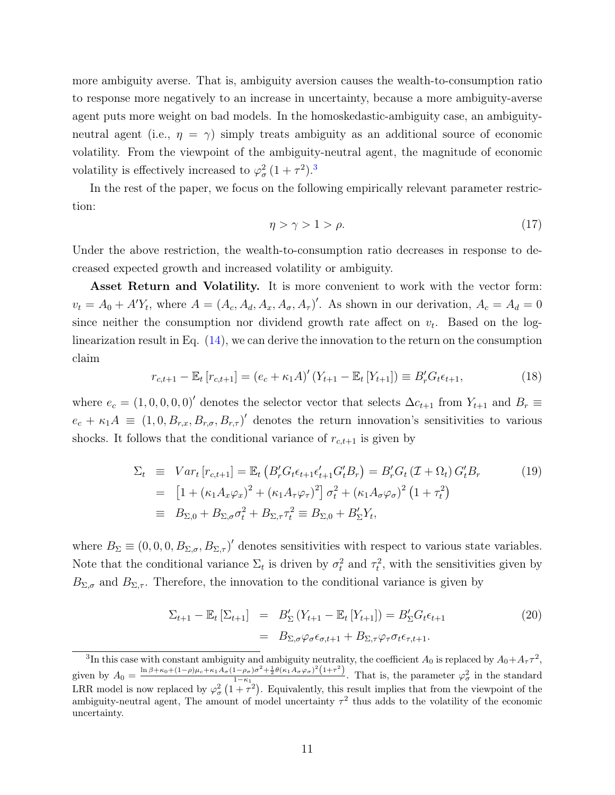more ambiguity averse. That is, ambiguity aversion causes the wealth-to-consumption ratio to response more negatively to an increase in uncertainty, because a more ambiguity-averse agent puts more weight on bad models. In the homoskedastic-ambiguity case, an ambiguityneutral agent (i.e.,  $\eta = \gamma$ ) simply treats ambiguity as an additional source of economic volatility. From the viewpoint of the ambiguity-neutral agent, the magnitude of economic volatility is effectively increased to  $\varphi_{\sigma}^2 (1 + \tau^2)^3$  $\varphi_{\sigma}^2 (1 + \tau^2)^3$ .

In the rest of the paper, we focus on the following empirically relevant parameter restriction:

<span id="page-11-1"></span>
$$
\eta > \gamma > 1 > \rho. \tag{17}
$$

Under the above restriction, the wealth-to-consumption ratio decreases in response to decreased expected growth and increased volatility or ambiguity.

Asset Return and Volatility. It is more convenient to work with the vector form:  $v_t = A_0 + A'Y_t$ , where  $A = (A_c, A_d, A_x, A_\sigma, A_\tau)'$ . As shown in our derivation,  $A_c = A_d = 0$ since neither the consumption nor dividend growth rate affect on  $v_t$ . Based on the loglinearization result in Eq. [\(14\)](#page-10-0), we can derive the innovation to the return on the consumption claim

$$
r_{c,t+1} - \mathbb{E}_t[r_{c,t+1}] = (e_c + \kappa_1 A)'(Y_{t+1} - \mathbb{E}_t[Y_{t+1}]) \equiv B'_r G_t \epsilon_{t+1},
$$
\n(18)

where  $e_c = (1, 0, 0, 0, 0)'$  denotes the selector vector that selects  $\Delta c_{t+1}$  from  $Y_{t+1}$  and  $B_r \equiv$  $e_c + \kappa_1 A \equiv (1, 0, B_{r,x}, B_{r,\sigma}, B_{r,\tau})'$  denotes the return innovation's sensitivities to various shocks. It follows that the conditional variance of  $r_{c,t+1}$  is given by

$$
\Sigma_{t} \equiv Var_{t}[r_{c,t+1}] = \mathbb{E}_{t} \left( B'_{r} G_{t} \epsilon_{t+1} \epsilon'_{t+1} G'_{t} B_{r} \right) = B'_{r} G_{t} \left( \mathcal{I} + \Omega_{t} \right) G'_{t} B_{r}
$$
\n
$$
= \left[ 1 + (\kappa_{1} A_{x} \varphi_{x})^{2} + (\kappa_{1} A_{\tau} \varphi_{\tau})^{2} \right] \sigma_{t}^{2} + (\kappa_{1} A_{\sigma} \varphi_{\sigma})^{2} \left( 1 + \tau_{t}^{2} \right)
$$
\n
$$
\equiv B_{\Sigma,0} + B_{\Sigma,\sigma} \sigma_{t}^{2} + B_{\Sigma,\tau} \tau_{t}^{2} \equiv B_{\Sigma,0} + B'_{\Sigma} Y_{t},
$$
\n(19)

where  $B_{\Sigma} \equiv (0, 0, 0, B_{\Sigma,\sigma}, B_{\Sigma,\tau})'$  denotes sensitivities with respect to various state variables. Note that the conditional variance  $\Sigma_t$  is driven by  $\sigma_t^2$  and  $\tau_t^2$ , with the sensitivities given by  $B_{\Sigma,\sigma}$  and  $B_{\Sigma,\tau}$ . Therefore, the innovation to the conditional variance is given by

$$
\Sigma_{t+1} - \mathbb{E}_t \left[ \Sigma_{t+1} \right] = B'_{\Sigma} \left( Y_{t+1} - \mathbb{E}_t \left[ Y_{t+1} \right] \right) = B'_{\Sigma} G_t \epsilon_{t+1}
$$
\n
$$
= B_{\Sigma, \sigma} \varphi_{\sigma} \epsilon_{\sigma, t+1} + B_{\Sigma, \tau} \varphi_{\tau} \sigma_t \epsilon_{\tau, t+1}.
$$
\n(20)

<span id="page-11-0"></span><sup>&</sup>lt;sup>3</sup>In this case with constant ambiguity and ambiguity neutrality, the coefficient  $A_0$  is replaced by  $A_0 + A_\tau \tau^2$ , given by  $A_0 = \frac{\ln \beta + \kappa_0 + (1-\rho)\mu_c + \kappa_1 A_\sigma (1-\rho_\sigma)\sigma^2 + \frac{1}{2}\theta(\kappa_1 A_\sigma \varphi_\sigma)^2 (1+\tau^2)}{1-\kappa_1}$  $\frac{1-\rho_{\sigma}}{1-\kappa_1}$   $\frac{1-\rho_{\sigma}}{1-\kappa_1}$ . That is, the parameter  $\varphi_{\sigma}^2$  in the standard LRR model is now replaced by  $\varphi_{\sigma}^2(1+\tau^2)$ . Equivalently, this result implies that from the viewpoint of the ambiguity-neutral agent, The amount of model uncertainty  $\tau^2$  thus adds to the volatility of the economic uncertainty.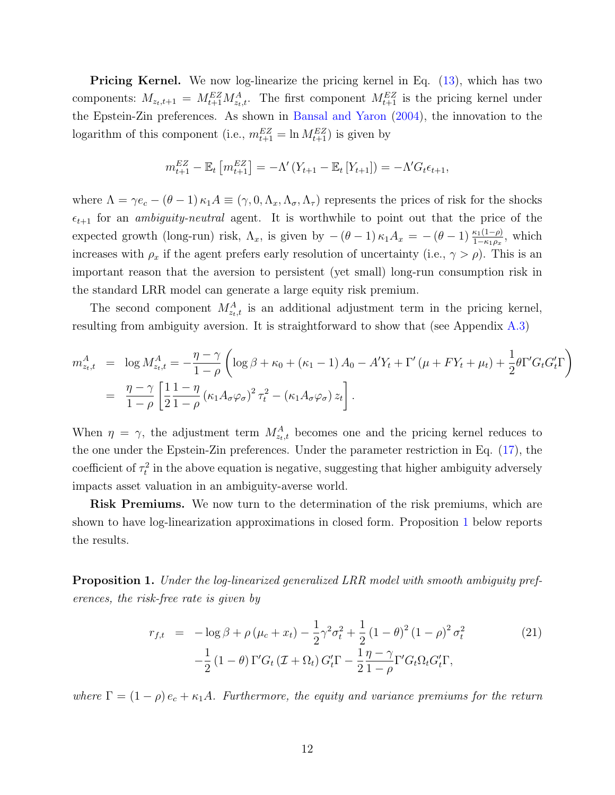**Pricing Kernel.** We now log-linearize the pricing kernel in Eq. [\(13\)](#page-9-2), which has two components:  $M_{z_t,t+1} = M_{t+1}^{EZ} M_{z_t,t}^A$ . The first component  $M_{t+1}^{EZ}$  is the pricing kernel under the Epstein-Zin preferences. As shown in [Bansal and Yaron](#page-26-0) [\(2004\)](#page-26-0), the innovation to the logarithm of this component (i.e.,  $m_{t+1}^{EZ} = \ln M_{t+1}^{EZ}$ ) is given by

$$
m_{t+1}^{EZ} - \mathbb{E}_t \left[ m_{t+1}^{EZ} \right] = -\Lambda' (Y_{t+1} - \mathbb{E}_t \left[ Y_{t+1} \right]) = -\Lambda' G_t \epsilon_{t+1},
$$

where  $\Lambda = \gamma e_c - (\theta - 1) \kappa_1 A \equiv (\gamma, 0, \Lambda_x, \Lambda_\sigma, \Lambda_\tau)$  represents the prices of risk for the shocks  $\epsilon_{t+1}$  for an *ambiguity-neutral* agent. It is worthwhile to point out that the price of the expected growth (long-run) risk,  $\Lambda_x$ , is given by  $-(\theta - 1) \kappa_1 A_x = -(\theta - 1) \frac{\kappa_1(1-\rho)}{1-\kappa_1\rho_x}$ , which increases with  $\rho_x$  if the agent prefers early resolution of uncertainty (i.e.,  $\gamma > \rho$ ). This is an important reason that the aversion to persistent (yet small) long-run consumption risk in the standard LRR model can generate a large equity risk premium.

The second component  $M_{z_t,t}^A$  is an additional adjustment term in the pricing kernel, resulting from ambiguity aversion. It is straightforward to show that (see Appendix [A.3\)](#page-34-0)

$$
m_{z_t,t}^A = \log M_{z_t,t}^A = -\frac{\eta - \gamma}{1 - \rho} \left( \log \beta + \kappa_0 + (\kappa_1 - 1) A_0 - A' Y_t + \Gamma' (\mu + F Y_t + \mu_t) + \frac{1}{2} \theta \Gamma' G_t G'_t \Gamma \right)
$$
  
= 
$$
\frac{\eta - \gamma}{1 - \rho} \left[ \frac{1}{2} \frac{1 - \eta}{1 - \rho} (\kappa_1 A_\sigma \varphi_\sigma)^2 \tau_t^2 - (\kappa_1 A_\sigma \varphi_\sigma) z_t \right].
$$

When  $\eta = \gamma$ , the adjustment term  $M_{z_t,t}^A$  becomes one and the pricing kernel reduces to the one under the Epstein-Zin preferences. Under the parameter restriction in Eq. [\(17\)](#page-11-1), the coefficient of  $\tau_t^2$  in the above equation is negative, suggesting that higher ambiguity adversely impacts asset valuation in an ambiguity-averse world.

**Risk Premiums.** We now turn to the determination of the risk premiums, which are shown to have log-linearization approximations in closed form. Proposition [1](#page-12-0) below reports the results.

<span id="page-12-0"></span>Proposition 1. Under the log-linearized generalized LRR model with smooth ambiguity preferences, the risk-free rate is given by

<span id="page-12-1"></span>
$$
r_{f,t} = -\log \beta + \rho (\mu_c + x_t) - \frac{1}{2} \gamma^2 \sigma_t^2 + \frac{1}{2} (1 - \theta)^2 (1 - \rho)^2 \sigma_t^2
$$
  

$$
-\frac{1}{2} (1 - \theta) \Gamma' G_t (\mathcal{I} + \Omega_t) G_t' \Gamma - \frac{1}{2} \frac{\eta - \gamma}{1 - \rho} \Gamma' G_t \Omega_t G_t' \Gamma,
$$
 (21)

where  $\Gamma = (1 - \rho) e_c + \kappa_1 A$ . Furthermore, the equity and variance premiums for the return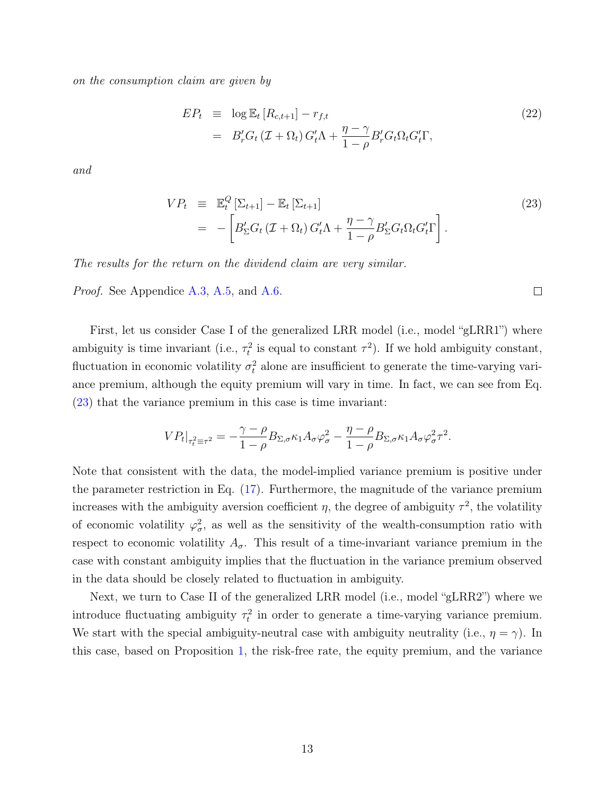on the consumption claim are given by

<span id="page-13-1"></span>
$$
EP_t \equiv \log \mathbb{E}_t [R_{c,t+1}] - r_{f,t}
$$
  
= 
$$
B'_r G_t (\mathcal{I} + \Omega_t) G'_t \Lambda + \frac{\eta - \gamma}{1 - \rho} B'_r G_t \Omega_t G'_t \Gamma,
$$
 (22)

and

<span id="page-13-0"></span>
$$
VP_t \equiv \mathbb{E}_t^Q \left[ \Sigma_{t+1} \right] - \mathbb{E}_t \left[ \Sigma_{t+1} \right] \tag{23}
$$

$$
= - \left[ B_{\Sigma}' G_t \left( \mathcal{I} + \Omega_t \right) G_t' \Lambda + \frac{\eta - \gamma}{1 - \rho} B_{\Sigma}' G_t \Omega_t G_t' \Gamma \right].
$$

The results for the return on the dividend claim are very similar.

Proof. See Appendice [A.3,](#page-34-0) [A.5,](#page-38-0) and [A.6.](#page-39-0)

First, let us consider Case I of the generalized LRR model (i.e., model "gLRR1") where ambiguity is time invariant (i.e.,  $\tau_t^2$  is equal to constant  $\tau^2$ ). If we hold ambiguity constant, fluctuation in economic volatility  $\sigma_t^2$  alone are insufficient to generate the time-varying variance premium, although the equity premium will vary in time. In fact, we can see from Eq. [\(23\)](#page-13-0) that the variance premium in this case is time invariant:

$$
VP_t|_{\tau_t^2 \equiv \tau^2} = -\frac{\gamma - \rho}{1 - \rho} B_{\Sigma, \sigma} \kappa_1 A_{\sigma} \varphi_{\sigma}^2 - \frac{\eta - \rho}{1 - \rho} B_{\Sigma, \sigma} \kappa_1 A_{\sigma} \varphi_{\sigma}^2 \tau^2.
$$

Note that consistent with the data, the model-implied variance premium is positive under the parameter restriction in Eq. [\(17\)](#page-11-1). Furthermore, the magnitude of the variance premium increases with the ambiguity aversion coefficient  $\eta$ , the degree of ambiguity  $\tau^2$ , the volatility of economic volatility  $\varphi_{\sigma}^2$ , as well as the sensitivity of the wealth-consumption ratio with respect to economic volatility  $A_{\sigma}$ . This result of a time-invariant variance premium in the case with constant ambiguity implies that the fluctuation in the variance premium observed in the data should be closely related to fluctuation in ambiguity.

Next, we turn to Case II of the generalized LRR model (i.e., model "gLRR2") where we introduce fluctuating ambiguity  $\tau_t^2$  in order to generate a time-varying variance premium. We start with the special ambiguity-neutral case with ambiguity neutrality (i.e.,  $\eta = \gamma$ ). In this case, based on Proposition [1,](#page-12-0) the risk-free rate, the equity premium, and the variance

 $\Box$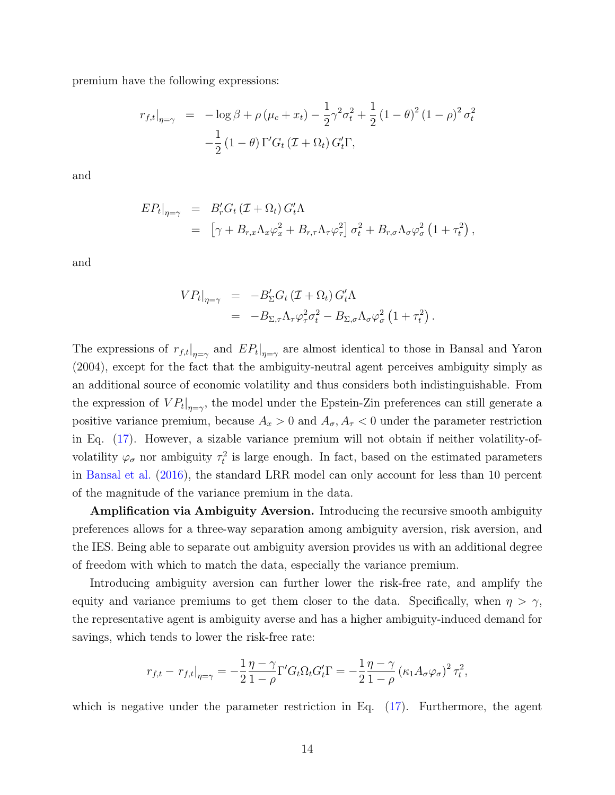premium have the following expressions:

$$
r_{f,t}|_{\eta=\gamma} = -\log \beta + \rho (\mu_c + x_t) - \frac{1}{2} \gamma^2 \sigma_t^2 + \frac{1}{2} (1 - \theta)^2 (1 - \rho)^2 \sigma_t^2
$$

$$
-\frac{1}{2} (1 - \theta) \Gamma' G_t (\mathcal{I} + \Omega_t) G'_t \Gamma,
$$

and

$$
E P_t|_{\eta=\gamma} = B'_r G_t (\mathcal{I} + \Omega_t) G'_t \Lambda
$$
  
= 
$$
\left[ \gamma + B_{r,x} \Lambda_x \varphi_x^2 + B_{r,\tau} \Lambda_\tau \varphi_\tau^2 \right] \sigma_t^2 + B_{r,\sigma} \Lambda_\sigma \varphi_\sigma^2 (1 + \tau_t^2) ,
$$

and

$$
V P_t|_{\eta=\gamma} = -B_{\Sigma}^{\prime} G_t (\mathcal{I} + \Omega_t) G_t^{\prime} \Lambda
$$
  
= 
$$
-B_{\Sigma,\tau} \Lambda_{\tau} \varphi_{\tau}^2 \sigma_t^2 - B_{\Sigma,\sigma} \Lambda_{\sigma} \varphi_{\sigma}^2 (1 + \tau_t^2).
$$

The expressions of  $r_{f,t}|_{\eta=\gamma}$  and  $E P_t|_{\eta=\gamma}$  are almost identical to those in Bansal and Yaron (2004), except for the fact that the ambiguity-neutral agent perceives ambiguity simply as an additional source of economic volatility and thus considers both indistinguishable. From the expression of  $VP_t|_{\eta=\gamma}$ , the model under the Epstein-Zin preferences can still generate a positive variance premium, because  $A_x > 0$  and  $A_{\sigma}$ ,  $A_{\tau} < 0$  under the parameter restriction in Eq. [\(17\)](#page-11-1). However, a sizable variance premium will not obtain if neither volatility-ofvolatility  $\varphi_{\sigma}$  nor ambiguity  $\tau_t^2$  is large enough. In fact, based on the estimated parameters in [Bansal et al.](#page-26-13) [\(2016\)](#page-26-13), the standard LRR model can only account for less than 10 percent of the magnitude of the variance premium in the data.

Amplification via Ambiguity Aversion. Introducing the recursive smooth ambiguity preferences allows for a three-way separation among ambiguity aversion, risk aversion, and the IES. Being able to separate out ambiguity aversion provides us with an additional degree of freedom with which to match the data, especially the variance premium.

Introducing ambiguity aversion can further lower the risk-free rate, and amplify the equity and variance premiums to get them closer to the data. Specifically, when  $\eta > \gamma$ , the representative agent is ambiguity averse and has a higher ambiguity-induced demand for savings, which tends to lower the risk-free rate:

$$
r_{f,t} - r_{f,t}|_{\eta = \gamma} = -\frac{1}{2} \frac{\eta - \gamma}{1 - \rho} \Gamma' G_t \Omega_t G'_t \Gamma = -\frac{1}{2} \frac{\eta - \gamma}{1 - \rho} \left( \kappa_1 A_\sigma \varphi_\sigma \right)^2 \tau_t^2,
$$

which is negative under the parameter restriction in Eq.  $(17)$ . Furthermore, the agent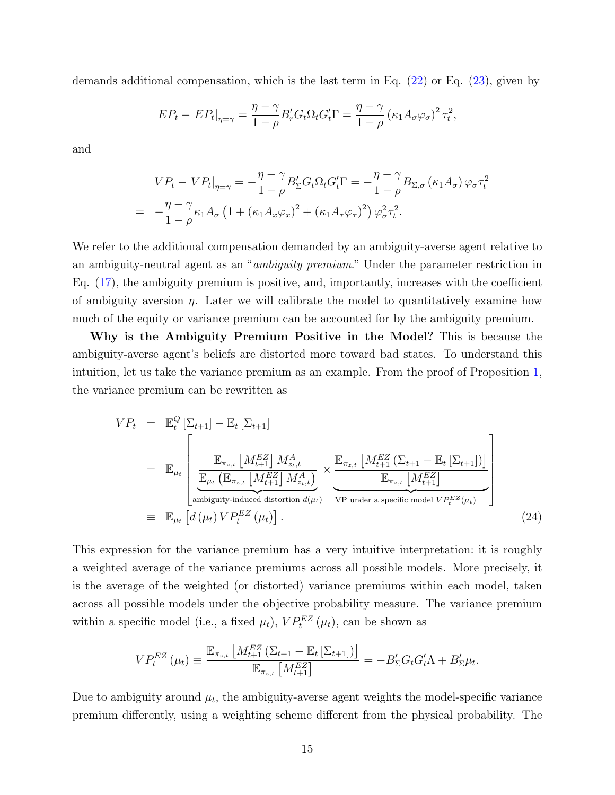demands additional compensation, which is the last term in Eq. [\(22\)](#page-13-1) or Eq. [\(23\)](#page-13-0), given by

$$
EP_t - EP_t|_{\eta=\gamma} = \frac{\eta - \gamma}{1 - \rho} B'_r G_t \Omega_t G'_t \Gamma = \frac{\eta - \gamma}{1 - \rho} (\kappa_1 A_\sigma \varphi_\sigma)^2 \tau_t^2,
$$

and

$$
VP_t - VP_t|_{\eta=\gamma} = -\frac{\eta - \gamma}{1 - \rho} B'_{\Sigma} G_t \Omega_t G'_t \Gamma = -\frac{\eta - \gamma}{1 - \rho} B_{\Sigma, \sigma} (\kappa_1 A_{\sigma}) \varphi_{\sigma} \tau_t^2
$$
  
= 
$$
-\frac{\eta - \gamma}{1 - \rho} \kappa_1 A_{\sigma} \left(1 + (\kappa_1 A_x \varphi_x)^2 + (\kappa_1 A_{\tau} \varphi_{\tau})^2\right) \varphi_{\sigma}^2 \tau_t^2.
$$

We refer to the additional compensation demanded by an ambiguity-averse agent relative to an ambiguity-neutral agent as an "ambiguity premium." Under the parameter restriction in Eq. [\(17\)](#page-11-1), the ambiguity premium is positive, and, importantly, increases with the coefficient of ambiguity aversion  $\eta$ . Later we will calibrate the model to quantitatively examine how much of the equity or variance premium can be accounted for by the ambiguity premium.

Why is the Ambiguity Premium Positive in the Model? This is because the ambiguity-averse agent's beliefs are distorted more toward bad states. To understand this intuition, let us take the variance premium as an example. From the proof of Proposition [1,](#page-12-0) the variance premium can be rewritten as

$$
VP_{t} = \mathbb{E}_{t}^{Q} \left[ \Sigma_{t+1} \right] - \mathbb{E}_{t} \left[ \Sigma_{t+1} \right]
$$
  
\n
$$
= \mathbb{E}_{\mu_{t}} \left[ \frac{\mathbb{E}_{\pi_{z,t}} \left[ M_{t+1}^{EZ} \right] M_{z_{t},t}^{A}}{\mathbb{E}_{\mu_{t}} \left( \mathbb{E}_{\pi_{z,t}} \left[ M_{t+1}^{EZ} \right] M_{z_{t},t}^{A} \right)} \times \frac{\mathbb{E}_{\pi_{z,t}} \left[ M_{t+1}^{EZ} \left( \Sigma_{t+1} - \mathbb{E}_{t} \left[ \Sigma_{t+1} \right] \right) \right]}{\mathbb{E}_{\pi_{z,t}} \left[ M_{t+1}^{EZ} \right]} \right]
$$
  
\n
$$
\equiv \mathbb{E}_{\mu_{t}} \left[ d \left( \mu_{t} \right) VP_{t}^{EZ} \left( \mu_{t} \right) \right]. \tag{24}
$$

This expression for the variance premium has a very intuitive interpretation: it is roughly a weighted average of the variance premiums across all possible models. More precisely, it is the average of the weighted (or distorted) variance premiums within each model, taken across all possible models under the objective probability measure. The variance premium within a specific model (i.e., a fixed  $\mu_t$ ),  $VP_t^{EZ}(\mu_t)$ , can be shown as

$$
VP_t^{EZ}(\mu_t) \equiv \frac{\mathbb{E}_{\pi_{z,t}} \left[ M_{t+1}^{EZ} \left( \Sigma_{t+1} - \mathbb{E}_t \left[ \Sigma_{t+1} \right] \right) \right]}{\mathbb{E}_{\pi_{z,t}} \left[ M_{t+1}^{EZ} \right]} = -B_{\Sigma}' G_t G_t' \Lambda + B_{\Sigma}' \mu_t.
$$

Due to ambiguity around  $\mu_t$ , the ambiguity-averse agent weights the model-specific variance premium differently, using a weighting scheme different from the physical probability. The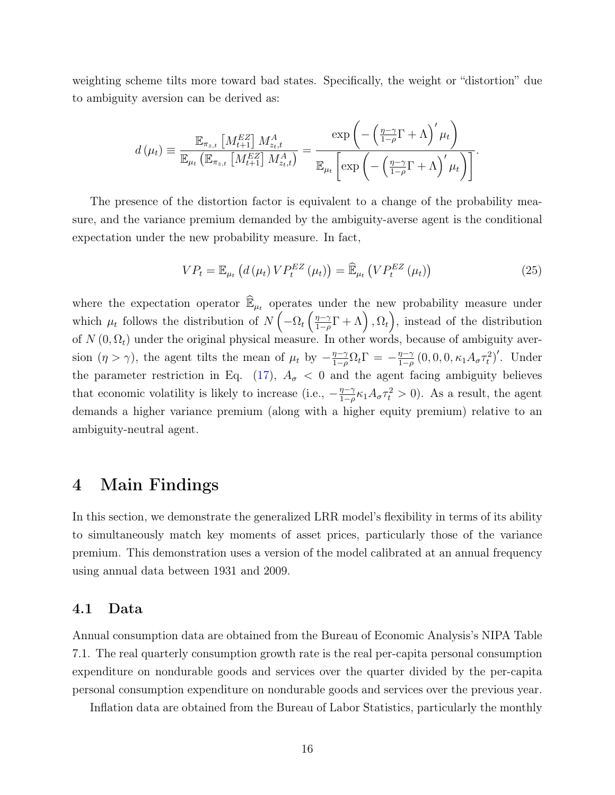weighting scheme tilts more toward bad states. Specifically, the weight or "distortion" due to ambiguity aversion can be derived as:

$$
d(\mu_t) \equiv \frac{\mathbb{E}_{\pi_{z,t}} \left[ M_{t+1}^{EZ} \right] M_{z_t,t}^A}{\mathbb{E}_{\mu_t} \left[ \mathbb{E}_{\pi_{z,t}} \left[ M_{t+1}^{EZ} \right] M_{z_t,t}^A \right]} = \frac{\exp \left( -\left( \frac{\eta - \gamma}{1 - \rho} \Gamma + \Lambda \right)' \mu_t \right)}{\mathbb{E}_{\mu_t} \left[ \exp \left( -\left( \frac{\eta - \gamma}{1 - \rho} \Gamma + \Lambda \right)' \mu_t \right) \right]}.
$$

The presence of the distortion factor is equivalent to a change of the probability measure, and the variance premium demanded by the ambiguity-averse agent is the conditional expectation under the new probability measure. In fact,

$$
VP_t = \mathbb{E}_{\mu_t} \left( d \left( \mu_t \right) VP_t^{EZ} \left( \mu_t \right) \right) = \widehat{\mathbb{E}}_{\mu_t} \left( VP_t^{EZ} \left( \mu_t \right) \right) \tag{25}
$$

where the expectation operator  $\widehat{\mathbb{E}}_{\mu_t}$  operates under the new probability measure under which  $\mu_t$  follows the distribution of  $N\left(-\Omega_t\left(\frac{\eta-\gamma}{1-\rho}\right)\right)$  $\frac{\eta-\gamma}{1-\rho}\Gamma + \Lambda, \Omega_t,$  instead of the distribution of  $N(0, \Omega_t)$  under the original physical measure. In other words, because of ambiguity aversion  $(\eta > \gamma)$ , the agent tilts the mean of  $\mu_t$  by  $-\frac{\eta-\gamma}{1-\rho}$  $\frac{\eta-\gamma}{1-\rho}\Omega_t\Gamma = -\frac{\eta-\gamma}{1-\rho}$  $\frac{\eta-\gamma}{1-\rho}(0,0,0,\kappa_1 A_{\sigma}\tau_t^2)'$ . Under the parameter restriction in Eq. [\(17\)](#page-11-1),  $A_{\sigma}$  < 0 and the agent facing ambiguity believes that economic volatility is likely to increase (i.e.,  $-\frac{\eta-\gamma}{1-\rho}$  $\frac{\eta-\gamma}{1-\rho}\kappa_1 A_\sigma \tau_t^2 > 0$ . As a result, the agent demands a higher variance premium (along with a higher equity premium) relative to an ambiguity-neutral agent.

### <span id="page-16-0"></span>4 Main Findings

In this section, we demonstrate the generalized LRR model's flexibility in terms of its ability to simultaneously match key moments of asset prices, particularly those of the variance premium. This demonstration uses a version of the model calibrated at an annual frequency using annual data between 1931 and 2009.

#### 4.1 Data

Annual consumption data are obtained from the Bureau of Economic Analysis's NIPA Table 7.1. The real quarterly consumption growth rate is the real per-capita personal consumption expenditure on nondurable goods and services over the quarter divided by the per-capita personal consumption expenditure on nondurable goods and services over the previous year.

Inflation data are obtained from the Bureau of Labor Statistics, particularly the monthly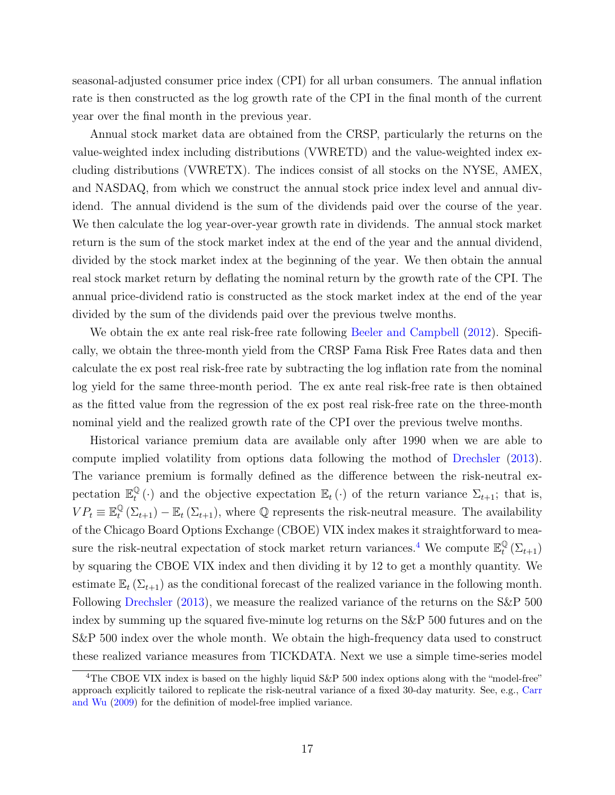seasonal-adjusted consumer price index (CPI) for all urban consumers. The annual inflation rate is then constructed as the log growth rate of the CPI in the final month of the current year over the final month in the previous year.

Annual stock market data are obtained from the CRSP, particularly the returns on the value-weighted index including distributions (VWRETD) and the value-weighted index excluding distributions (VWRETX). The indices consist of all stocks on the NYSE, AMEX, and NASDAQ, from which we construct the annual stock price index level and annual dividend. The annual dividend is the sum of the dividends paid over the course of the year. We then calculate the log year-over-year growth rate in dividends. The annual stock market return is the sum of the stock market index at the end of the year and the annual dividend, divided by the stock market index at the beginning of the year. We then obtain the annual real stock market return by deflating the nominal return by the growth rate of the CPI. The annual price-dividend ratio is constructed as the stock market index at the end of the year divided by the sum of the dividends paid over the previous twelve months.

We obtain the ex ante real risk-free rate following [Beeler and Campbell](#page-26-14) [\(2012\)](#page-26-14). Specifically, we obtain the three-month yield from the CRSP Fama Risk Free Rates data and then calculate the ex post real risk-free rate by subtracting the log inflation rate from the nominal log yield for the same three-month period. The ex ante real risk-free rate is then obtained as the fitted value from the regression of the ex post real risk-free rate on the three-month nominal yield and the realized growth rate of the CPI over the previous twelve months.

Historical variance premium data are available only after 1990 when we are able to compute implied volatility from options data following the mothod of [Drechsler](#page-27-10) [\(2013\)](#page-27-10). The variance premium is formally defined as the difference between the risk-neutral expectation  $\mathbb{E}_{t}^{\mathbb{Q}}$  $\mathbb{Q}(\cdot)$  and the objective expectation  $\mathbb{E}_t(\cdot)$  of the return variance  $\Sigma_{t+1}$ ; that is,  $VP_t \equiv \mathbb{E}^{\mathbb{Q}}_t$  $_{t}^{\mathbb{Q}}(\Sigma_{t+1}) - \mathbb{E}_{t}(\Sigma_{t+1}),$  where  $\mathbb{Q}$  represents the risk-neutral measure. The availability of the Chicago Board Options Exchange (CBOE) VIX index makes it straightforward to mea-sure the risk-neutral expectation of stock market return variances.<sup>[4](#page-17-0)</sup> We compute  $\mathbb{E}_{t}^{\mathbb{Q}}$  $_{t}^{\mathfrak{Q}}\left( \Sigma_{t+1}\right)$ by squaring the CBOE VIX index and then dividing it by 12 to get a monthly quantity. We estimate  $\mathbb{E}_t(\Sigma_{t+1})$  as the conditional forecast of the realized variance in the following month. Following [Drechsler](#page-27-10) [\(2013\)](#page-27-10), we measure the realized variance of the returns on the S&P 500 index by summing up the squared five-minute log returns on the S&P 500 futures and on the S&P 500 index over the whole month. We obtain the high-frequency data used to construct these realized variance measures from TICKDATA. Next we use a simple time-series model

<span id="page-17-0"></span><sup>&</sup>lt;sup>4</sup>The CBOE VIX index is based on the highly liquid S&P 500 index options along with the "model-free" approach explicitly tailored to replicate the risk-neutral variance of a fixed 30-day maturity. See, e.g., [Carr](#page-27-9) [and Wu](#page-27-9) [\(2009\)](#page-27-9) for the definition of model-free implied variance.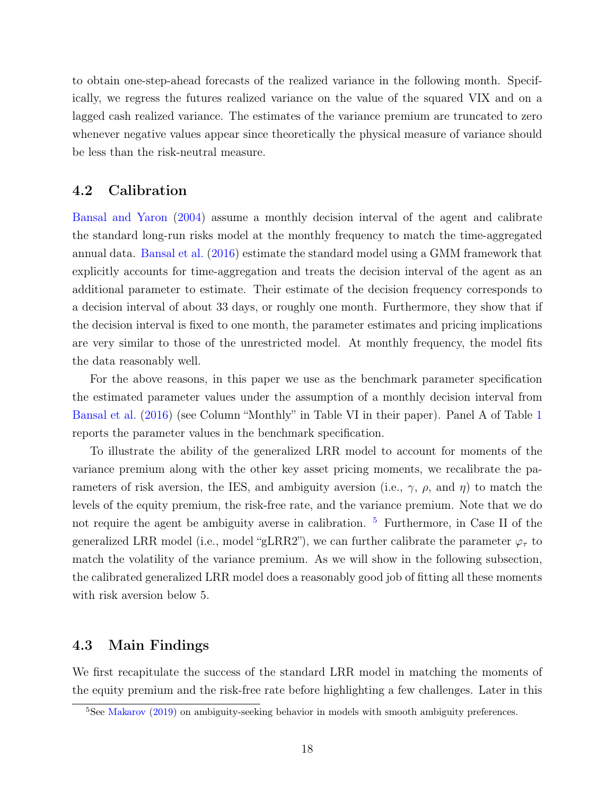to obtain one-step-ahead forecasts of the realized variance in the following month. Specifically, we regress the futures realized variance on the value of the squared VIX and on a lagged cash realized variance. The estimates of the variance premium are truncated to zero whenever negative values appear since theoretically the physical measure of variance should be less than the risk-neutral measure.

#### 4.2 Calibration

[Bansal and Yaron](#page-26-0) [\(2004\)](#page-26-0) assume a monthly decision interval of the agent and calibrate the standard long-run risks model at the monthly frequency to match the time-aggregated annual data. [Bansal et al.](#page-26-13) [\(2016\)](#page-26-13) estimate the standard model using a GMM framework that explicitly accounts for time-aggregation and treats the decision interval of the agent as an additional parameter to estimate. Their estimate of the decision frequency corresponds to a decision interval of about 33 days, or roughly one month. Furthermore, they show that if the decision interval is fixed to one month, the parameter estimates and pricing implications are very similar to those of the unrestricted model. At monthly frequency, the model fits the data reasonably well.

For the above reasons, in this paper we use as the benchmark parameter specification the estimated parameter values under the assumption of a monthly decision interval from [Bansal et al.](#page-26-13) [\(2016\)](#page-26-13) (see Column "Monthly" in Table VI in their paper). Panel A of Table [1](#page-47-0) reports the parameter values in the benchmark specification.

To illustrate the ability of the generalized LRR model to account for moments of the variance premium along with the other key asset pricing moments, we recalibrate the parameters of risk aversion, the IES, and ambiguity aversion (i.e.,  $\gamma$ ,  $\rho$ , and  $\eta$ ) to match the levels of the equity premium, the risk-free rate, and the variance premium. Note that we do not require the agent be ambiguity averse in calibration. <sup>[5](#page-18-0)</sup> Furthermore, in Case II of the generalized LRR model (i.e., model "gLRR2"), we can further calibrate the parameter  $\varphi_{\tau}$  to match the volatility of the variance premium. As we will show in the following subsection, the calibrated generalized LRR model does a reasonably good job of fitting all these moments with risk aversion below 5.

#### 4.3 Main Findings

We first recapitulate the success of the standard LRR model in matching the moments of the equity premium and the risk-free rate before highlighting a few challenges. Later in this

<span id="page-18-0"></span> $5$ See [Makarov](#page-28-16) [\(2019\)](#page-28-16) on ambiguity-seeking behavior in models with smooth ambiguity preferences.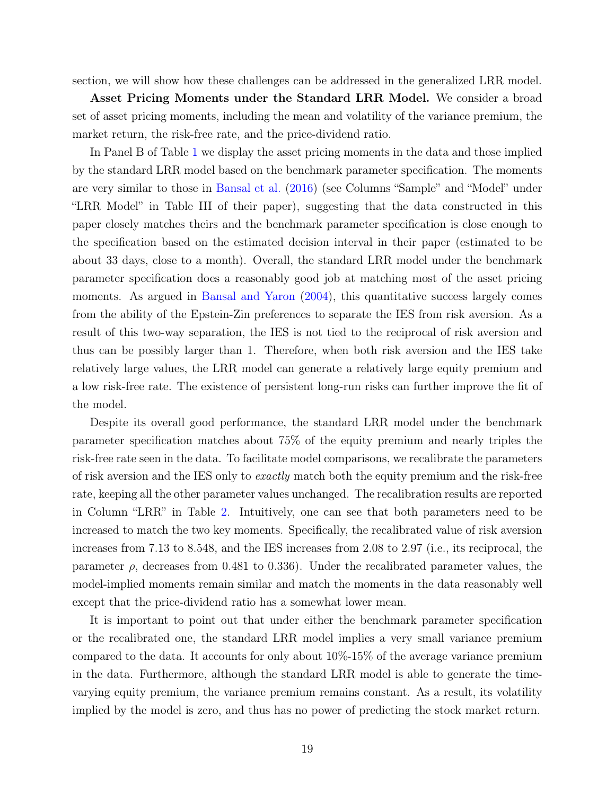section, we will show how these challenges can be addressed in the generalized LRR model.

Asset Pricing Moments under the Standard LRR Model. We consider a broad set of asset pricing moments, including the mean and volatility of the variance premium, the market return, the risk-free rate, and the price-dividend ratio.

In Panel B of Table [1](#page-47-0) we display the asset pricing moments in the data and those implied by the standard LRR model based on the benchmark parameter specification. The moments are very similar to those in [Bansal et al.](#page-26-13) [\(2016\)](#page-26-13) (see Columns "Sample" and "Model" under "LRR Model" in Table III of their paper), suggesting that the data constructed in this paper closely matches theirs and the benchmark parameter specification is close enough to the specification based on the estimated decision interval in their paper (estimated to be about 33 days, close to a month). Overall, the standard LRR model under the benchmark parameter specification does a reasonably good job at matching most of the asset pricing moments. As argued in [Bansal and Yaron](#page-26-0) [\(2004\)](#page-26-0), this quantitative success largely comes from the ability of the Epstein-Zin preferences to separate the IES from risk aversion. As a result of this two-way separation, the IES is not tied to the reciprocal of risk aversion and thus can be possibly larger than 1. Therefore, when both risk aversion and the IES take relatively large values, the LRR model can generate a relatively large equity premium and a low risk-free rate. The existence of persistent long-run risks can further improve the fit of the model.

Despite its overall good performance, the standard LRR model under the benchmark parameter specification matches about 75% of the equity premium and nearly triples the risk-free rate seen in the data. To facilitate model comparisons, we recalibrate the parameters of risk aversion and the IES only to exactly match both the equity premium and the risk-free rate, keeping all the other parameter values unchanged. The recalibration results are reported in Column "LRR" in Table [2.](#page-48-0) Intuitively, one can see that both parameters need to be increased to match the two key moments. Specifically, the recalibrated value of risk aversion increases from 7.13 to 8.548, and the IES increases from 2.08 to 2.97 (i.e., its reciprocal, the parameter  $\rho$ , decreases from 0.481 to 0.336). Under the recalibrated parameter values, the model-implied moments remain similar and match the moments in the data reasonably well except that the price-dividend ratio has a somewhat lower mean.

It is important to point out that under either the benchmark parameter specification or the recalibrated one, the standard LRR model implies a very small variance premium compared to the data. It accounts for only about 10%-15% of the average variance premium in the data. Furthermore, although the standard LRR model is able to generate the timevarying equity premium, the variance premium remains constant. As a result, its volatility implied by the model is zero, and thus has no power of predicting the stock market return.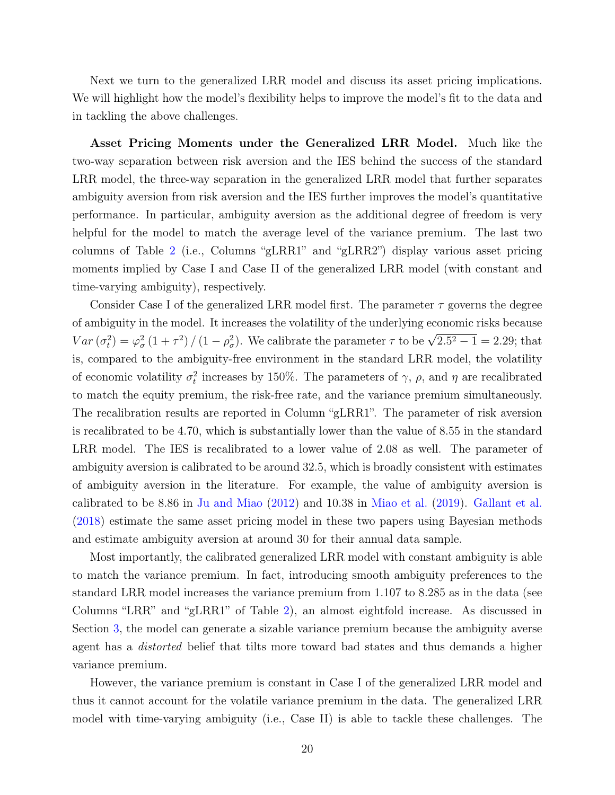Next we turn to the generalized LRR model and discuss its asset pricing implications. We will highlight how the model's flexibility helps to improve the model's fit to the data and in tackling the above challenges.

Asset Pricing Moments under the Generalized LRR Model. Much like the two-way separation between risk aversion and the IES behind the success of the standard LRR model, the three-way separation in the generalized LRR model that further separates ambiguity aversion from risk aversion and the IES further improves the model's quantitative performance. In particular, ambiguity aversion as the additional degree of freedom is very helpful for the model to match the average level of the variance premium. The last two columns of Table [2](#page-48-0) (i.e., Columns "gLRR1" and "gLRR2") display various asset pricing moments implied by Case I and Case II of the generalized LRR model (with constant and time-varying ambiguity), respectively.

Consider Case I of the generalized LRR model first. The parameter  $\tau$  governs the degree of ambiguity in the model. It increases the volatility of the underlying economic risks because Var  $(\sigma_t^2) = \varphi_\sigma^2 (1 + \tau^2) / (1 - \rho_\sigma^2)$ . We calibrate the parameter  $\tau$  to be  $\sqrt{2.5^2 - 1} = 2.29$ ; that is, compared to the ambiguity-free environment in the standard LRR model, the volatility of economic volatility  $\sigma_t^2$  increases by 150%. The parameters of  $\gamma$ ,  $\rho$ , and  $\eta$  are recalibrated to match the equity premium, the risk-free rate, and the variance premium simultaneously. The recalibration results are reported in Column "gLRR1". The parameter of risk aversion is recalibrated to be 4.70, which is substantially lower than the value of 8.55 in the standard LRR model. The IES is recalibrated to a lower value of 2.08 as well. The parameter of ambiguity aversion is calibrated to be around 32.5, which is broadly consistent with estimates of ambiguity aversion in the literature. For example, the value of ambiguity aversion is calibrated to be 8.86 in [Ju and Miao](#page-28-10) [\(2012\)](#page-28-10) and 10.38 in [Miao et al.](#page-28-12) [\(2019\)](#page-28-12). [Gallant et al.](#page-27-8) [\(2018\)](#page-27-8) estimate the same asset pricing model in these two papers using Bayesian methods and estimate ambiguity aversion at around 30 for their annual data sample.

Most importantly, the calibrated generalized LRR model with constant ambiguity is able to match the variance premium. In fact, introducing smooth ambiguity preferences to the standard LRR model increases the variance premium from 1.107 to 8.285 as in the data (see Columns "LRR" and "gLRR1" of Table [2\)](#page-48-0), an almost eightfold increase. As discussed in Section [3,](#page-9-0) the model can generate a sizable variance premium because the ambiguity averse agent has a distorted belief that tilts more toward bad states and thus demands a higher variance premium.

However, the variance premium is constant in Case I of the generalized LRR model and thus it cannot account for the volatile variance premium in the data. The generalized LRR model with time-varying ambiguity (i.e., Case II) is able to tackle these challenges. The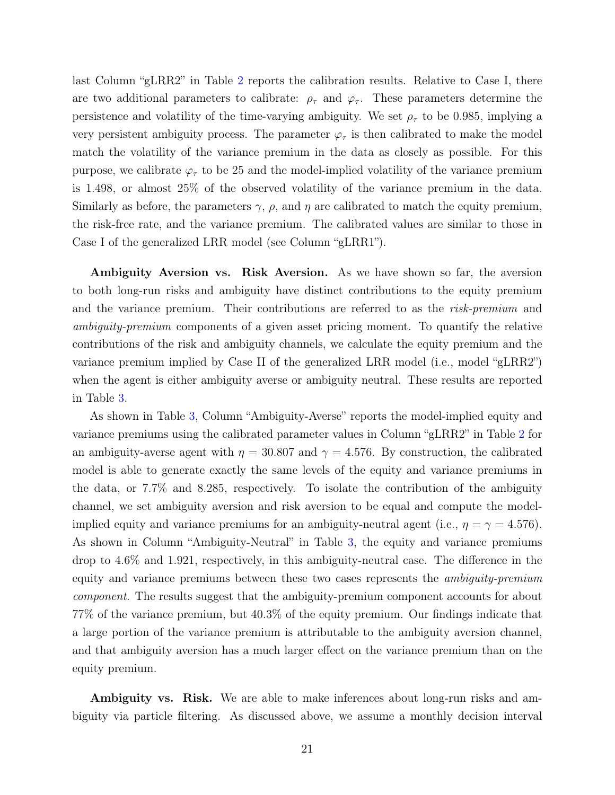last Column "gLRR2" in Table [2](#page-48-0) reports the calibration results. Relative to Case I, there are two additional parameters to calibrate:  $\rho_{\tau}$  and  $\varphi_{\tau}$ . These parameters determine the persistence and volatility of the time-varying ambiguity. We set  $\rho_{\tau}$  to be 0.985, implying a very persistent ambiguity process. The parameter  $\varphi_{\tau}$  is then calibrated to make the model match the volatility of the variance premium in the data as closely as possible. For this purpose, we calibrate  $\varphi_{\tau}$  to be 25 and the model-implied volatility of the variance premium is 1.498, or almost 25% of the observed volatility of the variance premium in the data. Similarly as before, the parameters  $\gamma$ ,  $\rho$ , and  $\eta$  are calibrated to match the equity premium, the risk-free rate, and the variance premium. The calibrated values are similar to those in Case I of the generalized LRR model (see Column "gLRR1").

Ambiguity Aversion vs. Risk Aversion. As we have shown so far, the aversion to both long-run risks and ambiguity have distinct contributions to the equity premium and the variance premium. Their contributions are referred to as the risk-premium and ambiguity-premium components of a given asset pricing moment. To quantify the relative contributions of the risk and ambiguity channels, we calculate the equity premium and the variance premium implied by Case II of the generalized LRR model (i.e., model "gLRR2") when the agent is either ambiguity averse or ambiguity neutral. These results are reported in Table [3.](#page-49-0)

As shown in Table [3,](#page-49-0) Column "Ambiguity-Averse" reports the model-implied equity and variance premiums using the calibrated parameter values in Column "gLRR2" in Table [2](#page-48-0) for an ambiguity-averse agent with  $\eta = 30.807$  and  $\gamma = 4.576$ . By construction, the calibrated model is able to generate exactly the same levels of the equity and variance premiums in the data, or 7.7% and 8.285, respectively. To isolate the contribution of the ambiguity channel, we set ambiguity aversion and risk aversion to be equal and compute the modelimplied equity and variance premiums for an ambiguity-neutral agent (i.e.,  $\eta = \gamma = 4.576$ ). As shown in Column "Ambiguity-Neutral" in Table [3,](#page-49-0) the equity and variance premiums drop to 4.6% and 1.921, respectively, in this ambiguity-neutral case. The difference in the equity and variance premiums between these two cases represents the ambiguity-premium component. The results suggest that the ambiguity-premium component accounts for about 77% of the variance premium, but 40.3% of the equity premium. Our findings indicate that a large portion of the variance premium is attributable to the ambiguity aversion channel, and that ambiguity aversion has a much larger effect on the variance premium than on the equity premium.

**Ambiguity vs. Risk.** We are able to make inferences about long-run risks and ambiguity via particle filtering. As discussed above, we assume a monthly decision interval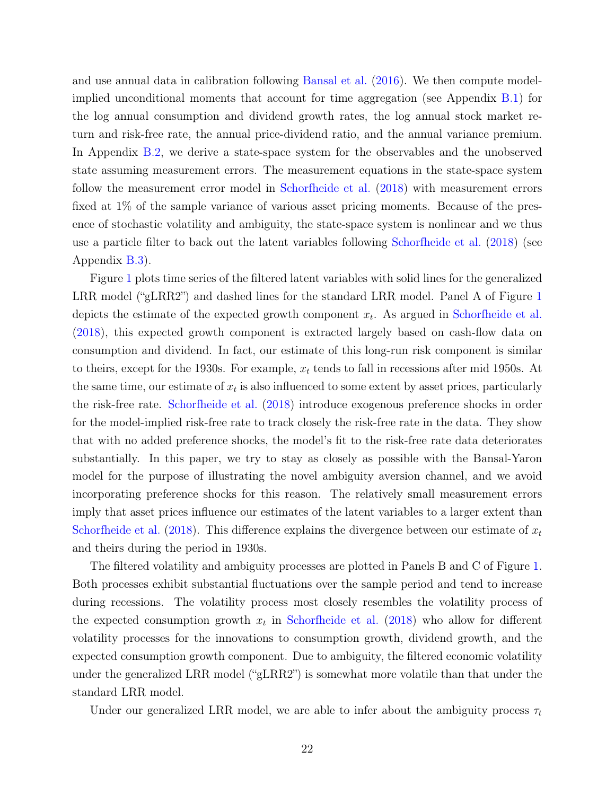and use annual data in calibration following [Bansal et al.](#page-26-13) [\(2016\)](#page-26-13). We then compute modelimplied unconditional moments that account for time aggregation (see Appendix [B.1\)](#page-40-1) for the log annual consumption and dividend growth rates, the log annual stock market return and risk-free rate, the annual price-dividend ratio, and the annual variance premium. In Appendix [B.2,](#page-41-0) we derive a state-space system for the observables and the unobserved state assuming measurement errors. The measurement equations in the state-space system follow the measurement error model in [Schorfheide et al.](#page-29-1) [\(2018\)](#page-29-1) with measurement errors fixed at 1% of the sample variance of various asset pricing moments. Because of the presence of stochastic volatility and ambiguity, the state-space system is nonlinear and we thus use a particle filter to back out the latent variables following [Schorfheide et al.](#page-29-1) [\(2018\)](#page-29-1) (see Appendix [B.3\)](#page-45-0).

Figure [1](#page-50-0) plots time series of the filtered latent variables with solid lines for the generalized LRR model ("gLRR2") and dashed lines for the standard LRR model. Panel A of Figure [1](#page-50-0) depicts the estimate of the expected growth component  $x_t$ . As argued in [Schorfheide et al.](#page-29-1) [\(2018\)](#page-29-1), this expected growth component is extracted largely based on cash-flow data on consumption and dividend. In fact, our estimate of this long-run risk component is similar to theirs, except for the 1930s. For example,  $x_t$  tends to fall in recessions after mid 1950s. At the same time, our estimate of  $x_t$  is also influenced to some extent by asset prices, particularly the risk-free rate. [Schorfheide et al.](#page-29-1) [\(2018\)](#page-29-1) introduce exogenous preference shocks in order for the model-implied risk-free rate to track closely the risk-free rate in the data. They show that with no added preference shocks, the model's fit to the risk-free rate data deteriorates substantially. In this paper, we try to stay as closely as possible with the Bansal-Yaron model for the purpose of illustrating the novel ambiguity aversion channel, and we avoid incorporating preference shocks for this reason. The relatively small measurement errors imply that asset prices influence our estimates of the latent variables to a larger extent than [Schorfheide et al.](#page-29-1) [\(2018\)](#page-29-1). This difference explains the divergence between our estimate of  $x_t$ and theirs during the period in 1930s.

The filtered volatility and ambiguity processes are plotted in Panels B and C of Figure [1.](#page-50-0) Both processes exhibit substantial fluctuations over the sample period and tend to increase during recessions. The volatility process most closely resembles the volatility process of the expected consumption growth  $x_t$  in [Schorfheide et al.](#page-29-1) [\(2018\)](#page-29-1) who allow for different volatility processes for the innovations to consumption growth, dividend growth, and the expected consumption growth component. Due to ambiguity, the filtered economic volatility under the generalized LRR model ("gLRR2") is somewhat more volatile than that under the standard LRR model.

Under our generalized LRR model, we are able to infer about the ambiguity process  $\tau_t$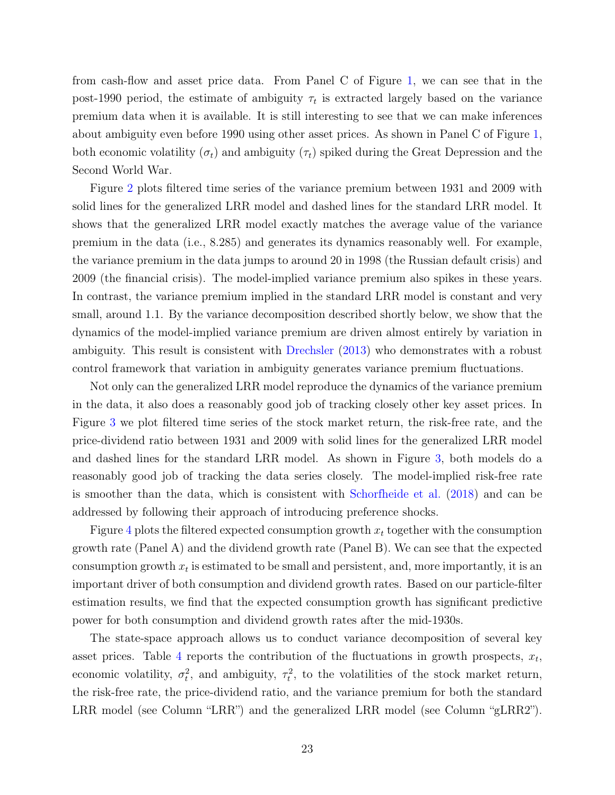from cash-flow and asset price data. From Panel C of Figure [1,](#page-50-0) we can see that in the post-1990 period, the estimate of ambiguity  $\tau_t$  is extracted largely based on the variance premium data when it is available. It is still interesting to see that we can make inferences about ambiguity even before 1990 using other asset prices. As shown in Panel C of Figure [1,](#page-50-0) both economic volatility  $(\sigma_t)$  and ambiguity  $(\tau_t)$  spiked during the Great Depression and the Second World War.

Figure [2](#page-51-0) plots filtered time series of the variance premium between 1931 and 2009 with solid lines for the generalized LRR model and dashed lines for the standard LRR model. It shows that the generalized LRR model exactly matches the average value of the variance premium in the data (i.e., 8.285) and generates its dynamics reasonably well. For example, the variance premium in the data jumps to around 20 in 1998 (the Russian default crisis) and 2009 (the financial crisis). The model-implied variance premium also spikes in these years. In contrast, the variance premium implied in the standard LRR model is constant and very small, around 1.1. By the variance decomposition described shortly below, we show that the dynamics of the model-implied variance premium are driven almost entirely by variation in ambiguity. This result is consistent with [Drechsler](#page-27-10) [\(2013\)](#page-27-10) who demonstrates with a robust control framework that variation in ambiguity generates variance premium fluctuations.

Not only can the generalized LRR model reproduce the dynamics of the variance premium in the data, it also does a reasonably good job of tracking closely other key asset prices. In Figure [3](#page-52-0) we plot filtered time series of the stock market return, the risk-free rate, and the price-dividend ratio between 1931 and 2009 with solid lines for the generalized LRR model and dashed lines for the standard LRR model. As shown in Figure [3,](#page-52-0) both models do a reasonably good job of tracking the data series closely. The model-implied risk-free rate is smoother than the data, which is consistent with [Schorfheide et al.](#page-29-1) [\(2018\)](#page-29-1) and can be addressed by following their approach of introducing preference shocks.

Figure [4](#page-53-0) plots the filtered expected consumption growth  $x_t$  together with the consumption growth rate (Panel A) and the dividend growth rate (Panel B). We can see that the expected consumption growth  $x_t$  is estimated to be small and persistent, and, more importantly, it is an important driver of both consumption and dividend growth rates. Based on our particle-filter estimation results, we find that the expected consumption growth has significant predictive power for both consumption and dividend growth rates after the mid-1930s.

The state-space approach allows us to conduct variance decomposition of several key asset prices. Table [4](#page-49-1) reports the contribution of the fluctuations in growth prospects,  $x_t$ , economic volatility,  $\sigma_t^2$ , and ambiguity,  $\tau_t^2$ , to the volatilities of the stock market return, the risk-free rate, the price-dividend ratio, and the variance premium for both the standard LRR model (see Column "LRR") and the generalized LRR model (see Column "gLRR2").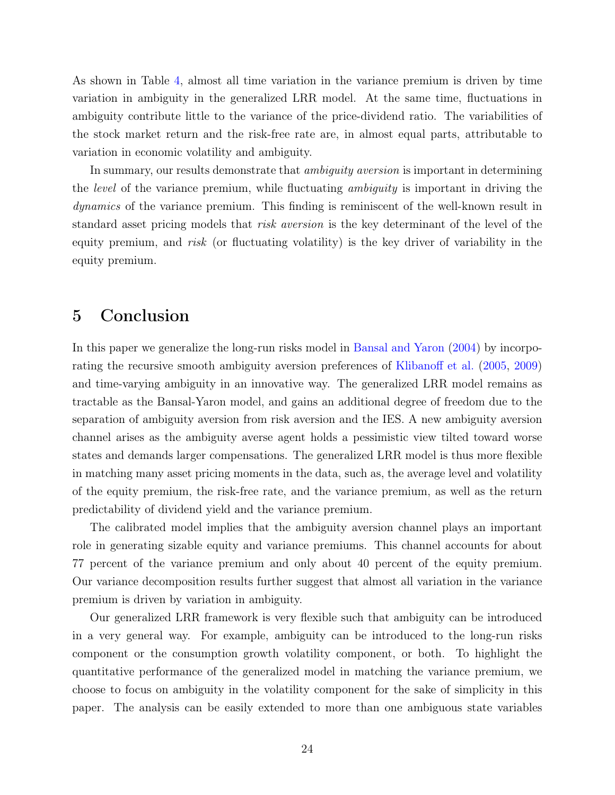As shown in Table [4,](#page-49-1) almost all time variation in the variance premium is driven by time variation in ambiguity in the generalized LRR model. At the same time, fluctuations in ambiguity contribute little to the variance of the price-dividend ratio. The variabilities of the stock market return and the risk-free rate are, in almost equal parts, attributable to variation in economic volatility and ambiguity.

In summary, our results demonstrate that *ambiguity aversion* is important in determining the level of the variance premium, while fluctuating ambiguity is important in driving the dynamics of the variance premium. This finding is reminiscent of the well-known result in standard asset pricing models that risk aversion is the key determinant of the level of the equity premium, and risk (or fluctuating volatility) is the key driver of variability in the equity premium.

## <span id="page-24-0"></span>5 Conclusion

In this paper we generalize the long-run risks model in [Bansal and Yaron](#page-26-0) [\(2004\)](#page-26-0) by incorporating the recursive smooth ambiguity aversion preferences of [Klibanoff et al.](#page-28-1) [\(2005,](#page-28-1) [2009\)](#page-28-2) and time-varying ambiguity in an innovative way. The generalized LRR model remains as tractable as the Bansal-Yaron model, and gains an additional degree of freedom due to the separation of ambiguity aversion from risk aversion and the IES. A new ambiguity aversion channel arises as the ambiguity averse agent holds a pessimistic view tilted toward worse states and demands larger compensations. The generalized LRR model is thus more flexible in matching many asset pricing moments in the data, such as, the average level and volatility of the equity premium, the risk-free rate, and the variance premium, as well as the return predictability of dividend yield and the variance premium.

The calibrated model implies that the ambiguity aversion channel plays an important role in generating sizable equity and variance premiums. This channel accounts for about 77 percent of the variance premium and only about 40 percent of the equity premium. Our variance decomposition results further suggest that almost all variation in the variance premium is driven by variation in ambiguity.

Our generalized LRR framework is very flexible such that ambiguity can be introduced in a very general way. For example, ambiguity can be introduced to the long-run risks component or the consumption growth volatility component, or both. To highlight the quantitative performance of the generalized model in matching the variance premium, we choose to focus on ambiguity in the volatility component for the sake of simplicity in this paper. The analysis can be easily extended to more than one ambiguous state variables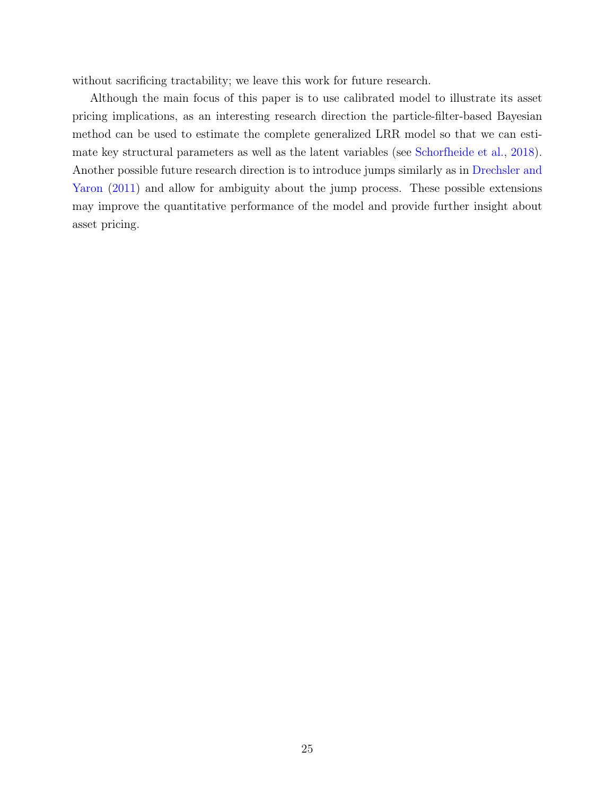without sacrificing tractability; we leave this work for future research.

Although the main focus of this paper is to use calibrated model to illustrate its asset pricing implications, as an interesting research direction the particle-filter-based Bayesian method can be used to estimate the complete generalized LRR model so that we can estimate key structural parameters as well as the latent variables (see [Schorfheide et al.,](#page-29-1) [2018\)](#page-29-1). Another possible future research direction is to introduce jumps similarly as in [Drechsler and](#page-27-4) [Yaron](#page-27-4)  $(2011)$  and allow for ambiguity about the jump process. These possible extensions may improve the quantitative performance of the model and provide further insight about asset pricing.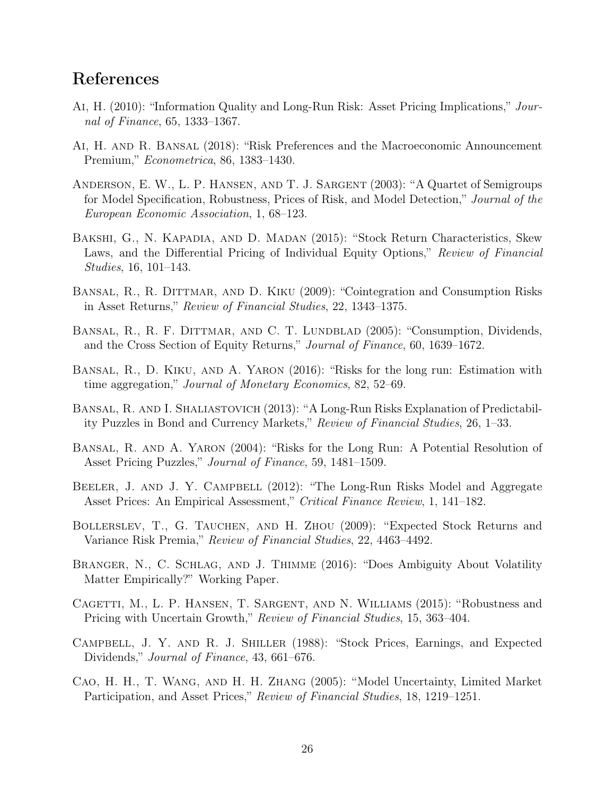## References

- <span id="page-26-4"></span>Ai, H. (2010): "Information Quality and Long-Run Risk: Asset Pricing Implications," Journal of Finance, 65, 1333–1367.
- <span id="page-26-9"></span>Ai, H. and R. Bansal (2018): "Risk Preferences and the Macroeconomic Announcement Premium," Econometrica, 86, 1383–1430.
- <span id="page-26-10"></span>Anderson, E. W., L. P. Hansen, and T. J. Sargent (2003): "A Quartet of Semigroups for Model Specification, Robustness, Prices of Risk, and Model Detection," Journal of the European Economic Association, 1, 68–123.
- <span id="page-26-6"></span>Bakshi, G., N. Kapadia, and D. Madan (2015): "Stock Return Characteristics, Skew Laws, and the Differential Pricing of Individual Equity Options," Review of Financial Studies, 16, 101–143.
- <span id="page-26-3"></span>BANSAL, R., R. DITTMAR, AND D. KIKU (2009): "Cointegration and Consumption Risks in Asset Returns," Review of Financial Studies, 22, 1343–1375.
- <span id="page-26-2"></span>BANSAL, R., R. F. DITTMAR, AND C. T. LUNDBLAD (2005): "Consumption, Dividends, and the Cross Section of Equity Returns," Journal of Finance, 60, 1639–1672.
- <span id="page-26-13"></span>Bansal, R., D. Kiku, and A. Yaron (2016): "Risks for the long run: Estimation with time aggregation," Journal of Monetary Economics, 82, 52–69.
- <span id="page-26-1"></span>Bansal, R. and I. Shaliastovich (2013): "A Long-Run Risks Explanation of Predictability Puzzles in Bond and Currency Markets," Review of Financial Studies, 26, 1–33.
- <span id="page-26-0"></span>Bansal, R. and A. Yaron (2004): "Risks for the Long Run: A Potential Resolution of Asset Pricing Puzzles," Journal of Finance, 59, 1481–1509.
- <span id="page-26-14"></span>BEELER, J. AND J. Y. CAMPBELL (2012): "The Long-Run Risks Model and Aggregate Asset Prices: An Empirical Assessment," Critical Finance Review, 1, 141–182.
- <span id="page-26-7"></span>Bollerslev, T., G. Tauchen, and H. Zhou (2009): "Expected Stock Returns and Variance Risk Premia," Review of Financial Studies, 22, 4463–4492.
- <span id="page-26-5"></span>Branger, N., C. Schlag, and J. Thimme (2016): "Does Ambiguity About Volatility Matter Empirically?" Working Paper.
- <span id="page-26-11"></span>Cagetti, M., L. P. Hansen, T. Sargent, and N. Williams (2015): "Robustness and Pricing with Uncertain Growth," Review of Financial Studies, 15, 363–404.
- <span id="page-26-12"></span>Campbell, J. Y. and R. J. Shiller (1988): "Stock Prices, Earnings, and Expected Dividends," Journal of Finance, 43, 661–676.
- <span id="page-26-8"></span>Cao, H. H., T. Wang, and H. H. Zhang (2005): "Model Uncertainty, Limited Market Participation, and Asset Prices," Review of Financial Studies, 18, 1219–1251.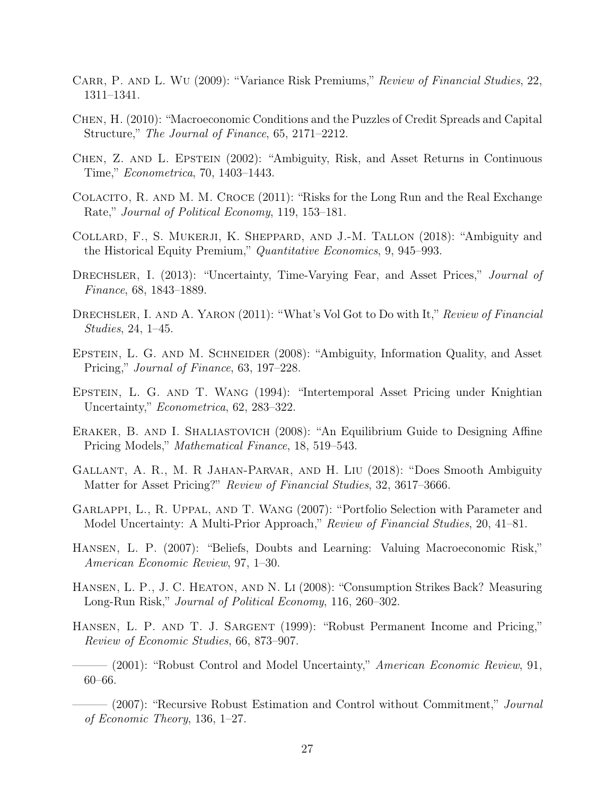- <span id="page-27-9"></span>CARR, P. AND L. WU (2009): "Variance Risk Premiums," Review of Financial Studies, 22, 1311–1341.
- <span id="page-27-3"></span>Chen, H. (2010): "Macroeconomic Conditions and the Puzzles of Credit Spreads and Capital Structure," The Journal of Finance, 65, 2171–2212.
- <span id="page-27-12"></span>Chen, Z. and L. Epstein (2002): "Ambiguity, Risk, and Asset Returns in Continuous Time," Econometrica, 70, 1403–1443.
- <span id="page-27-7"></span>Colacito, R. and M. M. Croce (2011): "Risks for the Long Run and the Real Exchange Rate," Journal of Political Economy, 119, 153–181.
- <span id="page-27-15"></span>Collard, F., S. Mukerji, K. Sheppard, and J.-M. Tallon (2018): "Ambiguity and the Historical Equity Premium," Quantitative Economics, 9, 945–993.
- <span id="page-27-10"></span>DRECHSLER, I. (2013): "Uncertainty, Time-Varying Fear, and Asset Prices," Journal of Finance, 68, 1843–1889.
- <span id="page-27-4"></span>DRECHSLER, I. AND A. YARON (2011): "What's Vol Got to Do with It," Review of Financial Studies, 24, 1–45.
- <span id="page-27-14"></span>EPSTEIN, L. G. AND M. SCHNEIDER (2008): "Ambiguity, Information Quality, and Asset Pricing," Journal of Finance, 63, 197–228.
- <span id="page-27-11"></span>Epstein, L. G. and T. Wang (1994): "Intertemporal Asset Pricing under Knightian Uncertainty," *Econometrica*, 62, 283-322.
- <span id="page-27-5"></span>Eraker, B. and I. Shaliastovich (2008): "An Equilibrium Guide to Designing Affine Pricing Models," Mathematical Finance, 18, 519–543.
- <span id="page-27-8"></span>Gallant, A. R., M. R Jahan-Parvar, and H. Liu (2018): "Does Smooth Ambiguity Matter for Asset Pricing?" Review of Financial Studies, 32, 3617–3666.
- <span id="page-27-13"></span>Garlappi, L., R. Uppal, and T. Wang (2007): "Portfolio Selection with Parameter and Model Uncertainty: A Multi-Prior Approach," Review of Financial Studies, 20, 41–81.
- <span id="page-27-0"></span>Hansen, L. P. (2007): "Beliefs, Doubts and Learning: Valuing Macroeconomic Risk," American Economic Review, 97, 1–30.
- <span id="page-27-6"></span>Hansen, L. P., J. C. Heaton, and N. Li (2008): "Consumption Strikes Back? Measuring Long-Run Risk," Journal of Political Economy, 116, 260–302.
- <span id="page-27-16"></span>HANSEN, L. P. AND T. J. SARGENT (1999): "Robust Permanent Income and Pricing," Review of Economic Studies, 66, 873–907.
- <span id="page-27-1"></span> $-$  (2001): "Robust Control and Model Uncertainty," American Economic Review, 91, 60–66.
- <span id="page-27-2"></span>—— (2007): "Recursive Robust Estimation and Control without Commitment," *Journal* of Economic Theory, 136, 1–27.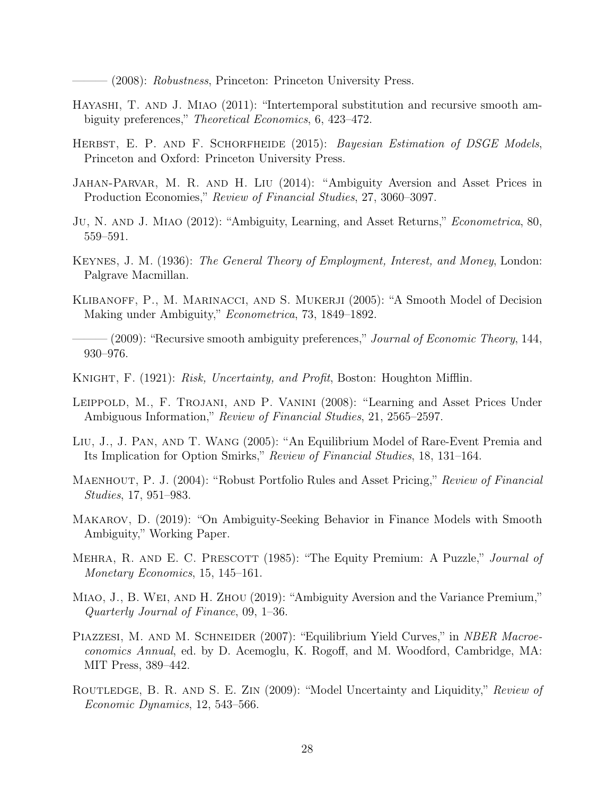(2008): Robustness, Princeton: Princeton University Press.

- <span id="page-28-15"></span><span id="page-28-5"></span>HAYASHI, T. AND J. MIAO (2011): "Intertemporal substitution and recursive smooth ambiguity preferences," *Theoretical Economics*, 6, 423–472.
- <span id="page-28-6"></span>HERBST, E. P. AND F. SCHORFHEIDE (2015): Bayesian Estimation of DSGE Models, Princeton and Oxford: Princeton University Press.
- <span id="page-28-11"></span>Jahan-Parvar, M. R. and H. Liu (2014): "Ambiguity Aversion and Asset Prices in Production Economies," Review of Financial Studies, 27, 3060–3097.
- <span id="page-28-10"></span>Ju, N. and J. Miao (2012): "Ambiguity, Learning, and Asset Returns," Econometrica, 80, 559–591.
- <span id="page-28-4"></span>Keynes, J. M. (1936): The General Theory of Employment, Interest, and Money, London: Palgrave Macmillan.
- <span id="page-28-1"></span>KLIBANOFF, P., M. MARINACCI, AND S. MUKERJI (2005): "A Smooth Model of Decision Making under Ambiguity," Econometrica, 73, 1849–1892.
- <span id="page-28-2"></span> $-(2009)$ : "Recursive smooth ambiguity preferences," *Journal of Economic Theory*, 144, 930–976.
- <span id="page-28-3"></span>KNIGHT, F. (1921): Risk, Uncertainty, and Profit, Boston: Houghton Mifflin.
- <span id="page-28-8"></span>Leippold, M., F. Trojani, and P. Vanini (2008): "Learning and Asset Prices Under Ambiguous Information," Review of Financial Studies, 21, 2565–2597.
- <span id="page-28-14"></span>Liu, J., J. Pan, and T. Wang (2005): "An Equilibrium Model of Rare-Event Premia and Its Implication for Option Smirks," Review of Financial Studies, 18, 131–164.
- <span id="page-28-13"></span>MAENHOUT, P. J. (2004): "Robust Portfolio Rules and Asset Pricing," Review of Financial Studies, 17, 951–983.
- <span id="page-28-16"></span>Makarov, D. (2019): "On Ambiguity-Seeking Behavior in Finance Models with Smooth Ambiguity," Working Paper.
- <span id="page-28-0"></span>MEHRA, R. AND E. C. PRESCOTT (1985): "The Equity Premium: A Puzzle," *Journal of* Monetary Economics, 15, 145–161.
- <span id="page-28-12"></span>Miao, J., B. Wei, and H. Zhou (2019): "Ambiguity Aversion and the Variance Premium," Quarterly Journal of Finance, 09, 1–36.
- <span id="page-28-7"></span>PIAZZESI, M. AND M. SCHNEIDER (2007): "Equilibrium Yield Curves," in *NBER Macroe*conomics Annual, ed. by D. Acemoglu, K. Rogoff, and M. Woodford, Cambridge, MA: MIT Press, 389–442.
- <span id="page-28-9"></span>ROUTLEDGE, B. R. AND S. E. ZIN (2009): "Model Uncertainty and Liquidity," Review of Economic Dynamics, 12, 543–566.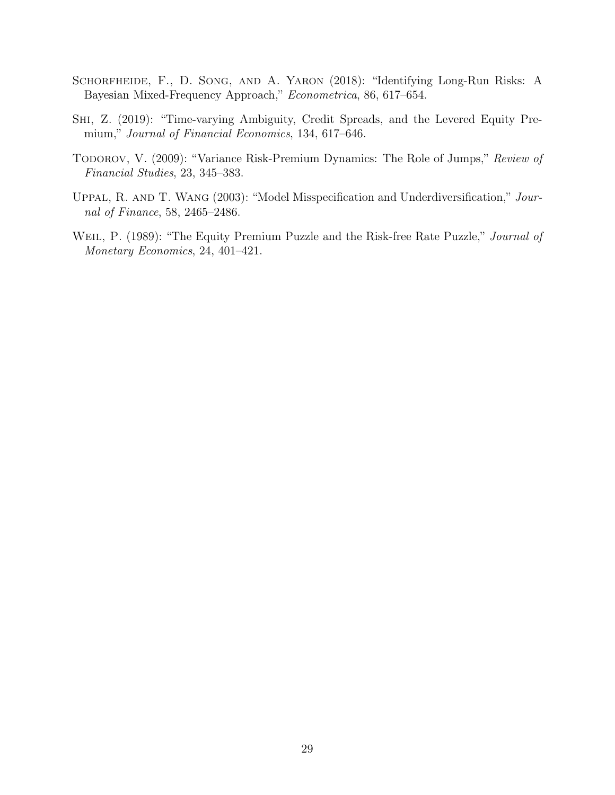- <span id="page-29-1"></span>Schorfheide, F., D. Song, and A. Yaron (2018): "Identifying Long-Run Risks: A Bayesian Mixed-Frequency Approach," Econometrica, 86, 617–654.
- <span id="page-29-3"></span>Shi, Z. (2019): "Time-varying Ambiguity, Credit Spreads, and the Levered Equity Premium," Journal of Financial Economics, 134, 617–646.
- <span id="page-29-2"></span>TODOROV, V. (2009): "Variance Risk-Premium Dynamics: The Role of Jumps," Review of Financial Studies, 23, 345–383.
- <span id="page-29-4"></span>Uppal, R. and T. Wang (2003): "Model Misspecification and Underdiversification," Journal of Finance, 58, 2465–2486.
- <span id="page-29-0"></span>WEIL, P. (1989): "The Equity Premium Puzzle and the Risk-free Rate Puzzle," Journal of Monetary Economics, 24, 401–421.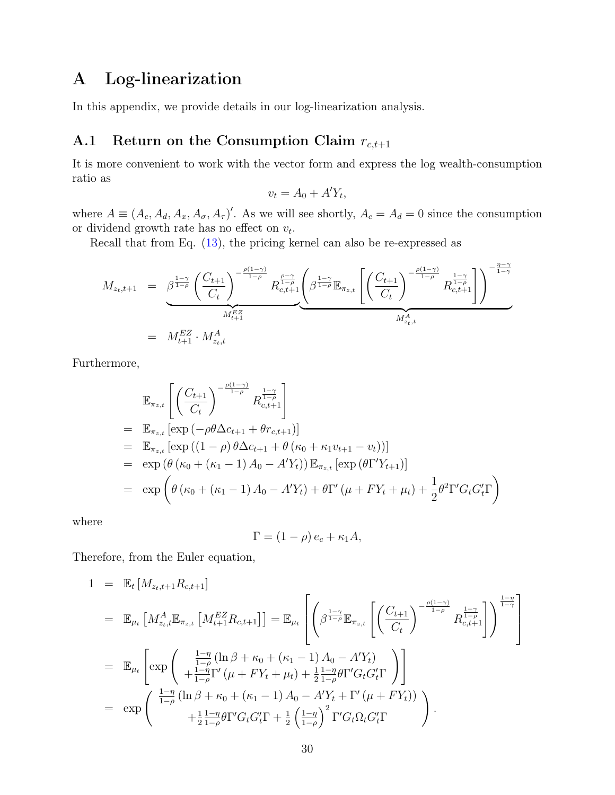# <span id="page-30-0"></span>A Log-linearization

In this appendix, we provide details in our log-linearization analysis.

## <span id="page-30-1"></span>A.1 Return on the Consumption Claim  $r_{c,t+1}$

It is more convenient to work with the vector form and express the log wealth-consumption ratio as

$$
v_t = A_0 + A'Y_t,
$$

where  $A \equiv (A_c, A_d, A_x, A_\sigma, A_\tau)'$ . As we will see shortly,  $A_c = A_d = 0$  since the consumption or dividend growth rate has no effect on  $v_t$ .

Recall that from Eq. [\(13\)](#page-9-2), the pricing kernel can also be re-expressed as

$$
M_{z_t, t+1} = \underbrace{\beta^{\frac{1-\gamma}{1-\rho}} \left( \frac{C_{t+1}}{C_t} \right)^{-\frac{\rho(1-\gamma)}{1-\rho}} R_{c, t+1}^{\frac{\rho-\gamma}{1-\rho}} \left( \beta^{\frac{1-\gamma}{1-\rho}} \mathbb{E}_{\pi_{z,t}} \left[ \left( \frac{C_{t+1}}{C_t} \right)^{-\frac{\rho(1-\gamma)}{1-\rho}} R_{c, t+1}^{\frac{1-\gamma}{1-\rho}} \right] \right)^{-\frac{\eta-\gamma}{1-\gamma}}}_{M_{z_t, t}^A}
$$
\n
$$
= M_{t+1}^{EZ} \cdot M_{z_t, t}^A
$$

Furthermore,

$$
\mathbb{E}_{\pi_{z,t}} \left[ \left( \frac{C_{t+1}}{C_t} \right)^{-\frac{\rho(1-\gamma)}{1-\rho}} R_{c,t+1}^{\frac{1-\gamma}{1-\rho}} \right]
$$
\n
$$
= \mathbb{E}_{\pi_{z,t}} \left[ \exp \left( -\rho \theta \Delta c_{t+1} + \theta r_{c,t+1} \right) \right]
$$
\n
$$
= \mathbb{E}_{\pi_{z,t}} \left[ \exp \left( (1-\rho) \theta \Delta c_{t+1} + \theta \left( \kappa_0 + \kappa_1 v_{t+1} - v_t \right) \right) \right]
$$
\n
$$
= \exp \left( \theta \left( \kappa_0 + (\kappa_1 - 1) A_0 - A' Y_t \right) \right) \mathbb{E}_{\pi_{z,t}} \left[ \exp \left( \theta \Gamma' Y_{t+1} \right) \right]
$$
\n
$$
= \exp \left( \theta \left( \kappa_0 + (\kappa_1 - 1) A_0 - A' Y_t \right) + \theta \Gamma' \left( \mu + F Y_t + \mu_t \right) + \frac{1}{2} \theta^2 \Gamma' G_t G_t' \Gamma \right)
$$

where

$$
\Gamma = (1 - \rho) e_c + \kappa_1 A,
$$

Therefore, from the Euler equation,

$$
1 = \mathbb{E}_{t}[M_{z_{t},t+1}R_{c,t+1}]
$$
  
\n
$$
= \mathbb{E}_{\mu_{t}}[M_{z_{t},t}^{A}\mathbb{E}_{\pi_{z,t}}[M_{t+1}^{EZ}R_{c,t+1}]] = \mathbb{E}_{\mu_{t}}\left[\left(\beta^{\frac{1-\gamma}{1-\rho}}\mathbb{E}_{\pi_{z,t}}\left[\left(\frac{C_{t+1}}{C_{t}}\right)^{-\frac{\rho(1-\gamma)}{1-\rho}}R_{c,t+1}^{\frac{1-\gamma}{1-\rho}}\right]\right)^{\frac{1-\eta}{1-\gamma}}\right]
$$
  
\n
$$
= \mathbb{E}_{\mu_{t}}\left[\exp\left(\begin{array}{c} \frac{1-\eta}{1-\rho}(\ln\beta+\kappa_{0}+(k_{1}-1)A_{0}-A'Y_{t})\\ +\frac{1-\eta}{1-\rho}\Gamma'(\mu+FY_{t}+\mu_{t})+\frac{1}{2}\frac{1-\eta}{1-\rho}\theta\Gamma'G_{t}G'_{t}\Gamma \end{array}\right)\right]
$$
  
\n
$$
= \exp\left(\begin{array}{c} \frac{1-\eta}{1-\rho}(\ln\beta+\kappa_{0}+(k_{1}-1)A_{0}-A'Y_{t}+\Gamma'(\mu+FY_{t}))\\ +\frac{1}{2}\frac{1-\eta}{1-\rho}\theta\Gamma'G_{t}G'_{t}\Gamma+\frac{1}{2}\left(\frac{1-\eta}{1-\rho}\right)^{2}\Gamma'G_{t}\Omega_{t}G'_{t}\Gamma \end{array}\right).
$$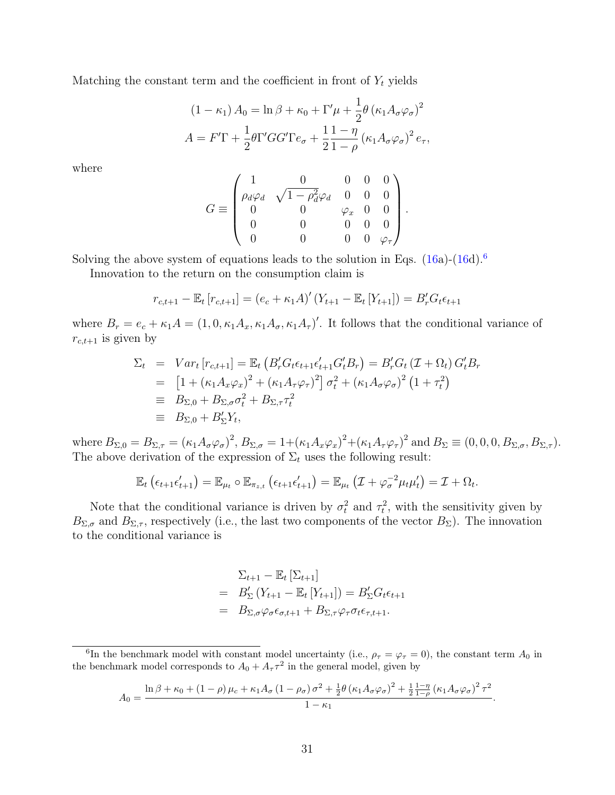Matching the constant term and the coefficient in front of  $Y_t$  yields

$$
(1 - \kappa_1) A_0 = \ln \beta + \kappa_0 + \Gamma' \mu + \frac{1}{2} \theta \left( \kappa_1 A_\sigma \varphi_\sigma \right)^2
$$
  

$$
A = F'\Gamma + \frac{1}{2} \theta \Gamma' GG' \Gamma e_\sigma + \frac{1}{2} \frac{1 - \eta}{1 - \rho} \left( \kappa_1 A_\sigma \varphi_\sigma \right)^2 e_\tau,
$$

where

$$
G \equiv \begin{pmatrix} 1 & 0 & 0 & 0 & 0 \\ \rho_d \varphi_d & \sqrt{1-\rho_d^2} \varphi_d & 0 & 0 & 0 \\ 0 & 0 & \varphi_x & 0 & 0 \\ 0 & 0 & 0 & 0 & 0 \\ 0 & 0 & 0 & 0 & \varphi_\tau \end{pmatrix}.
$$

Solving the above system of equations leads to the solution in Eqs.  $(16a)-(16d).<sup>6</sup>$  $(16a)-(16d).<sup>6</sup>$  $(16a)-(16d).<sup>6</sup>$  $(16a)-(16d).<sup>6</sup>$  $(16a)-(16d).<sup>6</sup>$  $(16a)-(16d).<sup>6</sup>$ 

Innovation to the return on the consumption claim is

$$
r_{c,t+1} - \mathbb{E}_t [r_{c,t+1}] = (e_c + \kappa_1 A)' (Y_{t+1} - \mathbb{E}_t [Y_{t+1}]) = B'_r G_t \epsilon_{t+1}
$$

where  $B_r = e_c + \kappa_1 A = (1, 0, \kappa_1 A_x, \kappa_1 A_\sigma, \kappa_1 A_\tau)'$ . It follows that the conditional variance of  $r_{c,t+1}$  is given by

$$
\Sigma_{t} = Var_{t}[r_{c,t+1}] = \mathbb{E}_{t} \left( B'_{r} G_{t} \epsilon_{t+1} \epsilon'_{t+1} G'_{t} B_{r} \right) = B'_{r} G_{t} \left( \mathcal{I} + \Omega_{t} \right) G'_{t} B_{r}
$$
\n
$$
= \left[ 1 + \left( \kappa_{1} A_{x} \varphi_{x} \right)^{2} + \left( \kappa_{1} A_{\tau} \varphi_{\tau} \right)^{2} \right] \sigma_{t}^{2} + \left( \kappa_{1} A_{\sigma} \varphi_{\sigma} \right)^{2} \left( 1 + \tau_{t}^{2} \right)
$$
\n
$$
\equiv B_{\Sigma,0} + B_{\Sigma,\sigma} \sigma_{t}^{2} + B_{\Sigma,\tau} \tau_{t}^{2}
$$
\n
$$
\equiv B_{\Sigma,0} + B'_{\Sigma} Y_{t},
$$

where  $B_{\Sigma,0} = B_{\Sigma,\tau} = (\kappa_1 A_{\sigma} \varphi_{\sigma})^2$ ,  $B_{\Sigma,\sigma} = 1 + (\kappa_1 A_x \varphi_x)^2 + (\kappa_1 A_{\tau} \varphi_{\tau})^2$  and  $B_{\Sigma} \equiv (0,0,0,B_{\Sigma,\sigma},B_{\Sigma,\tau})$ . The above derivation of the expression of  $\Sigma_t$  uses the following result:

$$
\mathbb{E}_t\left(\epsilon_{t+1}\epsilon_{t+1}'\right)=\mathbb{E}_{\mu_t}\circ\mathbb{E}_{\pi_{z,t}}\left(\epsilon_{t+1}\epsilon_{t+1}'\right)=\mathbb{E}_{\mu_t}\left(\mathcal{I}+\varphi_{\sigma}^{-2}\mu_t\mu_t'\right)=\mathcal{I}+\Omega_t.
$$

Note that the conditional variance is driven by  $\sigma_t^2$  and  $\tau_t^2$ , with the sensitivity given by  $B_{\Sigma,\sigma}$  and  $B_{\Sigma,\tau}$ , respectively (i.e., the last two components of the vector  $B_{\Sigma}$ ). The innovation to the conditional variance is

$$
\Sigma_{t+1} - \mathbb{E}_t [\Sigma_{t+1}]
$$
\n
$$
= B_{\Sigma}^{\prime} (Y_{t+1} - \mathbb{E}_t [Y_{t+1}]) = B_{\Sigma}^{\prime} G_t \epsilon_{t+1}
$$
\n
$$
= B_{\Sigma, \sigma} \varphi_{\sigma} \epsilon_{\sigma, t+1} + B_{\Sigma, \tau} \varphi_{\tau} \sigma_t \epsilon_{\tau, t+1}.
$$

$$
A_0 = \frac{\ln \beta + \kappa_0 + (1 - \rho)\mu_c + \kappa_1 A_\sigma (1 - \rho_\sigma)\sigma^2 + \frac{1}{2}\theta (\kappa_1 A_\sigma \varphi_\sigma)^2 + \frac{1}{2}\frac{1 - \eta}{1 - \rho} (\kappa_1 A_\sigma \varphi_\sigma)^2 \tau^2}{1 - \kappa_1}.
$$

<span id="page-31-0"></span><sup>&</sup>lt;sup>6</sup>In the benchmark model with constant model uncertainty (i.e.,  $\rho_{\tau} = \varphi_{\tau} = 0$ ), the constant term  $A_0$  in the benchmark model corresponds to  $A_0 + A_\tau \tau^2$  in the general model, given by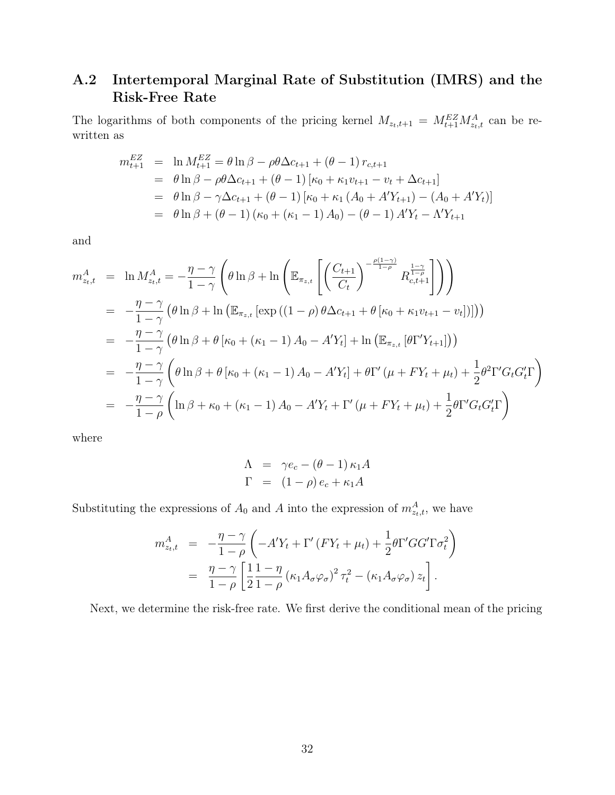## A.2 Intertemporal Marginal Rate of Substitution (IMRS) and the Risk-Free Rate

The logarithms of both components of the pricing kernel  $M_{z_t,t+1} = M_{t+1}^{EZ} M_{z_t,t}^A$  can be rewritten as

$$
m_{t+1}^{EZ} = \ln M_{t+1}^{EZ} = \theta \ln \beta - \rho \theta \Delta c_{t+1} + (\theta - 1) r_{c,t+1}
$$
  
=  $\theta \ln \beta - \rho \theta \Delta c_{t+1} + (\theta - 1) [\kappa_0 + \kappa_1 v_{t+1} - v_t + \Delta c_{t+1}]$   
=  $\theta \ln \beta - \gamma \Delta c_{t+1} + (\theta - 1) [\kappa_0 + \kappa_1 (A_0 + A' Y_{t+1}) - (A_0 + A' Y_t)]$   
=  $\theta \ln \beta + (\theta - 1) (\kappa_0 + (\kappa_1 - 1) A_0) - (\theta - 1) A' Y_t - \Lambda' Y_{t+1}$ 

and

$$
m_{z_{t},t}^{A} = \ln M_{z_{t},t}^{A} = -\frac{\eta - \gamma}{1 - \gamma} \left( \theta \ln \beta + \ln \left( \mathbb{E}_{\pi_{z,t}} \left[ \left( \frac{C_{t+1}}{C_{t}} \right)^{-\frac{\rho(1-\gamma)}{1-\rho}} R_{c,t+1}^{\frac{1-\gamma}{1-\rho}} \right] \right) \right)
$$
  
\n
$$
= -\frac{\eta - \gamma}{1 - \gamma} \left( \theta \ln \beta + \ln \left( \mathbb{E}_{\pi_{z,t}} \left[ \exp \left( (1 - \rho) \theta \Delta c_{t+1} + \theta \left[ \kappa_{0} + \kappa_{1} v_{t+1} - v_{t} \right] \right] \right) \right)
$$
  
\n
$$
= -\frac{\eta - \gamma}{1 - \gamma} \left( \theta \ln \beta + \theta \left[ \kappa_{0} + (\kappa_{1} - 1) A_{0} - A' Y_{t} \right] + \ln \left( \mathbb{E}_{\pi_{z,t}} \left[ \theta \Gamma' Y_{t+1} \right] \right) \right)
$$
  
\n
$$
= -\frac{\eta - \gamma}{1 - \gamma} \left( \theta \ln \beta + \theta \left[ \kappa_{0} + (\kappa_{1} - 1) A_{0} - A' Y_{t} \right] + \theta \Gamma' \left( \mu + F Y_{t} + \mu_{t} \right) + \frac{1}{2} \theta^{2} \Gamma' G_{t} G_{t}' \Gamma \right)
$$
  
\n
$$
= -\frac{\eta - \gamma}{1 - \rho} \left( \ln \beta + \kappa_{0} + (\kappa_{1} - 1) A_{0} - A' Y_{t} + \Gamma' \left( \mu + F Y_{t} + \mu_{t} \right) + \frac{1}{2} \theta \Gamma' G_{t} G_{t}' \Gamma \right)
$$

where

$$
\Lambda = \gamma e_c - (\theta - 1) \kappa_1 A
$$
  

$$
\Gamma = (1 - \rho) e_c + \kappa_1 A
$$

Substituting the expressions of  $A_0$  and A into the expression of  $m_{z_t,t}^A$ , we have

$$
m_{z_t, t}^A = -\frac{\eta - \gamma}{1 - \rho} \left( -A'Y_t + \Gamma'(FY_t + \mu_t) + \frac{1}{2} \theta \Gamma' GG' \Gamma \sigma_t^2 \right)
$$
  
= 
$$
\frac{\eta - \gamma}{1 - \rho} \left[ \frac{1}{2} \frac{1 - \eta}{1 - \rho} \left( \kappa_1 A_\sigma \varphi_\sigma \right)^2 \tau_t^2 - \left( \kappa_1 A_\sigma \varphi_\sigma \right) z_t \right].
$$

Next, we determine the risk-free rate. We first derive the conditional mean of the pricing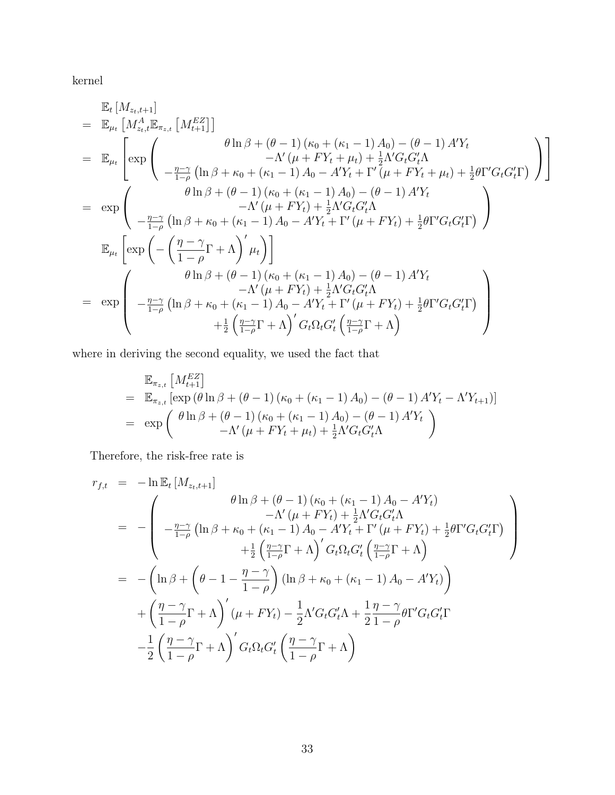kernel

$$
\mathbb{E}_{t}[M_{z_{t},t+1}] = \mathbb{E}_{\mu_{t}}[M_{z_{t},t}^{A} \mathbb{E}_{\pi_{z,t}}[M_{t+1}^{EZ}]]
$$
\n
$$
= \mathbb{E}_{\mu_{t}}\left[\exp\left(\begin{array}{c} \theta \ln \beta + (\theta - 1) (\kappa_{0} + (\kappa_{1} - 1) A_{0}) - (\theta - 1) A'Y_{t} \\ -\Lambda' (\mu + FY_{t} + \mu_{t}) + \frac{1}{2}\Lambda' G_{t} G'_{t} \Lambda \\ -\frac{\eta - \gamma}{1 - \rho} (\ln \beta + \kappa_{0} + (\kappa_{1} - 1) A_{0} - A'Y_{t} + \Gamma' (\mu + FY_{t} + \mu_{t}) + \frac{1}{2}\theta \Gamma' G_{t} G'_{t} \Gamma) \end{array}\right)\right]
$$
\n
$$
= \exp\left(\begin{array}{c} \theta \ln \beta + (\theta - 1) (\kappa_{0} + (\kappa_{1} - 1) A_{0}) - (\theta - 1) A'Y_{t} \\ -\Lambda' (\mu + FY_{t}) + \frac{1}{2}\Lambda' G_{t} G'_{t} \Lambda \\ -\frac{\eta - \gamma}{1 - \rho} (\ln \beta + \kappa_{0} + (\kappa_{1} - 1) A_{0} - A'Y_{t} + \Gamma' (\mu + FY_{t}) + \frac{1}{2}\theta \Gamma' G_{t} G'_{t} \Gamma) \end{array}\right)
$$
\n
$$
\mathbb{E}_{\mu_{t}}\left[\exp\left(-\left(\frac{\eta - \gamma}{1 - \rho} \Gamma + \Lambda\right)' \mu_{t}\right)\right]
$$
\n
$$
= \exp\left(\begin{array}{c} \theta \ln \beta + (\theta - 1) (\kappa_{0} + (\kappa_{1} - 1) A_{0}) - (\theta - 1) A'Y_{t} \\ -\Lambda' (\mu + FY_{t}) + \frac{1}{2}\Lambda' G_{t} G'_{t} \Lambda \\ -\frac{\eta - \gamma}{1 - \rho} (\ln \beta + \kappa_{0} + (\kappa_{1} - 1) A_{0} - A'Y_{t} + \Gamma' (\mu + FY_{t}) + \frac{1}{2}\theta \Gamma' G_{t} G'_{t} \Gamma) \\ +\frac{1}{2}\left(\frac{\eta - \gamma}{1 - \rho} \Gamma + \Lambda\right)' G_{t} \
$$

where in deriving the second equality, we used the fact that

$$
\mathbb{E}_{\pi_{z,t}} \left[ M_{t+1}^{EZ} \right] \n= \mathbb{E}_{\pi_{z,t}} \left[ \exp \left( \theta \ln \beta + (\theta - 1) \left( \kappa_0 + (\kappa_1 - 1) A_0 \right) - (\theta - 1) A' Y_t - \Lambda' Y_{t+1} \right) \right] \n= \exp \left( \frac{\theta \ln \beta + (\theta - 1) (\kappa_0 + (\kappa_1 - 1) A_0) - (\theta - 1) A' Y_t}{-\Lambda' (\mu + F Y_t + \mu_t) + \frac{1}{2} \Lambda' G_t G'_t \Lambda} \right)
$$

Therefore, the risk-free rate is

$$
r_{f,t} = -\ln \mathbb{E}_t \left[ M_{z_t, t+1} \right]
$$
  
\n
$$
= -\left( \begin{array}{cc} \theta \ln \beta + (\theta - 1) \left( \kappa_0 + (\kappa_1 - 1) A_0 - A' Y_t \right) \\ -\Lambda' \left( \mu + F Y_t \right) + \frac{1}{2} \Lambda' G_t G'_t \Lambda \\ -\frac{\eta - \gamma}{1 - \rho} \left( \ln \beta + \kappa_0 + (\kappa_1 - 1) A_0 - A' Y_t + \Gamma' \left( \mu + F Y_t \right) + \frac{1}{2} \theta \Gamma' G_t G'_t \Gamma \right) \\ + \frac{1}{2} \left( \frac{\eta - \gamma}{1 - \rho} \Gamma + \Lambda \right)' G_t \Omega_t G'_t \left( \frac{\eta - \gamma}{1 - \rho} \Gamma + \Lambda \right) \\ -\left( \ln \beta + \left( \theta - 1 - \frac{\eta - \gamma}{1 - \rho} \right) \left( \ln \beta + \kappa_0 + (\kappa_1 - 1) A_0 - A' Y_t \right) \right) \\ + \left( \frac{\eta - \gamma}{1 - \rho} \Gamma + \Lambda \right)' (\mu + F Y_t) - \frac{1}{2} \Lambda' G_t G'_t \Lambda + \frac{1}{2} \frac{\eta - \gamma}{1 - \rho} \theta \Gamma' G_t G'_t \Gamma \\ - \frac{1}{2} \left( \frac{\eta - \gamma}{1 - \rho} \Gamma + \Lambda \right)' G_t \Omega_t G'_t \left( \frac{\eta - \gamma}{1 - \rho} \Gamma + \Lambda \right) \end{array}
$$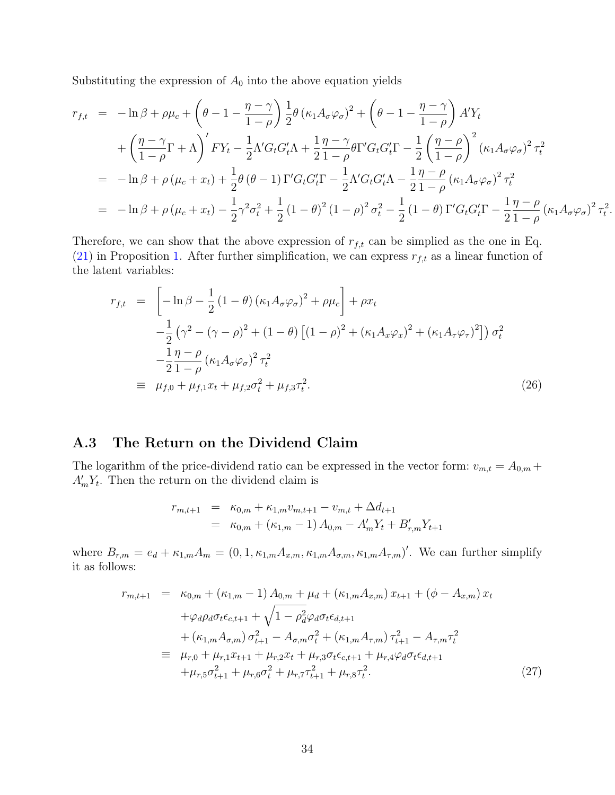Substituting the expression of  $A_0$  into the above equation yields

$$
r_{f,t} = -\ln \beta + \rho \mu_c + \left(\theta - 1 - \frac{\eta - \gamma}{1 - \rho}\right) \frac{1}{2} \theta \left(\kappa_1 A_\sigma \varphi_\sigma\right)^2 + \left(\theta - 1 - \frac{\eta - \gamma}{1 - \rho}\right) A' Y_t + \left(\frac{\eta - \gamma}{1 - \rho} \Gamma + \Lambda\right)' F Y_t - \frac{1}{2} \Lambda' G_t G'_t \Lambda + \frac{1}{2} \frac{\eta - \gamma}{1 - \rho} \theta \Gamma' G_t G'_t \Gamma - \frac{1}{2} \left(\frac{\eta - \rho}{1 - \rho}\right)^2 \left(\kappa_1 A_\sigma \varphi_\sigma\right)^2 \tau_t^2 = -\ln \beta + \rho \left(\mu_c + x_t\right) + \frac{1}{2} \theta \left(\theta - 1\right) \Gamma' G_t G'_t \Gamma - \frac{1}{2} \Lambda' G_t G'_t \Lambda - \frac{1}{2} \frac{\eta - \rho}{1 - \rho} \left(\kappa_1 A_\sigma \varphi_\sigma\right)^2 \tau_t^2 = -\ln \beta + \rho \left(\mu_c + x_t\right) - \frac{1}{2} \gamma^2 \sigma_t^2 + \frac{1}{2} (1 - \theta)^2 (1 - \rho)^2 \sigma_t^2 - \frac{1}{2} (1 - \theta) \Gamma' G_t G'_t \Gamma - \frac{1}{2} \frac{\eta - \rho}{1 - \rho} \left(\kappa_1 A_\sigma \varphi_\sigma\right)^2 \tau_t^2.
$$

Therefore, we can show that the above expression of  $r_{f,t}$  can be simplied as the one in Eq. [\(21\)](#page-12-1) in Proposition [1.](#page-12-0) After further simplification, we can express  $r_{f,t}$  as a linear function of the latent variables:

<span id="page-34-2"></span>
$$
r_{f,t} = \left[ -\ln \beta - \frac{1}{2} (1 - \theta) (\kappa_1 A_\sigma \varphi_\sigma)^2 + \rho \mu_c \right] + \rho x_t
$$
  
\n
$$
- \frac{1}{2} (\gamma^2 - (\gamma - \rho)^2 + (1 - \theta) [(1 - \rho)^2 + (\kappa_1 A_x \varphi_x)^2 + (\kappa_1 A_\tau \varphi_\tau)^2]) \sigma_t^2
$$
  
\n
$$
- \frac{1}{2} \frac{\eta - \rho}{1 - \rho} (\kappa_1 A_\sigma \varphi_\sigma)^2 \tau_t^2
$$
  
\n
$$
\equiv \mu_{f,0} + \mu_{f,1} x_t + \mu_{f,2} \sigma_t^2 + \mu_{f,3} \tau_t^2.
$$
\n(26)

#### <span id="page-34-0"></span>A.3 The Return on the Dividend Claim

The logarithm of the price-dividend ratio can be expressed in the vector form:  $v_{m,t} = A_{0,m} +$  $A'_m Y_t$ . Then the return on the dividend claim is

$$
r_{m,t+1} = \kappa_{0,m} + \kappa_{1,m} v_{m,t+1} - v_{m,t} + \Delta d_{t+1}
$$
  
=  $\kappa_{0,m} + (\kappa_{1,m} - 1) A_{0,m} - A'_{m} Y_{t} + B'_{r,m} Y_{t+1}$ 

where  $B_{r,m} = e_d + \kappa_{1,m} A_m = (0, 1, \kappa_{1,m} A_{x,m}, \kappa_{1,m} A_{\sigma,m}, \kappa_{1,m} A_{\tau,m})'$ . We can further simplify it as follows:

<span id="page-34-1"></span>
$$
r_{m,t+1} = \kappa_{0,m} + (\kappa_{1,m} - 1) A_{0,m} + \mu_d + (\kappa_{1,m} A_{x,m}) x_{t+1} + (\phi - A_{x,m}) x_t + \varphi_d \rho_d \sigma_t \epsilon_{c,t+1} + \sqrt{1 - \rho_d^2} \varphi_d \sigma_t \epsilon_{d,t+1} + (\kappa_{1,m} A_{\sigma,m}) \sigma_{t+1}^2 - A_{\sigma,m} \sigma_t^2 + (\kappa_{1,m} A_{\tau,m}) \tau_{t+1}^2 - A_{\tau,m} \tau_t^2 \n\equiv \mu_{r,0} + \mu_{r,1} x_{t+1} + \mu_{r,2} x_t + \mu_{r,3} \sigma_t \epsilon_{c,t+1} + \mu_{r,4} \varphi_d \sigma_t \epsilon_{d,t+1} + \mu_{r,5} \sigma_{t+1}^2 + \mu_{r,6} \sigma_t^2 + \mu_{r,7} \tau_{t+1}^2 + \mu_{r,8} \tau_t^2.
$$
\n(27)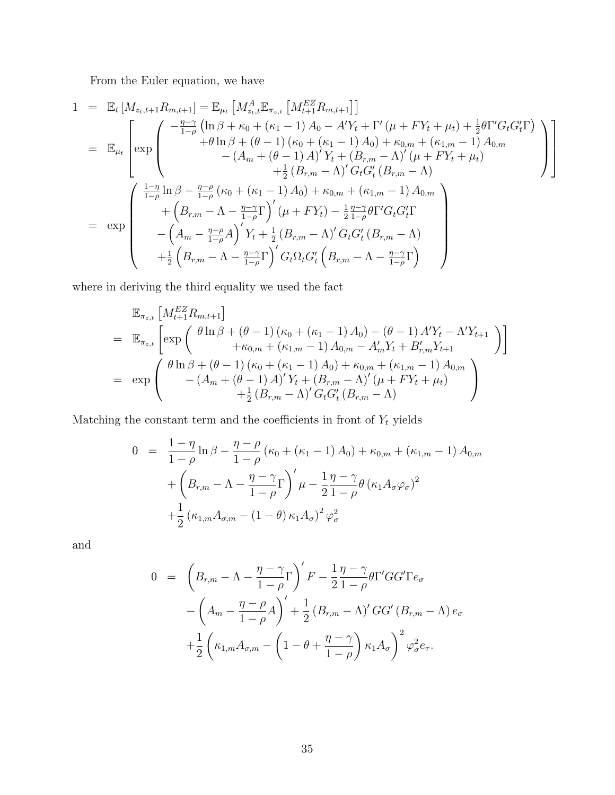From the Euler equation, we have

$$
1 = \mathbb{E}_{t}[M_{z_{t},t+1}R_{m,t+1}] = \mathbb{E}_{\mu_{t}}[M_{z_{t},t}^{A}\mathbb{E}_{\pi_{z,t}}[M_{t+1}^{EZ}R_{m,t+1}]]
$$
\n
$$
= \mathbb{E}_{\mu_{t}}\left[\exp\left(\begin{array}{c} -\frac{\eta-\gamma}{1-\rho}\left(\ln\beta+\kappa_{0}+(\kappa_{1}-1)A_{0}-A'Y_{t}+\Gamma'(\mu+FY_{t}+\mu_{t})+\frac{1}{2}\theta\Gamma'G_{t}G'_{t}\Gamma\right) \\ +\theta\ln\beta+(\theta-1)\left(\kappa_{0}+(\kappa_{1}-1)A_{0}\right)+\kappa_{0,m}+(\kappa_{1,m}-1)A_{0,m} \\ -\left(A_{m}+(\theta-1)A\right)'Y_{t}+\left(B_{r,m}-\Lambda\right)'(\mu+FY_{t}+\mu_{t}) \\ +\frac{1}{2}\left(B_{r,m}-\Lambda\right)'G_{t}G'_{t}\left(B_{r,m}-\Lambda\right) \\ +\left(B_{r,m}-\Lambda-\frac{\eta-\gamma}{1-\rho}\Gamma\right)'(\mu+FY_{t})-\frac{1}{2}\frac{\eta-\gamma}{1-\rho}\theta\Gamma'G_{t}G'_{t}\Gamma \\ -\left(A_{m}-\frac{\eta-\rho}{1-\rho}A\right)'Y_{t}+\frac{1}{2}\left(B_{r,m}-\Lambda\right)'G_{t}G'_{t}\left(B_{r,m}-\Lambda\right) \\ +\frac{1}{2}\left(B_{r,m}-\Lambda-\frac{\eta-\gamma}{1-\rho}\Gamma\right)'G_{t}\Omega_{t}G'_{t}\left(B_{r,m}-\Lambda-\frac{\eta-\gamma}{1-\rho}\Gamma\right)
$$

where in deriving the third equality we used the fact

$$
\mathbb{E}_{\pi_{z,t}} \left[ M_{t+1}^{EZ} R_{m,t+1} \right]
$$
\n
$$
= \mathbb{E}_{\pi_{z,t}} \left[ \exp \left( \frac{\theta \ln \beta + (\theta - 1) (\kappa_0 + (\kappa_1 - 1) A_0) - (\theta - 1) A' Y_t - \Lambda' Y_{t+1}}{+\kappa_{0,m} + (\kappa_{1,m} - 1) A_{0,m} - A'_{m} Y_t + B'_{r,m} Y_{t+1}} \right) \right]
$$
\n
$$
= \exp \left( \frac{\theta \ln \beta + (\theta - 1) (\kappa_0 + (\kappa_1 - 1) A_0) + \kappa_{0,m} + (\kappa_{1,m} - 1) A_{0,m}}{-\left( A_m + (\theta - 1) A' \right)' Y_t + \left( B_{r,m} - \Lambda \right)' (\mu + F Y_t + \mu_t)} + \frac{1}{2} \left( B_{r,m} - \Lambda \right)' G_t G'_t \left( B_{r,m} - \Lambda \right)
$$

Matching the constant term and the coefficients in front of  $Y_t$  yields

$$
0 = \frac{1 - \eta}{1 - \rho} \ln \beta - \frac{\eta - \rho}{1 - \rho} (\kappa_0 + (\kappa_1 - 1) A_0) + \kappa_{0,m} + (\kappa_{1,m} - 1) A_{0,m}
$$

$$
+ \left( B_{r,m} - \Lambda - \frac{\eta - \gamma}{1 - \rho} \Gamma \right)' \mu - \frac{1}{2} \frac{\eta - \gamma}{1 - \rho} \theta (\kappa_1 A_\sigma \varphi_\sigma)^2
$$

$$
+ \frac{1}{2} (\kappa_{1,m} A_{\sigma,m} - (1 - \theta) \kappa_1 A_\sigma)^2 \varphi_\sigma^2
$$

and

$$
0 = \left(B_{r,m} - \Lambda - \frac{\eta - \gamma}{1 - \rho}\Gamma\right)'F - \frac{1}{2}\frac{\eta - \gamma}{1 - \rho}\theta\Gamma'GG'\Gamma e_{\sigma}
$$

$$
-\left(A_m - \frac{\eta - \rho}{1 - \rho}A\right)' + \frac{1}{2}\left(B_{r,m} - \Lambda\right)'GG'\left(B_{r,m} - \Lambda\right)e_{\sigma}
$$

$$
+\frac{1}{2}\left(\kappa_{1,m}A_{\sigma,m} - \left(1 - \theta + \frac{\eta - \gamma}{1 - \rho}\right)\kappa_{1}A_{\sigma}\right)^{2}\varphi_{\sigma}^{2}e_{\tau}.
$$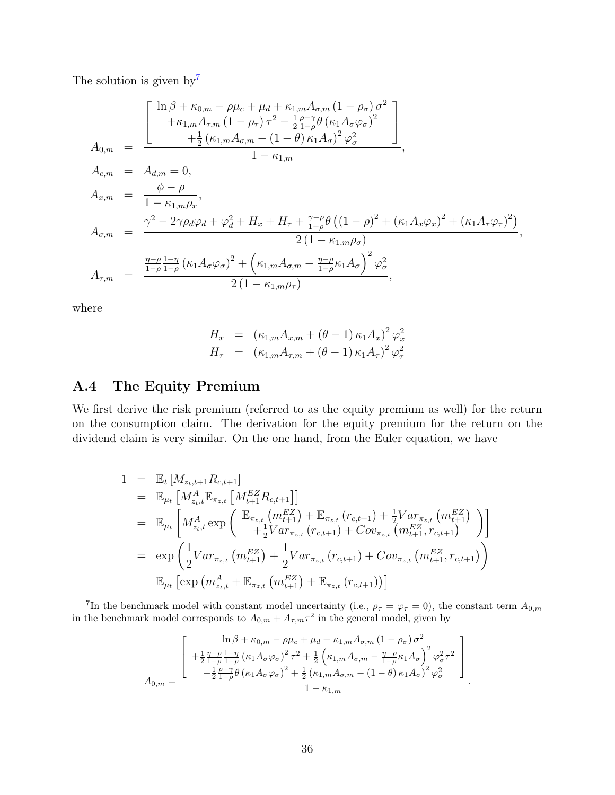The solution is given by<sup>[7](#page-36-0)</sup>

$$
A_{0,m} = \frac{\begin{bmatrix} \ln \beta + \kappa_{0,m} - \rho \mu_c + \mu_d + \kappa_{1,m} A_{\sigma,m} (1 - \rho_{\sigma}) \sigma^2 \\ + \kappa_{1,m} A_{\tau,m} (1 - \rho_{\tau}) \tau^2 - \frac{1}{2} \frac{\rho - \gamma}{1 - \rho} \theta (\kappa_1 A_{\sigma} \varphi_{\sigma})^2 \\ + \frac{1}{2} (\kappa_{1,m} A_{\sigma,m} - (1 - \theta) \kappa_1 A_{\sigma})^2 \varphi_{\sigma}^2 \end{bmatrix}}{1 - \kappa_{1,m}},
$$
  
\n
$$
A_{c,m} = A_{d,m} = 0,
$$
  
\n
$$
A_{x,m} = \frac{\phi - \rho}{1 - \kappa_{1,m} \rho_x},
$$
  
\n
$$
A_{\sigma,m} = \frac{\gamma^2 - 2\gamma \rho_d \varphi_d + \varphi_d^2 + H_x + H_{\tau} + \frac{\gamma - \rho}{1 - \rho} \theta ((1 - \rho)^2 + (\kappa_1 A_x \varphi_x)^2 + (\kappa_1 A_{\tau} \varphi_{\tau})^2)}{2 (1 - \kappa_{1,m} \rho_{\sigma})},
$$
  
\n
$$
A_{\tau,m} = \frac{\frac{\eta - \rho}{1 - \rho} \frac{1 - \eta}{1 - \rho} (\kappa_1 A_{\sigma} \varphi_{\sigma})^2 + (\kappa_{1,m} A_{\sigma,m} - \frac{\eta - \rho}{1 - \rho} \kappa_1 A_{\sigma})^2 \varphi_{\sigma}^2}{2 (1 - \kappa_{1,m} \rho_{\tau})},
$$

where

$$
H_x = (\kappa_{1,m} A_{x,m} + (\theta - 1) \kappa_1 A_x)^2 \varphi_x^2
$$
  

$$
H_\tau = (\kappa_{1,m} A_{\tau,m} + (\theta - 1) \kappa_1 A_\tau)^2 \varphi_\tau^2
$$

### A.4 The Equity Premium

We first derive the risk premium (referred to as the equity premium as well) for the return on the consumption claim. The derivation for the equity premium for the return on the dividend claim is very similar. On the one hand, from the Euler equation, we have

$$
1 = \mathbb{E}_{t} [M_{z_{t},t+1}R_{c,t+1}]
$$
  
\n
$$
= \mathbb{E}_{\mu_{t}} [M_{z_{t},t}^{A} \mathbb{E}_{\pi_{z,t}} [M_{t+1}^{EZ} R_{c,t+1}]]
$$
  
\n
$$
= \mathbb{E}_{\mu_{t}} [M_{z_{t},t}^{A} \exp\left(\frac{\mathbb{E}_{\pi_{z,t}} (m_{t+1}^{EZ}) + \mathbb{E}_{\pi_{z,t}} (r_{c,t+1}) + \frac{1}{2}Var_{\pi_{z,t}} (m_{t+1}^{EZ})}{+\frac{1}{2}Var_{\pi_{z,t}} (r_{c,t+1}) + Cov_{\pi_{z,t}} (m_{t+1}^{EZ}, r_{c,t+1})}\right)]
$$
  
\n
$$
= \exp\left(\frac{1}{2}Var_{\pi_{z,t}} (m_{t+1}^{EZ}) + \frac{1}{2}Var_{\pi_{z,t}} (r_{c,t+1}) + Cov_{\pi_{z,t}} (m_{t+1}^{EZ}, r_{c,t+1})\right)
$$
  
\n
$$
\mathbb{E}_{\mu_{t}} [\exp(m_{z_{t},t}^{A} + \mathbb{E}_{\pi_{z,t}} (m_{t+1}^{EZ}) + \mathbb{E}_{\pi_{z,t}} (r_{c,t+1}))]
$$

<span id="page-36-0"></span><sup>7</sup>In the benchmark model with constant model uncertainty (i.e.,  $\rho_{\tau} = \varphi_{\tau} = 0$ ), the constant term  $A_{0,m}$ in the benchmark model corresponds to  $A_{0,m} + A_{\tau,m} \tau^2$  in the general model, given by

$$
A_{0,m} = \frac{\left[\begin{array}{c} \ln \beta + \kappa_{0,m} - \rho \mu_c + \mu_d + \kappa_{1,m} A_{\sigma,m} \left(1 - \rho_{\sigma}\right) \sigma^2 \\ + \frac{1}{2} \frac{\eta - \rho}{1 - \rho} \frac{1 - \eta}{1 - \rho} \left(\kappa_1 A_{\sigma} \varphi_{\sigma}\right)^2 \tau^2 + \frac{1}{2} \left(\kappa_{1,m} A_{\sigma,m} - \frac{\eta - \rho}{1 - \rho} \kappa_1 A_{\sigma}\right)^2 \varphi_{\sigma}^2 \tau^2 \right. \\ - \frac{1}{2} \frac{\rho - \gamma}{1 - \rho} \theta \left(\kappa_1 A_{\sigma} \varphi_{\sigma}\right)^2 + \frac{1}{2} \left(\kappa_{1,m} A_{\sigma,m} - \left(1 - \theta\right) \kappa_1 A_{\sigma}\right)^2 \varphi_{\sigma}^2 \right. \\ \left. 1 - \kappa_{1,m} \right] \end{array}}{1 - \kappa_{1,m}}.
$$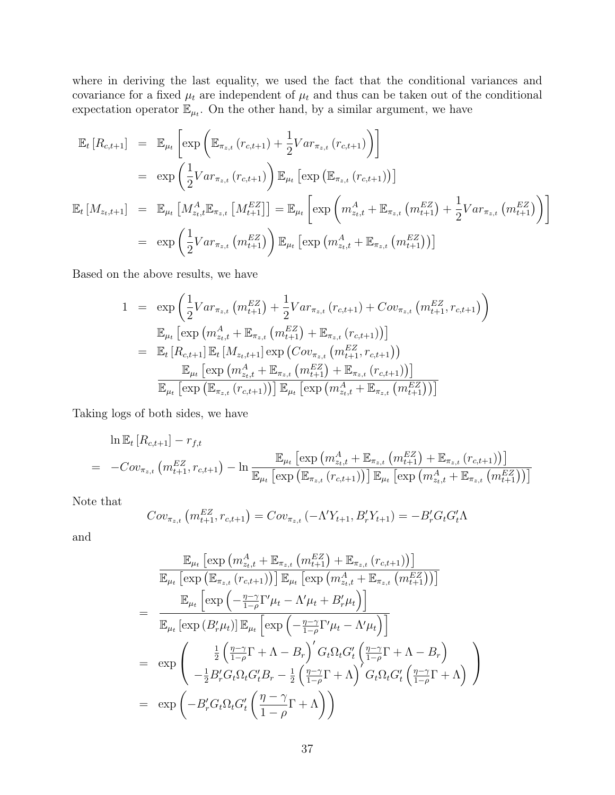where in deriving the last equality, we used the fact that the conditional variances and covariance for a fixed  $\mu_t$  are independent of  $\mu_t$  and thus can be taken out of the conditional expectation operator  $\mathbb{E}_{\mu_t}$ . On the other hand, by a similar argument, we have

$$
\mathbb{E}_{t}[R_{c,t+1}] = \mathbb{E}_{\mu_{t}}\left[\exp\left(\mathbb{E}_{\pi_{z,t}}(r_{c,t+1}) + \frac{1}{2}Var_{\pi_{z,t}}(r_{c,t+1})\right)\right]
$$
\n
$$
= \exp\left(\frac{1}{2}Var_{\pi_{z,t}}(r_{c,t+1})\right)\mathbb{E}_{\mu_{t}}\left[\exp\left(\mathbb{E}_{\pi_{z,t}}(r_{c,t+1})\right)\right]
$$
\n
$$
\mathbb{E}_{t}[M_{z_{t},t+1}] = \mathbb{E}_{\mu_{t}}\left[M_{z_{t},t}^{A}\mathbb{E}_{\pi_{z,t}}\left[M_{t+1}^{EZ}\right]\right] = \mathbb{E}_{\mu_{t}}\left[\exp\left(m_{z_{t},t}^{A} + \mathbb{E}_{\pi_{z,t}}\left(m_{t+1}^{EZ}\right) + \frac{1}{2}Var_{\pi_{z,t}}\left(m_{t+1}^{EZ}\right)\right)\right]
$$
\n
$$
= \exp\left(\frac{1}{2}Var_{\pi_{z,t}}\left(m_{t+1}^{EZ}\right)\right)\mathbb{E}_{\mu_{t}}\left[\exp\left(m_{z_{t},t}^{A} + \mathbb{E}_{\pi_{z,t}}\left(m_{t+1}^{EZ}\right)\right)\right]
$$

Based on the above results, we have

$$
1 = \exp\left(\frac{1}{2}Var_{\pi_{z,t}}\left(m_{t+1}^{EZ}\right) + \frac{1}{2}Var_{\pi_{z,t}}\left(r_{c,t+1}\right) + Cov_{\pi_{z,t}}\left(m_{t+1}^{EZ}, r_{c,t+1}\right)\right)
$$
  
\n
$$
\mathbb{E}_{\mu_{t}}\left[\exp\left(m_{z_{t},t}^{A} + \mathbb{E}_{\pi_{z,t}}\left(m_{t+1}^{EZ}\right) + \mathbb{E}_{\pi_{z,t}}\left(r_{c,t+1}\right)\right)\right]
$$
  
\n
$$
= \mathbb{E}_{t}\left[R_{c,t+1}\right]\mathbb{E}_{t}\left[M_{z_{t},t+1}\right]\exp\left(Cov_{\pi_{z,t}}\left(m_{t+1}^{EZ}, r_{c,t+1}\right)\right)
$$
  
\n
$$
\mathbb{E}_{\mu_{t}}\left[\exp\left(m_{z_{t},t}^{A} + \mathbb{E}_{\pi_{z,t}}\left(m_{t+1}^{EZ}\right) + \mathbb{E}_{\pi_{z,t}}\left(r_{c,t+1}\right)\right)\right]
$$
  
\n
$$
\mathbb{E}_{\mu_{t}}\left[\exp\left(\mathbb{E}_{\pi_{z,t}}\left(r_{c,t+1}\right)\right)\right]\mathbb{E}_{\mu_{t}}\left[\exp\left(m_{z_{t},t}^{A} + \mathbb{E}_{\pi_{z,t}}\left(m_{t+1}^{EZ}\right)\right)\right]
$$

Taking logs of both sides, we have

$$
\ln \mathbb{E}_{t} [R_{c,t+1}] - r_{f,t} \n= -Cov_{\pi_{z,t}} (m_{t+1}^{EZ}, r_{c,t+1}) - \ln \frac{\mathbb{E}_{\mu_{t}} [\exp (m_{z_{t},t}^{A} + \mathbb{E}_{\pi_{z,t}} (m_{t+1}^{EZ}) + \mathbb{E}_{\pi_{z,t}} (r_{c,t+1}))]}{\mathbb{E}_{\mu_{t}} [\exp (\mathbb{E}_{\pi_{z,t}} (r_{c,t+1}))] \mathbb{E}_{\mu_{t}} [\exp (m_{z_{t},t}^{A} + \mathbb{E}_{\pi_{z,t}} (m_{t+1}^{EZ}))]}
$$

Note that

$$
Cov_{\pi_{z,t}}\left(m_{t+1}^{EZ}, r_{c,t+1}\right) = Cov_{\pi_{z,t}}\left(-\Lambda'Y_{t+1}, B'_{r}Y_{t+1}\right) = -B'_{r}G_{t}G'_{t}\Lambda
$$

and

$$
\mathbb{E}_{\mu_t} \left[ \exp \left( m_{z_t, t}^A + \mathbb{E}_{\pi_{z, t}} \left( m_{t+1}^{EZ} \right) + \mathbb{E}_{\pi_{z, t}} \left( r_{c, t+1} \right) \right) \right]
$$
\n
$$
\mathbb{E}_{\mu_t} \left[ \exp \left( \mathbb{E}_{\pi_{z, t}} \left( r_{c, t+1} \right) \right) \right] \mathbb{E}_{\mu_t} \left[ \exp \left( m_{z_t, t}^A + \mathbb{E}_{\pi_{z, t}} \left( m_{t+1}^{EZ} \right) \right) \right]
$$
\n
$$
= \frac{\mathbb{E}_{\mu_t} \left[ \exp \left( -\frac{\eta - \gamma}{1 - \rho} \Gamma' \mu_t - \Lambda' \mu_t + B'_r \mu_t \right) \right]}{\mathbb{E}_{\mu_t} \left[ \exp \left( B'_r \mu_t \right) \right] \mathbb{E}_{\mu_t} \left[ \exp \left( -\frac{\eta - \gamma}{1 - \rho} \Gamma' \mu_t - \Lambda' \mu_t \right) \right]}
$$
\n
$$
= \exp \left( -\frac{\frac{1}{2} \left( \frac{\eta - \gamma}{1 - \rho} \Gamma + \Lambda - B_r \right)' G_t \Omega_t G'_t \left( \frac{\eta - \gamma}{1 - \rho} \Gamma + \Lambda - B_r \right)}{-\frac{1}{2} B'_r G_t \Omega_t G'_t B_r - \frac{1}{2} \left( \frac{\eta - \gamma}{1 - \rho} \Gamma + \Lambda \right)' G_t \Omega_t G'_t \left( \frac{\eta - \gamma}{1 - \rho} \Gamma + \Lambda \right)} \right)
$$
\n
$$
= \exp \left( -B'_r G_t \Omega_t G'_t \left( \frac{\eta - \gamma}{1 - \rho} \Gamma + \Lambda \right) \right)
$$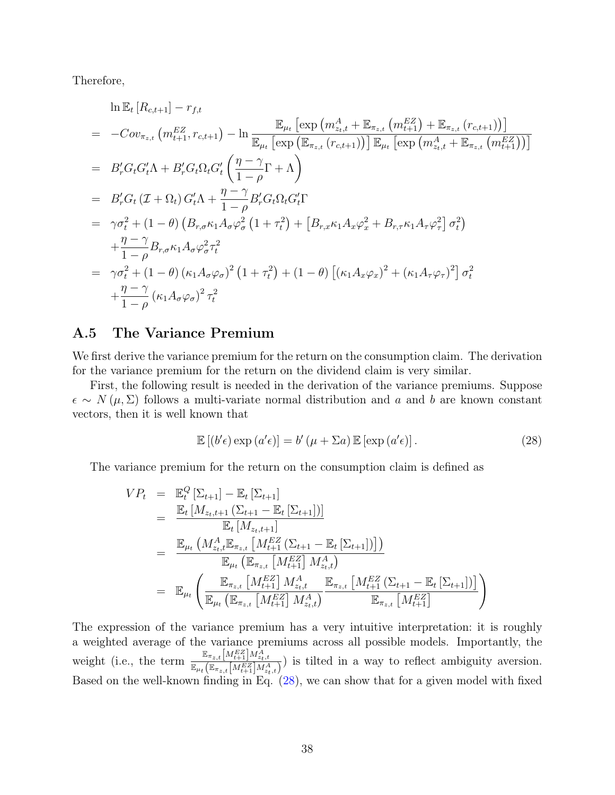Therefore,

$$
\ln \mathbb{E}_{t} [R_{c,t+1}] - r_{f,t}
$$
\n
$$
= -Cov_{\pi_{z,t}} (m_{t+1}^{EZ}, r_{c,t+1}) - \ln \frac{\mathbb{E}_{\mu_{t}} [\exp (m_{z_{t},t}^{A} + \mathbb{E}_{\pi_{z,t}} (m_{t+1}^{EZ}) + \mathbb{E}_{\pi_{z,t}} (r_{c,t+1}))]}{\mathbb{E}_{\mu_{t}} [\exp (\mathbb{E}_{\pi_{z,t}} (r_{c,t+1}))] \mathbb{E}_{\mu_{t}} [\exp (m_{z_{t},t}^{A} + \mathbb{E}_{\pi_{z,t}} (m_{t+1}^{EZ}))]}
$$
\n
$$
= B'_{r} G_{t} G'_{t} \Lambda + B'_{r} G_{t} \Omega_{t} G'_{t} \left( \frac{\eta - \gamma}{1 - \rho} \Gamma + \Lambda \right)
$$
\n
$$
= B'_{r} G_{t} (\mathcal{I} + \Omega_{t}) G'_{t} \Lambda + \frac{\eta - \gamma}{1 - \rho} B'_{r} G_{t} \Omega_{t} G'_{t} \Gamma
$$
\n
$$
= \gamma \sigma_{t}^{2} + (1 - \theta) \left( B_{r,\sigma} \kappa_{1} A_{\sigma} \varphi_{\sigma}^{2} (1 + \tau_{t}^{2}) + \left[ B_{r,x} \kappa_{1} A_{x} \varphi_{x}^{2} + B_{r,\tau} \kappa_{1} A_{\tau} \varphi_{\tau}^{2} \right] \sigma_{t}^{2} \right)
$$
\n
$$
+ \frac{\eta - \gamma}{1 - \rho} B_{r,\sigma} \kappa_{1} A_{\sigma} \varphi_{\sigma}^{2} \tau_{t}^{2}
$$
\n
$$
= \gamma \sigma_{t}^{2} + (1 - \theta) (\kappa_{1} A_{\sigma} \varphi_{\sigma})^{2} (1 + \tau_{t}^{2}) + (1 - \theta) \left[ (\kappa_{1} A_{x} \varphi_{x})^{2} + (\kappa_{1} A_{\tau} \varphi_{\tau})^{2} \right] \sigma_{t}^{2}
$$
\n
$$
+ \frac{\eta - \gamma}{1 - \rho} (\kappa_{1} A_{\sigma} \varphi_{\sigma})^{2} \tau_{t}^{2}
$$

#### <span id="page-38-0"></span>A.5 The Variance Premium

We first derive the variance premium for the return on the consumption claim. The derivation for the variance premium for the return on the dividend claim is very similar.

First, the following result is needed in the derivation of the variance premiums. Suppose  $\epsilon \sim N(\mu, \Sigma)$  follows a multi-variate normal distribution and a and b are known constant vectors, then it is well known that

<span id="page-38-1"></span>
$$
\mathbb{E}[(b'\epsilon)\exp(a'\epsilon)] = b'(\mu + \Sigma a)\mathbb{E}[\exp(a'\epsilon)].
$$
\n(28)

The variance premium for the return on the consumption claim is defined as

$$
VP_{t} = \mathbb{E}_{t}^{Q} \left[ \Sigma_{t+1} \right] - \mathbb{E}_{t} \left[ \Sigma_{t+1} \right]
$$
  
\n
$$
= \frac{\mathbb{E}_{t} \left[ M_{z_{t}, t+1} \left( \Sigma_{t+1} - \mathbb{E}_{t} \left[ \Sigma_{t+1} \right] \right) \right]}{\mathbb{E}_{t} \left[ M_{z_{t}, t+1} \right]}
$$
  
\n
$$
= \frac{\mathbb{E}_{\mu_{t}} \left( M_{z_{t}, t}^{A} \mathbb{E}_{\pi_{z, t}} \left[ M_{t+1}^{EZ} \left( \Sigma_{t+1} - \mathbb{E}_{t} \left[ \Sigma_{t+1} \right] \right) \right] \right)}{\mathbb{E}_{\mu_{t}} \left( \mathbb{E}_{\pi_{z, t}} \left[ M_{t+1}^{EZ} \right] M_{z_{t}, t}^{A} \right)}
$$
  
\n
$$
= \mathbb{E}_{\mu_{t}} \left( \frac{\mathbb{E}_{\pi_{z, t}} \left[ M_{t+1}^{EZ} \right] M_{z_{t}, t}^{A}}{\mathbb{E}_{\pi_{z, t}} \left[ M_{t+1}^{EZ} \right] M_{z_{t}, t}^{A}} \right) \mathbb{E}_{\pi_{z, t}} \left[ M_{t+1}^{EZ} \right]}{\mathbb{E}_{\pi_{z, t}} \left[ M_{t+1}^{EZ} \right]}
$$

The expression of the variance premium has a very intuitive interpretation: it is roughly a weighted average of the variance premiums across all possible models. Importantly, the weight (i.e., the term  $\frac{\mathbb{E}_{\pi_{z,t}}[M_{t+1}^{EZ}]M_{z_t,t}^A}{\mathbb{E}_{\pi_{z,t}}[M_{t+1}^{EZ}]M_{z_t,t}^A)}$ ) is tilted in a way to reflect ambiguity aversion. Based on the well-known finding in Eq. [\(28\)](#page-38-1), we can show that for a given model with fixed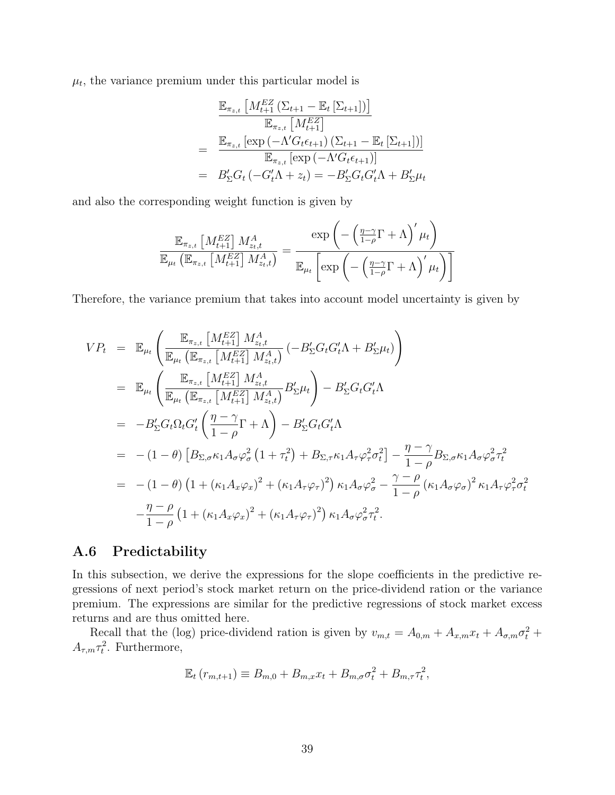$\mu_t$ , the variance premium under this particular model is

$$
\frac{\mathbb{E}_{\pi_{z,t}} \left[ M_{t+1}^{EZ} \left( \Sigma_{t+1} - \mathbb{E}_t \left[ \Sigma_{t+1} \right] \right) \right]}{\mathbb{E}_{\pi_{z,t}} \left[ M_{t+1}^{EZ} \right]}
$$
\n
$$
= \frac{\mathbb{E}_{\pi_{z,t}} \left[ \exp \left( -\Lambda' G_t \epsilon_{t+1} \right) \left( \Sigma_{t+1} - \mathbb{E}_t \left[ \Sigma_{t+1} \right] \right) \right]}{\mathbb{E}_{\pi_{z,t}} \left[ \exp \left( -\Lambda' G_t \epsilon_{t+1} \right) \right]}
$$
\n
$$
= B_{\Sigma}' G_t \left( -G_t' \Lambda + z_t \right) = -B_{\Sigma}' G_t G_t' \Lambda + B_{\Sigma}' \mu_t
$$

and also the corresponding weight function is given by

$$
\frac{\mathbb{E}_{\pi_{z,t}}\left[M_{t+1}^{EZ}\right]M_{z_t,t}^A}{\mathbb{E}_{\mu_t}\left(\mathbb{E}_{\pi_{z,t}}\left[M_{t+1}^{EZ}\right]M_{z_t,t}^A\right)} = \frac{\exp\left(-\left(\frac{\eta-\gamma}{1-\rho}\Gamma + \Lambda\right)'\mu_t\right)}{\mathbb{E}_{\mu_t}\left[\exp\left(-\left(\frac{\eta-\gamma}{1-\rho}\Gamma + \Lambda\right)'\mu_t\right)\right]}
$$

Therefore, the variance premium that takes into account model uncertainty is given by

$$
VP_{t} = \mathbb{E}_{\mu_{t}} \left( \frac{\mathbb{E}_{\pi_{z,t}} \left[ M_{t+1}^{EZ} \right] M_{z_{t,t}}^{A}}{\mathbb{E}_{\mu_{t}} \left( \mathbb{E}_{\pi_{z,t}} \left[ M_{t+1}^{EZ} \right] M_{z_{t,t}}^{A} \right)} \left( -B_{\Sigma}^{\prime} G_{t} G_{t}^{\prime} \Lambda + B_{\Sigma}^{\prime} \mu_{t} \right) \right)
$$
  
\n
$$
= \mathbb{E}_{\mu_{t}} \left( \frac{\mathbb{E}_{\pi_{z,t}} \left[ M_{t+1}^{EZ} \right] M_{z_{t,t}}^{A}}{\mathbb{E}_{\mu_{t}} \left( \mathbb{E}_{\pi_{z,t}} \left[ M_{t+1}^{EZ} \right] M_{z_{t,t}}^{A} \right)} B_{\Sigma}^{\prime} \mu_{t} \right) - B_{\Sigma}^{\prime} G_{t} G_{t}^{\prime} \Lambda
$$
  
\n
$$
= -B_{\Sigma}^{\prime} G_{t} \Omega_{t} G_{t}^{\prime} \left( \frac{\eta - \gamma}{1 - \rho} \Gamma + \Lambda \right) - B_{\Sigma}^{\prime} G_{t} G_{t}^{\prime} \Lambda
$$
  
\n
$$
= -(1 - \theta) \left[ B_{\Sigma, \sigma} \kappa_{1} A_{\sigma} \varphi_{\sigma}^{2} \left( 1 + \tau_{t}^{2} \right) + B_{\Sigma, \tau} \kappa_{1} A_{\tau} \varphi_{\tau}^{2} \sigma_{t}^{2} \right] - \frac{\eta - \gamma}{1 - \rho} B_{\Sigma, \sigma} \kappa_{1} A_{\sigma} \varphi_{\sigma}^{2} \tau_{t}^{2}
$$
  
\n
$$
= -(1 - \theta) \left( 1 + (\kappa_{1} A_{x} \varphi_{x})^{2} + (\kappa_{1} A_{\tau} \varphi_{\tau})^{2} \right) \kappa_{1} A_{\sigma} \varphi_{\sigma}^{2} - \frac{\gamma - \rho}{1 - \rho} (\kappa_{1} A_{\sigma} \varphi_{\sigma})^{2} \kappa_{1} A_{\tau} \varphi_{\tau}^{2} \sigma_{t}^{2}
$$
  
\n
$$
- \frac{\eta - \rho}{1 - \rho} \left( 1 + (\kappa
$$

#### <span id="page-39-0"></span>A.6 Predictability

In this subsection, we derive the expressions for the slope coefficients in the predictive regressions of next period's stock market return on the price-dividend ration or the variance premium. The expressions are similar for the predictive regressions of stock market excess returns and are thus omitted here.

Recall that the (log) price-dividend ration is given by  $v_{m,t} = A_{0,m} + A_{x,m}x_t + A_{\sigma,m}\sigma_t^2 +$  $A_{\tau,m}\tau_t^2$ . Furthermore,

$$
\mathbb{E}_t(r_{m,t+1}) \equiv B_{m,0} + B_{m,x}x_t + B_{m,\sigma}\sigma_t^2 + B_{m,\tau}\tau_t^2,
$$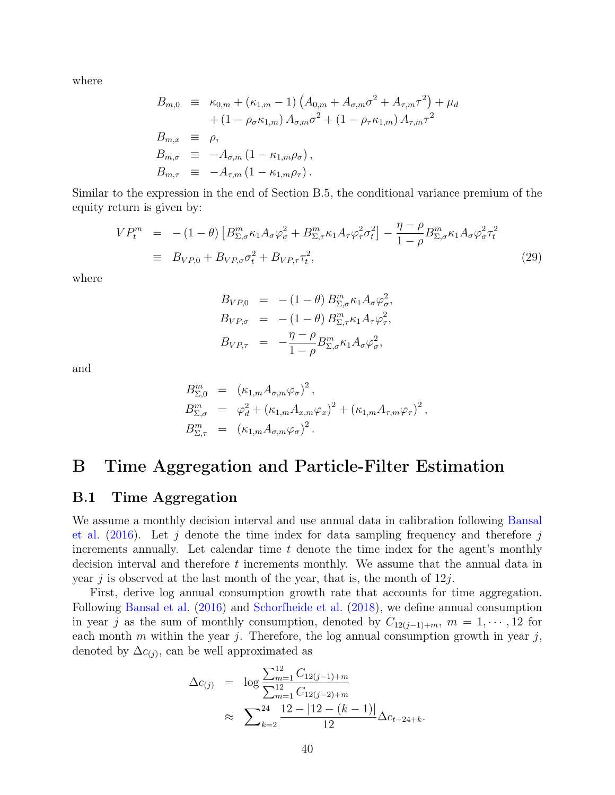where

$$
B_{m,0} \equiv \kappa_{0,m} + (\kappa_{1,m} - 1) (A_{0,m} + A_{\sigma,m}\sigma^2 + A_{\tau,m}\tau^2) + \mu_d + (1 - \rho_{\sigma}\kappa_{1,m}) A_{\sigma,m}\sigma^2 + (1 - \rho_{\tau}\kappa_{1,m}) A_{\tau,m}\tau^2 B_{m,x} \equiv \rho, B_{m,\sigma} \equiv -A_{\sigma,m} (1 - \kappa_{1,m}\rho_{\sigma}), B_{m,\tau} \equiv -A_{\tau,m} (1 - \kappa_{1,m}\rho_{\tau}).
$$

Similar to the expression in the end of Section B.5, the conditional variance premium of the equity return is given by:

<span id="page-40-2"></span>
$$
VP_t^m = -(1 - \theta) \left[ B_{\Sigma,\sigma}^m \kappa_1 A_\sigma \varphi_\sigma^2 + B_{\Sigma,\tau}^m \kappa_1 A_\tau \varphi_\tau^2 \sigma_t^2 \right] - \frac{\eta - \rho}{1 - \rho} B_{\Sigma,\sigma}^m \kappa_1 A_\sigma \varphi_\sigma^2 \tau_t^2
$$
  
\n
$$
\equiv B_{VP,0} + B_{VP,\sigma} \sigma_t^2 + B_{VP,\tau} \tau_t^2, \tag{29}
$$

where

$$
B_{VP,0} = -(1 - \theta) B_{\Sigma,\sigma}^m \kappa_1 A_{\sigma} \varphi_{\sigma}^2,
$$
  
\n
$$
B_{VP,\sigma} = -(1 - \theta) B_{\Sigma,\tau}^m \kappa_1 A_{\tau} \varphi_{\tau}^2,
$$
  
\n
$$
B_{VP,\tau} = -\frac{\eta - \rho}{1 - \rho} B_{\Sigma,\sigma}^m \kappa_1 A_{\sigma} \varphi_{\sigma}^2,
$$

and

$$
B_{\Sigma,0}^m = (\kappa_{1,m} A_{\sigma,m} \varphi_{\sigma})^2,
$$
  
\n
$$
B_{\Sigma,\sigma}^m = \varphi_d^2 + (\kappa_{1,m} A_{x,m} \varphi_x)^2 + (\kappa_{1,m} A_{\tau,m} \varphi_{\tau})^2,
$$
  
\n
$$
B_{\Sigma,\tau}^m = (\kappa_{1,m} A_{\sigma,m} \varphi_{\sigma})^2.
$$

# <span id="page-40-0"></span>B Time Aggregation and Particle-Filter Estimation

#### <span id="page-40-1"></span>B.1 Time Aggregation

We assume a monthly decision interval and use annual data in calibration following [Bansal](#page-26-13) [et al.](#page-26-13)  $(2016)$ . Let j denote the time index for data sampling frequency and therefore j increments annually. Let calendar time  $t$  denote the time index for the agent's monthly decision interval and therefore t increments monthly. We assume that the annual data in year j is observed at the last month of the year, that is, the month of  $12j$ .

First, derive log annual consumption growth rate that accounts for time aggregation. Following [Bansal et al.](#page-26-13) [\(2016\)](#page-26-13) and [Schorfheide et al.](#page-29-1) [\(2018\)](#page-29-1), we define annual consumption in year j as the sum of monthly consumption, denoted by  $C_{12(j-1)+m}$ ,  $m = 1, \dots, 12$  for each month m within the year j. Therefore, the log annual consumption growth in year j, denoted by  $\Delta c_{(j)}$ , can be well approximated as

$$
\Delta c_{(j)} = \log \frac{\sum_{m=1}^{12} C_{12(j-1)+m}}{\sum_{m=1}^{12} C_{12(j-2)+m}} \approx \sum_{k=2}^{24} \frac{12 - |12 - (k-1)|}{12} \Delta c_{t-24+k}.
$$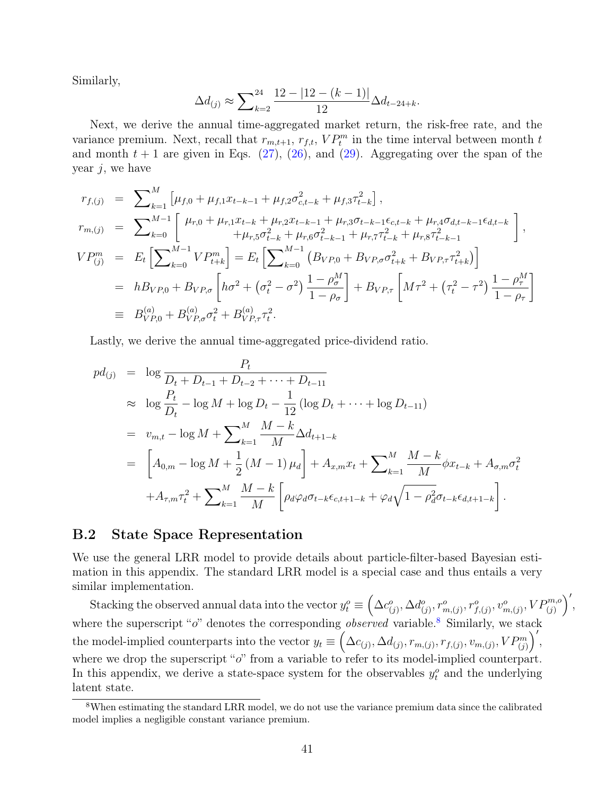Similarly,

$$
\Delta d_{(j)} \approx \sum_{k=2}^{24} \frac{12 - |12 - (k-1)|}{12} \Delta d_{t-24+k}.
$$

Next, we derive the annual time-aggregated market return, the risk-free rate, and the variance premium. Next, recall that  $r_{m,t+1}, r_{f,t}, VP_t^m$  in the time interval between month t and month  $t + 1$  are given in Eqs. [\(27\)](#page-34-1), [\(26\)](#page-34-2), and [\(29\)](#page-40-2). Aggregating over the span of the year  $j$ , we have

$$
r_{f,(j)} = \sum_{k=1}^{M} \left[ \mu_{f,0} + \mu_{f,1} x_{t-k-1} + \mu_{f,2} \sigma_{c,t-k}^2 + \mu_{f,3} \tau_{t-k}^2 \right],
$$
  
\n
$$
r_{m,(j)} = \sum_{k=0}^{M-1} \left[ \mu_{r,0} + \mu_{r,1} x_{t-k} + \mu_{r,2} x_{t-k-1} + \mu_{r,3} \sigma_{t-k-1} \epsilon_{c,t-k} + \mu_{r,4} \sigma_{d,t-k-1} \epsilon_{d,t-k} \right],
$$
  
\n
$$
VP_{(j)}^m = E_t \left[ \sum_{k=0}^{M-1} VP_{t+k}^m \right] = E_t \left[ \sum_{k=0}^{M-1} \left( B_{VP,0} + B_{VP,\sigma} \sigma_{t+k}^2 + B_{VP,\tau} \tau_{t+k}^2 \right) \right]
$$
  
\n
$$
= h B_{VP,0} + B_{VP,\sigma} \left[ h \sigma^2 + \left( \sigma_t^2 - \sigma^2 \right) \frac{1 - \rho_{\sigma}^M}{1 - \rho_{\sigma}} \right] + B_{VP,\tau} \left[ M \tau^2 + \left( \tau_t^2 - \tau^2 \right) \frac{1 - \rho_{\tau}^M}{1 - \rho_{\tau}} \right]
$$
  
\n
$$
\equiv B_{VP,0}^{(a)} + B_{VP,\sigma}^{(a)} \sigma_t^2 + B_{VP,\tau}^{(a)} \tau_t^2.
$$

Lastly, we derive the annual time-aggregated price-dividend ratio.

$$
pd_{(j)} = \log \frac{P_t}{D_t + D_{t-1} + D_{t-2} + \dots + D_{t-11}}
$$
  
\n
$$
\approx \log \frac{P_t}{D_t} - \log M + \log D_t - \frac{1}{12} (\log D_t + \dots + \log D_{t-11})
$$
  
\n
$$
= v_{m,t} - \log M + \sum_{k=1}^{M} \frac{M-k}{M} \Delta d_{t+1-k}
$$
  
\n
$$
= \left[ A_{0,m} - \log M + \frac{1}{2} (M-1) \mu_d \right] + A_{x,m} x_t + \sum_{k=1}^{M} \frac{M-k}{M} \phi x_{t-k} + A_{\sigma,m} \sigma_t^2
$$
  
\n
$$
+ A_{\tau,m} \tau_t^2 + \sum_{k=1}^{M} \frac{M-k}{M} \left[ \rho_d \varphi_d \sigma_{t-k} \epsilon_{c,t+1-k} + \varphi_d \sqrt{1 - \rho_d^2} \sigma_{t-k} \epsilon_{d,t+1-k} \right].
$$

#### <span id="page-41-0"></span>B.2 State Space Representation

We use the general LRR model to provide details about particle-filter-based Bayesian estimation in this appendix. The standard LRR model is a special case and thus entails a very similar implementation.

Stacking the observed annual data into the vector  $y_t^o \equiv \left(\Delta c_{(j)}^o, \Delta d_{(j)}^o, r_{m,(j)}^o, r_{f,(j)}^o, v_{m,(j)}^o, VP_{(j)}^{m,o}\right)',$ where the superscript " $o$ " denotes the corresponding  $observed$  variable.<sup>[8](#page-41-1)</sup> Similarly, we stack the model-implied counterparts into the vector  $y_t \equiv \left(\Delta c_{(j)}, \Delta d_{(j)}, r_{m,(j)}, r_{f,(j)}, v_{m,(j)}, VP^m_{(j)}\right)',$ where we drop the superscript "o" from a variable to refer to its model-implied counterpart. In this appendix, we derive a state-space system for the observables  $y_t^o$  and the underlying latent state.

<span id="page-41-1"></span><sup>8</sup>When estimating the standard LRR model, we do not use the variance premium data since the calibrated model implies a negligible constant variance premium.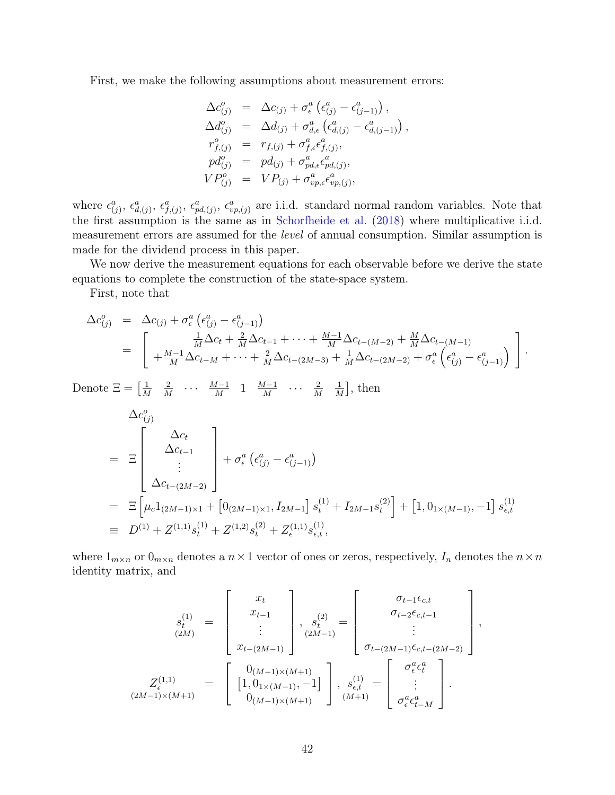First, we make the following assumptions about measurement errors:

$$
\Delta c_{(j)}^o = \Delta c_{(j)} + \sigma_\epsilon^a \left( \epsilon_{(j)}^a - \epsilon_{(j-1)}^a \right),
$$
  
\n
$$
\Delta d_{(j)}^o = \Delta d_{(j)} + \sigma_{d,\epsilon}^a \left( \epsilon_{d,(j)}^a - \epsilon_{d,(j-1)}^a \right),
$$
  
\n
$$
r_{f,(j)}^o = r_{f,(j)} + \sigma_{f,\epsilon}^a \epsilon_{f,(j)}^a,
$$
  
\n
$$
pd_{(j)}^o = pd_{(j)} + \sigma_{pd,\epsilon}^a \epsilon_{pd,(j)}^a,
$$
  
\n
$$
VP_{(j)}^o = VP_{(j)} + \sigma_{vp,\epsilon}^a \epsilon_{vp,(j)}^a,
$$

where  $\epsilon_{(j)}^a$ ,  $\epsilon_{d,(j)}^a$ ,  $\epsilon_{p,d,j}^a$ ,  $\epsilon_{vp,(j)}^a$  are i.i.d. standard normal random variables. Note that the first assumption is the same as in [Schorfheide et al.](#page-29-1) [\(2018\)](#page-29-1) where multiplicative i.i.d. measurement errors are assumed for the level of annual consumption. Similar assumption is made for the dividend process in this paper.

We now derive the measurement equations for each observable before we derive the state equations to complete the construction of the state-space system.

First, note that

$$
\Delta c_{(j)}^o = \Delta c_{(j)} + \sigma_\epsilon^a \left( \epsilon_{(j)}^a - \epsilon_{(j-1)}^a \right)
$$
  
= 
$$
\left[ \frac{\frac{1}{M} \Delta c_t + \frac{2}{M} \Delta c_{t-1} + \dots + \frac{M-1}{M} \Delta c_{t-(M-2)} + \frac{M}{M} \Delta c_{t-(M-1)}}{+ \frac{M-1}{M} \Delta c_{t-M} + \dots + \frac{2}{M} \Delta c_{t-(2M-3)} + \frac{1}{M} \Delta c_{t-(2M-2)} + \sigma_\epsilon^a \left( \epsilon_{(j)}^a - \epsilon_{(j-1)}^a \right) \right].
$$

Denote  $\Xi = \left[\frac{1}{\lambda}\right]$ M 2  $\frac{2}{M}$  ...  $\frac{M-1}{M}$  $\frac{M-1}{M}$  1  $\frac{M-1}{M}$  $\frac{M-1}{M}$  ...  $\frac{2}{M}$ M 1  $\frac{1}{M}$ , then

$$
\Delta c_{(j)}^{o}
$$
\n
$$
= \Xi \begin{bmatrix}\n\Delta c_{t} \\
\Delta c_{t-1} \\
\vdots \\
\Delta c_{t-(2M-2)}\n\end{bmatrix} + \sigma_{\epsilon}^{a} (\epsilon_{(j)}^{a} - \epsilon_{(j-1)}^{a})
$$
\n
$$
= \Xi \left[ \mu_{c} 1_{(2M-1)\times 1} + \left[ 0_{(2M-1)\times 1}, I_{2M-1} \right] s_{t}^{(1)} + I_{2M-1} s_{t}^{(2)} \right] + \left[ 1, 0_{1\times (M-1)}, -1 \right] s_{\epsilon,t}^{(1)}
$$
\n
$$
\equiv D^{(1)} + Z^{(1,1)} s_{t}^{(1)} + Z^{(1,2)} s_{t}^{(2)} + Z_{\epsilon}^{(1,1)} s_{\epsilon,t}^{(1)},
$$

where  $1_{m\times n}$  or  $0_{m\times n}$  denotes a  $n\times 1$  vector of ones or zeros, respectively,  $I_n$  denotes the  $n\times n$ identity matrix, and

$$
S_t^{(1)} = \begin{bmatrix} x_t \\ x_{t-1} \\ \vdots \\ x_{t-(2M-1)} \end{bmatrix}, \quad S_t^{(2)} = \begin{bmatrix} \sigma_{t-1} \epsilon_{c,t} \\ \sigma_{t-2} \epsilon_{c,t-1} \\ \vdots \\ \sigma_{t-(2M-1)} \epsilon_{c,t-(2M-2)} \end{bmatrix},
$$

$$
Z_t^{(1,1)} = \begin{bmatrix} 0_{(M-1)\times(M+1)} \\ [1, 0_{1\times(M-1)}, -1] \\ 0_{(M-1)\times(M+1)} \end{bmatrix}, \quad S_{\epsilon,t}^{(1)} = \begin{bmatrix} \sigma_{\epsilon}^{a} \epsilon_t^{a} \\ \vdots \\ \sigma_{\epsilon}^{a} \epsilon_{t-M}^{a} \end{bmatrix}.
$$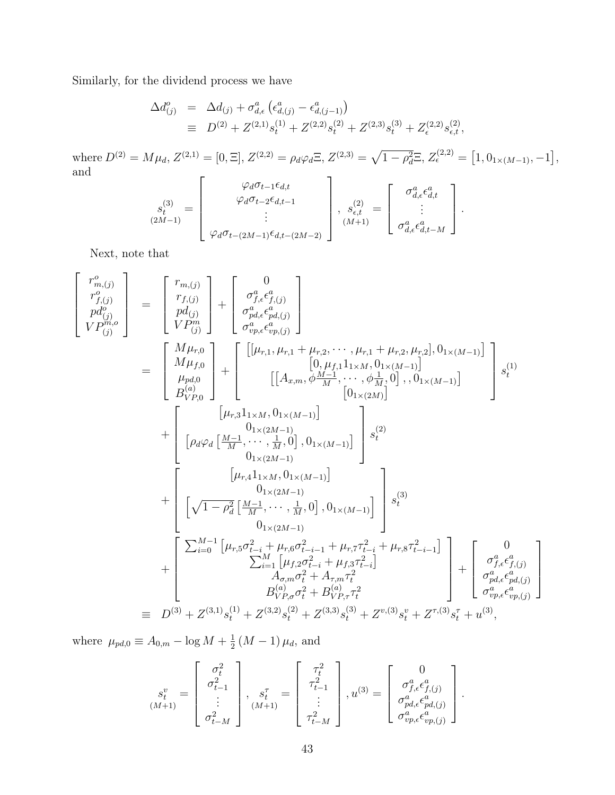Similarly, for the dividend process we have

$$
\Delta d_{(j)}^o = \Delta d_{(j)} + \sigma_{d,\epsilon}^a \left( \epsilon_{d,(j)}^a - \epsilon_{d,(j-1)}^a \right)
$$
  
\n
$$
\equiv D^{(2)} + Z^{(2,1)} s_t^{(1)} + Z^{(2,2)} s_t^{(2)} + Z^{(2,3)} s_t^{(3)} + Z_{\epsilon}^{(2,2)} s_{\epsilon,t}^{(2)},
$$

where  $D^{(2)} = M\mu_d$ ,  $Z^{(2,1)} = [0,\Xi], Z^{(2,2)} = \rho_d\varphi_d\Xi, Z^{(2,3)} = \sqrt{1-\rho_d^2}\Xi, Z^{(2,2)}_{\epsilon} = [1,0_{1\times(M-1)},-1],$ and  $\overline{\Gamma}$ 

$$
s_t^{(3)} = \begin{bmatrix} \varphi_d \sigma_{t-1} \epsilon_{d,t} \\ \varphi_d \sigma_{t-2} \epsilon_{d,t-1} \\ \vdots \\ \varphi_d \sigma_{t-(2M-1)} \epsilon_{d,t-(2M-2)} \end{bmatrix}, \ s_{\epsilon,t}^{(2)} = \begin{bmatrix} \sigma_{d,\epsilon}^a \epsilon_{d,t}^a \\ \vdots \\ \sigma_{d,\epsilon}^a \epsilon_{d,t-M}^a \end{bmatrix}.
$$

Next, note that

$$
\begin{bmatrix}\nr_{m,j}^o \\
r_{f,(j)}^o \\
p d_{(j)}^o \\
V P_{(j)}^m\n\end{bmatrix} = \begin{bmatrix}\nr_{m,j}^o \\
r_{f,(j)}^o \\
p d_{(j)}^o \\
V P_{(j)}^m\n\end{bmatrix} + \begin{bmatrix}\n0 \\
\sigma_{p,d,\epsilon}^a \epsilon_{p,d,j}^a \\
\sigma_{p,p,\epsilon}^a \epsilon_{p,p,j}^a\n\end{bmatrix}
$$
\n
$$
= \begin{bmatrix}\nM \mu_{r,0} \\
M \mu_{f,0} \\
M \mu_{f,0} \\
p d_{(2)} \\
p e^{(2)} \\
P \nu_{p,0}\n\end{bmatrix} + \begin{bmatrix}\n[\mu_{r,1}, \mu_{r,1} + \mu_{r,2}, \dots, \mu_{r,1} + \mu_{r,2}, \mu_{r,2}], 0_{1 \times (M-1)}] \\
[0, \mu_{f,1} 1_{1 \times M}, 0_{1 \times (M-1)}] \\
[0, \mu_{f,1} 1_{1 \times M}, 0_{1 \times (M-1)}] \\
[0, \mu_{f,1} 1_{1 \times M}, 0_{1 \times (M-1)}] \\
[0, \mu_{r,2} 1_{1 \times M}, 0_{1 \times (M-1)}] \\
[0, \mu_{r,3} 1_{1 \times M}, 0_{1 \times (M-1)}] \\
[0, \mu_{r,4} 1_{1 \times M}, 0_{1 \times (M-1)}] \\
[0, \mu_{r,2} 1_{1 \times M}, 0_{1 \times (M-1)}]\n\end{bmatrix} s_t^{(2)}
$$
\n
$$
+ \begin{bmatrix}\n[\mu_{r,3} 1_{1 \times M}, 0_{1 \times (M-1)}] \\
[\mu_{r,4} 1_{1 \times M}, 0_{1 \times (M-1)}] \\
[0, \mu_{r,2} 1_{1 \times M}, 0_{1 \times (M-1)}] \\
[0, \mu_{r,2} 1_{1 \times M}, 0_{1 \times (M-1)}]\n\end{bmatrix} s_t^{(3)}
$$
\n
$$
+ \begin{bmatrix}\n\frac{M - 1}{2} \mu_{r,1}^a \mu_{r,2}^a \epsilon_{f,(j)}^a \\
[0, \mu_{r,2} 1_{1 \times M}, 0_{1 \times (M-1)}] \\
[0, \mu_{
$$

where  $\mu_{pd,0} \equiv A_{0,m} - \log M + \frac{1}{2}$  $\frac{1}{2}$   $(M-1)\,\mu_d$ , and

$$
s_t^v = \begin{bmatrix} \sigma_t^2 \\ \sigma_{t-1}^2 \\ \vdots \\ \sigma_{t-M}^2 \end{bmatrix}, \quad s_t^\tau = \begin{bmatrix} \tau_t^2 \\ \tau_{t-1}^2 \\ \vdots \\ \tau_{t-M}^2 \end{bmatrix}, u^{(3)} = \begin{bmatrix} 0 \\ \sigma_{f,\epsilon}^a \epsilon_{f,(j)}^a \\ \sigma_{p,d,\epsilon}^a \epsilon_{p,d,(j)}^a \\ \sigma_{vp,\epsilon}^a \epsilon_{vp,(j)}^a \end{bmatrix}.
$$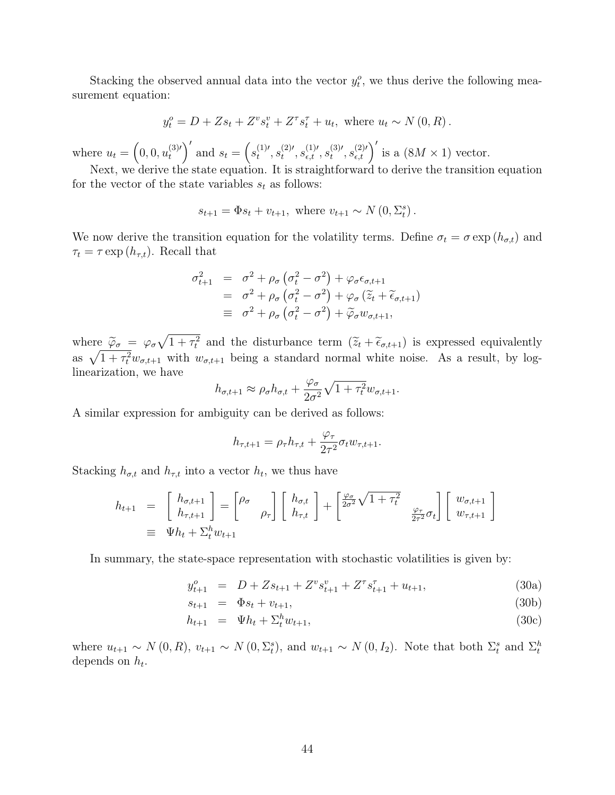Stacking the observed annual data into the vector  $y_t^o$ , we thus derive the following measurement equation:

$$
y_t^o = D + Zs_t + Z^v s_t^v + Z^{\tau} s_t^{\tau} + u_t
$$
, where  $u_t \sim N(0, R)$ .

where  $u_t = \left(0, 0, u_t^{(3)}\right)$  $t_t^{(3)'}$  and  $s_t = (s_t^{(1)'}$  $t^{(1)\prime}, s_t^{(2)\prime}$  $t^{(2)\prime},s_{\epsilon,t}^{(1)\prime},s_{t}^{(3)\prime}$  $t^{(3)'}$ ,  $s_{\epsilon,t}^{(2)'}$  is a  $(8M \times 1)$  vector.

Next, we derive the state equation. It is straightforward to derive the transition equation for the vector of the state variables  $s_t$  as follows:

$$
s_{t+1} = \Phi s_t + v_{t+1}
$$
, where  $v_{t+1} \sim N(0, \Sigma_t^s)$ .

We now derive the transition equation for the volatility terms. Define  $\sigma_t = \sigma \exp(h_{\sigma,t})$  and  $\tau_t = \tau \exp(h_{\tau,t})$ . Recall that

$$
\sigma_{t+1}^2 = \sigma^2 + \rho_\sigma \left(\sigma_t^2 - \sigma^2\right) + \varphi_\sigma \epsilon_{\sigma, t+1}
$$
  
\n
$$
= \sigma^2 + \rho_\sigma \left(\sigma_t^2 - \sigma^2\right) + \varphi_\sigma \left(\tilde{z}_t + \tilde{\epsilon}_{\sigma, t+1}\right)
$$
  
\n
$$
\equiv \sigma^2 + \rho_\sigma \left(\sigma_t^2 - \sigma^2\right) + \tilde{\varphi}_\sigma w_{\sigma, t+1},
$$

where  $\tilde{\varphi}_{\sigma} = \varphi_{\sigma} \sqrt{1 + \tau_t^2}$  and the disturbance term  $(\tilde{z}_t + \tilde{\epsilon}_{\sigma, t+1})$  is expressed equivalently as  $\sqrt{1 + \tau_t^2} w_{\sigma,t+1}$  with  $w_{\sigma,t+1}$  being a standard normal white noise. As a result, by loglinearization, we have

$$
h_{\sigma,t+1} \approx \rho_{\sigma} h_{\sigma,t} + \frac{\varphi_{\sigma}}{2\sigma^2} \sqrt{1 + \tau_t^2} w_{\sigma,t+1}.
$$

A similar expression for ambiguity can be derived as follows:

$$
h_{\tau,t+1} = \rho_\tau h_{\tau,t} + \frac{\varphi_\tau}{2\tau^2} \sigma_t w_{\tau,t+1}.
$$

Stacking  $h_{\sigma,t}$  and  $h_{\tau,t}$  into a vector  $h_t$ , we thus have

$$
h_{t+1} = \begin{bmatrix} h_{\sigma, t+1} \\ h_{\tau, t+1} \end{bmatrix} = \begin{bmatrix} \rho_{\sigma} \\ \rho_{\tau} \end{bmatrix} \begin{bmatrix} h_{\sigma, t} \\ h_{\tau, t} \end{bmatrix} + \begin{bmatrix} \frac{\varphi_{\sigma}}{2\sigma^2} \sqrt{1 + \tau_t^2} \\ \frac{\varphi_{\tau}}{2\tau^2} \sigma_t \end{bmatrix} \begin{bmatrix} w_{\sigma, t+1} \\ w_{\tau, t+1} \end{bmatrix}
$$
  
\n
$$
\equiv \Psi h_t + \Sigma_t^h w_{t+1}
$$

In summary, the state-space representation with stochastic volatilities is given by:

$$
y_{t+1}^o = D + Zs_{t+1} + Z^v s_{t+1}^v + Z^{\tau} s_{t+1}^{\tau} + u_{t+1},
$$
\n(30a)

$$
s_{t+1} = \Phi s_t + v_{t+1}, \tag{30b}
$$

$$
h_{t+1} = \Psi h_t + \Sigma_t^h w_{t+1}, \tag{30c}
$$

where  $u_{t+1} \sim N(0, R)$ ,  $v_{t+1} \sim N(0, \Sigma_t^s)$ , and  $w_{t+1} \sim N(0, I_2)$ . Note that both  $\Sigma_t^s$  and  $\Sigma_t^h$ depends on  $h_t$ .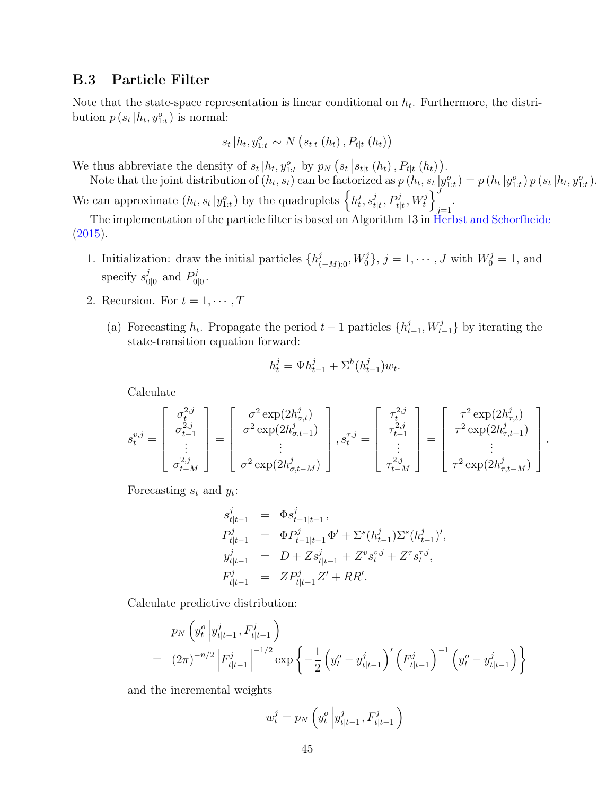### <span id="page-45-0"></span>B.3 Particle Filter

Note that the state-space representation is linear conditional on  $h_t$ . Furthermore, the distribution  $p(s_t | h_t, y_{1:t}^o)$  is normal:

$$
s_t | h_t, y_{1:t}^o \sim N(s_{t|t} (h_t), P_{t|t} (h_t))
$$

We thus abbreviate the density of  $s_t | h_t, y_{1:t}^o$  by  $p_N(s_t | s_{t|t} (h_t), P_{t|t} (h_t)).$ 

Note that the joint distribution of  $(h_t, s_t)$  can be factorized as  $p(h_t, s_t | y_{1:t}^o) = p(h_t | y_{1:t}^o) p(s_t | h_t, y_{1:t}^o)$ . We can approximate  $(h_t, s_t | y_{1:t}^o)$  by the quadruplets  $\left\{ h_t^j \right\}$  $_{t}^{j},s_{t}^{j}$  $\left\{ \frac{j}{t|t}, P_{t|t}^{j}, W_{t}^{j} \right\} \right\}^{J}$  $j=1$ 

The implementation of the particle filter is based on Algorithm 13 in [Herbst and Schorfheide](#page-28-6)  $(2015).$  $(2015).$ 

- 1. Initialization: draw the initial particles  $\{h_{(-M):0}^j, W_0^j\}$ ,  $j = 1, \dots, J$  with  $W_0^j = 1$ , and specify  $s_0^j$  $\frac{j}{0|0}$  and  $P_0^j$ ນ<br>0|0・
- 2. Recursion. For  $t = 1, \cdots, T$ 
	- (a) Forecasting  $h_t$ . Propagate the period  $t-1$  particles  $\{h_t^j\}$  $_{t-1}^{j}$ ,  $W_{t-1}^{j}$ } by iterating the state-transition equation forward:

$$
h_t^j = \Psi h_{t-1}^j + \Sigma^h (h_{t-1}^j) w_t.
$$

Calculate

$$
s_t^{v,j} = \begin{bmatrix} \sigma_t^{2,j} \\ \sigma_{t-1}^{2,j} \\ \vdots \\ \sigma_{t-M}^{2,j} \end{bmatrix} = \begin{bmatrix} \sigma^2 \exp(2h_{\sigma,t}^j) \\ \sigma^2 \exp(2h_{\sigma,t-1}^j) \\ \vdots \\ \sigma^2 \exp(2h_{\sigma,t-M}^j) \end{bmatrix}, s_t^{\tau,j} = \begin{bmatrix} \tau_t^{2,j} \\ \tau_{t-1}^{2,j} \\ \vdots \\ \tau_{t-M}^{2,j} \end{bmatrix} = \begin{bmatrix} \tau^2 \exp(2h_{\tau,t}^j) \\ \tau^2 \exp(2h_{\tau,t-1}^j) \\ \vdots \\ \tau^2 \exp(2h_{\tau,t-M}^j) \end{bmatrix}.
$$

Forecasting  $s_t$  and  $y_t$ :

$$
\begin{array}{rcl} s^j_{t|t-1} & = & \Phi s^j_{t-1|t-1}\,,\\ P^j_{t|t-1} & = & \Phi P^j_{t-1|t-1} \Phi' + \Sigma^s (h^j_{t-1}) \Sigma^s (h^j_{t-1})',\\ y^j_{t|t-1} & = & D + Z s^j_{t|t-1} + Z^v s^{v,j}_t + Z^\tau s^{r,j}_t,\\ F^j_{t|t-1} & = & Z P^j_{t|t-1} Z' + RR'. \end{array}
$$

Calculate predictive distribution:

$$
p_N\left(y_t^o \left| y_{t|t-1}^j, F_{t|t-1}^j\right) \right)
$$
  
=  $(2\pi)^{-n/2} \left| F_{t|t-1}^j \right|^{-1/2} \exp\left\{-\frac{1}{2} \left(y_t^o - y_{t|t-1}^j\right)' \left(F_{t|t-1}^j\right)^{-1} \left(y_t^o - y_{t|t-1}^j\right) \right\}$ 

and the incremental weights

$$
w_t^j = p_N\left(y_t^o \left| y_{t|t-1}^j, F_{t|t-1}^j\right)\right)
$$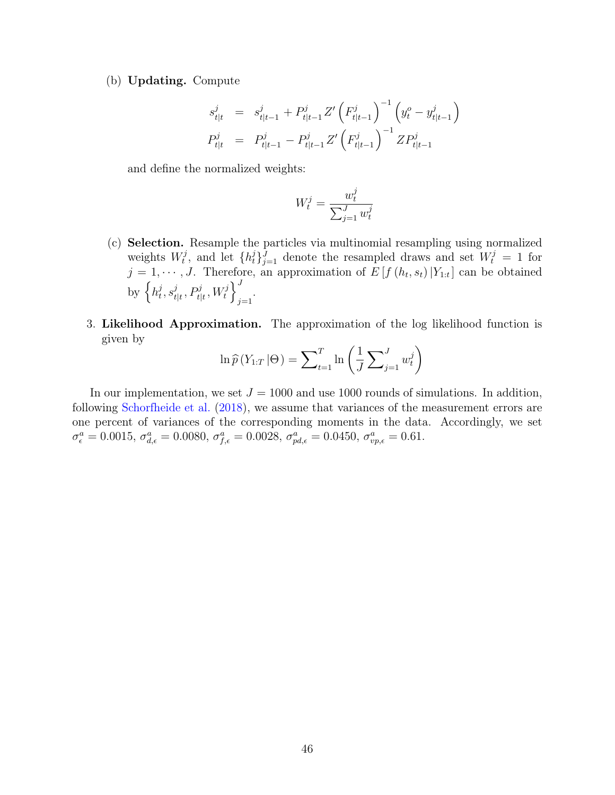(b) Updating. Compute

$$
s_{t|t}^j = s_{t|t-1}^j + P_{t|t-1}^j Z' \left( F_{t|t-1}^j \right)^{-1} \left( y_t^o - y_{t|t-1}^j \right)
$$
  

$$
P_{t|t}^j = P_{t|t-1}^j - P_{t|t-1}^j Z' \left( F_{t|t-1}^j \right)^{-1} Z P_{t|t-1}^j
$$

and define the normalized weights:

$$
W_t^j = \frac{w_t^j}{\sum_{j=1}^J w_t^j}
$$

- (c) Selection. Resample the particles via multinomial resampling using normalized weights  $W_t^j$  $(t_i^j, t_i^j)$  and let  $\{h_t^j\}_{j=1}^J$  denote the resampled draws and set  $W_t^j = 1$  for  $j = 1, \dots, J$ . Therefore, an approximation of  $E[f(h_t, s_t) | Y_{1:t}]$  can be obtained by  $\big\{ h_t^j$  $_{t}^{j},s_{t}^{j}$  $\left\{ \frac{j}{t|t}, P_{t|t}^j, W_t^j \right\}^J$  $j=1$
- 3. Likelihood Approximation. The approximation of the log likelihood function is given by

$$
\ln \widehat{p}(Y_{1:T} | \Theta) = \sum_{t=1}^{T} \ln \left( \frac{1}{J} \sum_{j=1}^{J} w_t^j \right)
$$

In our implementation, we set  $J = 1000$  and use 1000 rounds of simulations. In addition, following [Schorfheide et al.](#page-29-1) [\(2018\)](#page-29-1), we assume that variances of the measurement errors are one percent of variances of the corresponding moments in the data. Accordingly, we set  $\sigma_{\epsilon}^{a} = 0.0015, \sigma_{d,\epsilon}^{a} = 0.0080, \sigma_{f,\epsilon}^{a} = 0.0028, \sigma_{pd,\epsilon}^{a} = 0.0450, \sigma_{vp,\epsilon}^{a} = 0.61.$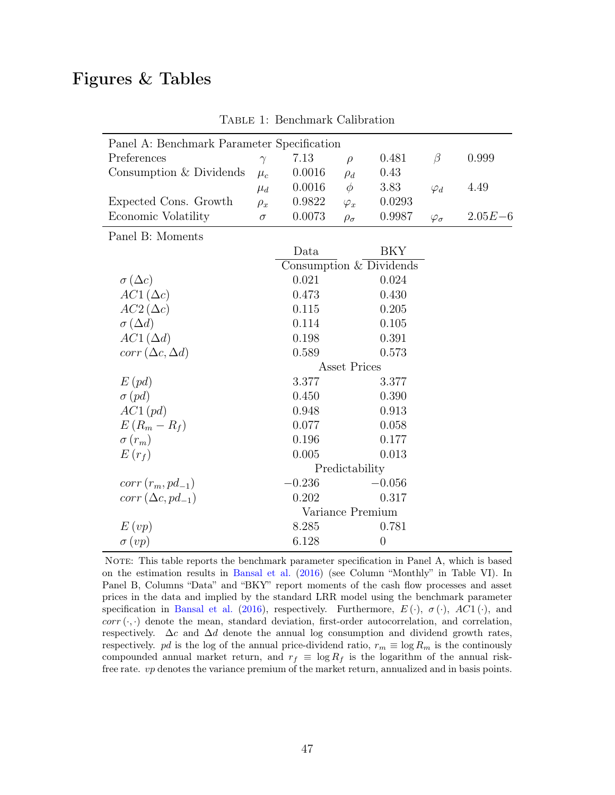# <span id="page-47-0"></span>Figures & Tables

-

| Panel A: Benchmark Parameter Specification |                     |          |                         |                |                    |             |
|--------------------------------------------|---------------------|----------|-------------------------|----------------|--------------------|-------------|
| Preferences                                | $\gamma$            | 7.13     | $\rho$                  | 0.481          | $\beta$            | 0.999       |
| Consumption & Dividends                    | $\mu_c$             | 0.0016   | $\rho_d$                | 0.43           |                    |             |
|                                            | $\mu_d$             | 0.0016   | $\phi$                  | 3.83           | $\varphi_d$        | 4.49        |
| Expected Cons. Growth                      | $\rho_x$            | 0.9822   | $\varphi_x$             | 0.0293         |                    |             |
| Economic Volatility                        | $\sigma$            | 0.0073   | $\rho_{\sigma}$         | 0.9987         | $\varphi_{\sigma}$ | $2.05E - 6$ |
| Panel B: Moments                           |                     |          |                         |                |                    |             |
|                                            |                     | Data     |                         | BKY            |                    |             |
|                                            |                     |          | Consumption & Dividends |                |                    |             |
| $\sigma(\Delta c)$                         |                     | 0.021    |                         | 0.024          |                    |             |
| $AC1(\Delta c)$                            |                     | 0.473    |                         | 0.430          |                    |             |
| $AC2(\Delta c)$                            |                     | 0.115    |                         | 0.205          |                    |             |
| $\sigma(\Delta d)$                         |                     | 0.114    |                         | 0.105          |                    |             |
| $AC1(\Delta d)$                            |                     | 0.198    |                         | 0.391          |                    |             |
| $corr(\Delta c, \Delta d)$                 |                     | 0.589    |                         | 0.573          |                    |             |
|                                            | <b>Asset Prices</b> |          |                         |                |                    |             |
| $E$ (pd)                                   |                     | 3.377    |                         | 3.377          |                    |             |
| $\sigma$ (pd)                              |                     | 0.450    |                         | 0.390          |                    |             |
| $AC1$ (pd)                                 |                     | 0.948    |                         | 0.913          |                    |             |
| $E(R_m - R_f)$                             |                     | 0.077    |                         | 0.058          |                    |             |
| $\sigma(r_m)$                              |                     | 0.196    |                         | 0.177          |                    |             |
| $E(r_f)$                                   |                     | 0.005    |                         | 0.013          |                    |             |
|                                            | Predictability      |          |                         |                |                    |             |
| $corr(r_m, pd_{-1})$                       |                     | $-0.236$ |                         | $-0.056$       |                    |             |
| $corr(\Delta c, pd_{-1})$                  |                     | 0.202    |                         | 0.317          |                    |             |
|                                            | Variance Premium    |          |                         |                |                    |             |
| E(vp)                                      |                     | 8.285    |                         | 0.781          |                    |             |
| $\sigma(vp)$                               |                     | 6.128    |                         | $\overline{0}$ |                    |             |

Table 1: Benchmark Calibration

NOTE: This table reports the benchmark parameter specification in Panel A, which is based on the estimation results in [Bansal et al.](#page-26-13) [\(2016\)](#page-26-13) (see Column "Monthly" in Table VI). In Panel B, Columns "Data" and "BKY" report moments of the cash flow processes and asset prices in the data and implied by the standard LRR model using the benchmark parameter specification in [Bansal et al.](#page-26-13) [\(2016\)](#page-26-13), respectively. Furthermore,  $E(\cdot)$ ,  $\sigma(\cdot)$ ,  $AC1(\cdot)$ , and  $corr(\cdot, \cdot)$  denote the mean, standard deviation, first-order autocorrelation, and correlation, respectively.  $\Delta c$  and  $\Delta d$  denote the annual log consumption and dividend growth rates, respectively. pd is the log of the annual price-dividend ratio,  $r_m \equiv \log R_m$  is the continously compounded annual market return, and  $r_f \equiv \log R_f$  is the logarithm of the annual riskfree rate. vp denotes the variance premium of the market return, annualized and in basis points.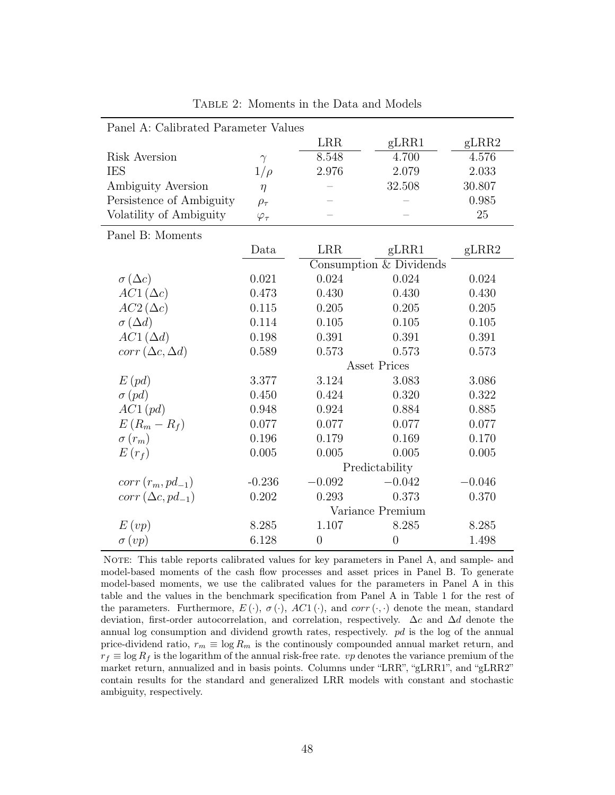<span id="page-48-0"></span>

| Panel A: Calibrated Parameter Values |                     |                |                         |          |  |  |
|--------------------------------------|---------------------|----------------|-------------------------|----------|--|--|
|                                      |                     | <b>LRR</b>     | gLRR1                   | gLRR2    |  |  |
| Risk Aversion                        | $\gamma$            | 8.548          | 4.700                   | 4.576    |  |  |
| <b>IES</b>                           | $1/\rho$            | 2.976          | 2.079                   | 2.033    |  |  |
| Ambiguity Aversion                   | $\eta$              |                | 32.508                  | 30.807   |  |  |
| Persistence of Ambiguity             | $\rho_{\tau}$       |                |                         | 0.985    |  |  |
| Volatility of Ambiguity              | $\varphi_{\tau}$    |                |                         | 25       |  |  |
| Panel B: Moments                     |                     |                |                         |          |  |  |
|                                      | Data                | <b>LRR</b>     | gLRR1                   | gLRR2    |  |  |
|                                      |                     |                | Consumption & Dividends |          |  |  |
| $\sigma (\Delta c)$                  | 0.021               | 0.024          | 0.024                   | 0.024    |  |  |
| $AC1(\Delta c)$                      | 0.473               | 0.430          | 0.430                   | 0.430    |  |  |
| $AC2(\Delta c)$                      | 0.115               | 0.205          | 0.205                   | 0.205    |  |  |
| $\sigma(\Delta d)$                   | 0.114               | 0.105          | 0.105                   | 0.105    |  |  |
| $AC1(\Delta d)$                      | 0.198               | 0.391          | 0.391                   | 0.391    |  |  |
| $corr(\Delta c, \Delta d)$           | 0.589               | 0.573          | 0.573                   | 0.573    |  |  |
|                                      | <b>Asset Prices</b> |                |                         |          |  |  |
| $E$ $(pd)$                           | 3.377               | 3.124          | 3.083                   | 3.086    |  |  |
| $\sigma$ (pd)                        | 0.450               | 0.424          | 0.320                   | 0.322    |  |  |
| $AC1$ (pd)                           | 0.948               | 0.924          | 0.884                   | 0.885    |  |  |
| $E(R_m - R_f)$                       | 0.077               | 0.077          | 0.077                   | 0.077    |  |  |
| $\sigma(r_m)$                        | 0.196               | 0.179          | 0.169                   | 0.170    |  |  |
| $E(r_f)$                             | 0.005               | 0.005          | 0.005                   | 0.005    |  |  |
|                                      |                     | Predictability |                         |          |  |  |
| $corr(r_m, pd_{-1})$                 | $-0.236$            | $-0.092$       | $-0.042$                | $-0.046$ |  |  |
| $corr(\Delta c, pd_{-1})$            | 0.202               | 0.293          | 0.373                   | 0.370    |  |  |
|                                      | Variance Premium    |                |                         |          |  |  |
| E(vp)                                | 8.285               | 1.107          | 8.285                   | 8.285    |  |  |
| $\sigma(vp)$                         | 6.128               | $\overline{0}$ | $\theta$                | 1.498    |  |  |

Table 2: Moments in the Data and Models

NOTE: This table reports calibrated values for key parameters in Panel A, and sample- and model-based moments of the cash flow processes and asset prices in Panel B. To generate model-based moments, we use the calibrated values for the parameters in Panel A in this table and the values in the benchmark specification from Panel A in Table 1 for the rest of the parameters. Furthermore,  $E(\cdot)$ ,  $\sigma(\cdot)$ ,  $AC1(\cdot)$ , and  $corr(\cdot)$  denote the mean, standard deviation, first-order autocorrelation, and correlation, respectively. ∆c and ∆d denote the annual log consumption and dividend growth rates, respectively. pd is the log of the annual price-dividend ratio,  $r_m \equiv \log R_m$  is the continuously compounded annual market return, and  $r_f \equiv \log R_f$  is the logarithm of the annual risk-free rate. vp denotes the variance premium of the market return, annualized and in basis points. Columns under "LRR", "gLRR1", and "gLRR2" contain results for the standard and generalized LRR models with constant and stochastic ambiguity, respectively.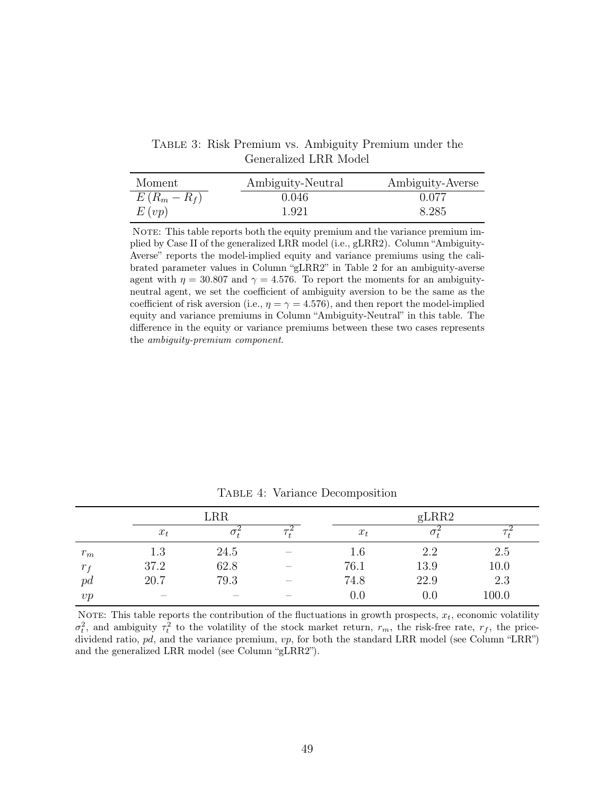Table 3: Risk Premium vs. Ambiguity Premium under the Generalized LRR Model

<span id="page-49-0"></span>

| Moment         | Ambiguity-Neutral | Ambiguity-Averse |
|----------------|-------------------|------------------|
| $E(R_m - R_f)$ | 0.046             | 0.077            |
| E(vp)          | 1.921             | 8.285            |

NOTE: This table reports both the equity premium and the variance premium implied by Case II of the generalized LRR model (i.e., gLRR2). Column "Ambiguity-Averse" reports the model-implied equity and variance premiums using the calibrated parameter values in Column "gLRR2" in Table 2 for an ambiguity-averse agent with  $\eta = 30.807$  and  $\gamma = 4.576$ . To report the moments for an ambiguityneutral agent, we set the coefficient of ambiguity aversion to be the same as the coefficient of risk aversion (i.e.,  $\eta = \gamma = 4.576$ ), and then report the model-implied equity and variance premiums in Column "Ambiguity-Neutral" in this table. The difference in the equity or variance premiums between these two cases represents the ambiguity-premium component.

<span id="page-49-1"></span>

|         |       | <b>LRR</b> |       | gLRR2 |       |
|---------|-------|------------|-------|-------|-------|
|         | $x_t$ |            | $x_t$ | U+    |       |
| $r_m$   | 1.3   | 24.5       | 1.6   | 2.2   | 2.5   |
| $r_{f}$ | 37.2  | 62.8       | 76.1  | 13.9  | 10.0  |
| pd      | 20.7  | 79.3       | 74.8  | 22.9  | 2.3   |
| vp      | $-$   |            | 0.0   | 0.0   | 100.0 |

TABLE 4: Variance Decomposition

NOTE: This table reports the contribution of the fluctuations in growth prospects,  $x_t$ , economic volatility  $\sigma_t^2$ , and ambiguity  $\tau_t^2$  to the volatility of the stock market return,  $r_m$ , the risk-free rate,  $r_f$ , the pricedividend ratio, pd, and the variance premium, vp, for both the standard LRR model (see Column "LRR") and the generalized LRR model (see Column "gLRR2").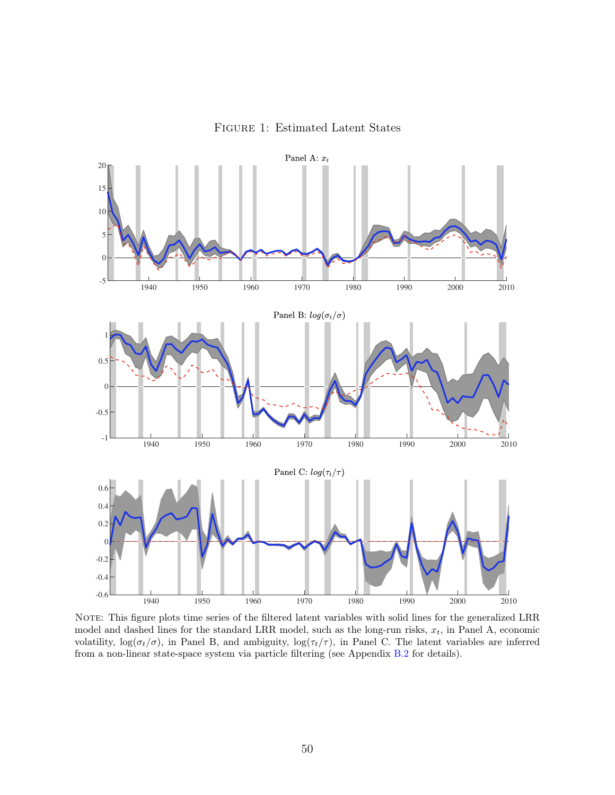

<span id="page-50-0"></span>

NOTE: This figure plots time series of the filtered latent variables with solid lines for the generalized LRR model and dashed lines for the standard LRR model, such as the long-run risks,  $x_t$ , in Panel A, economic volatility,  $\log(\sigma_t/\sigma)$ , in Panel B, and ambiguity,  $\log(\tau_t/\tau)$ , in Panel C. The latent variables are inferred from a non-linear state-space system via particle filtering (see Appendix [B.2](#page-41-0) for details).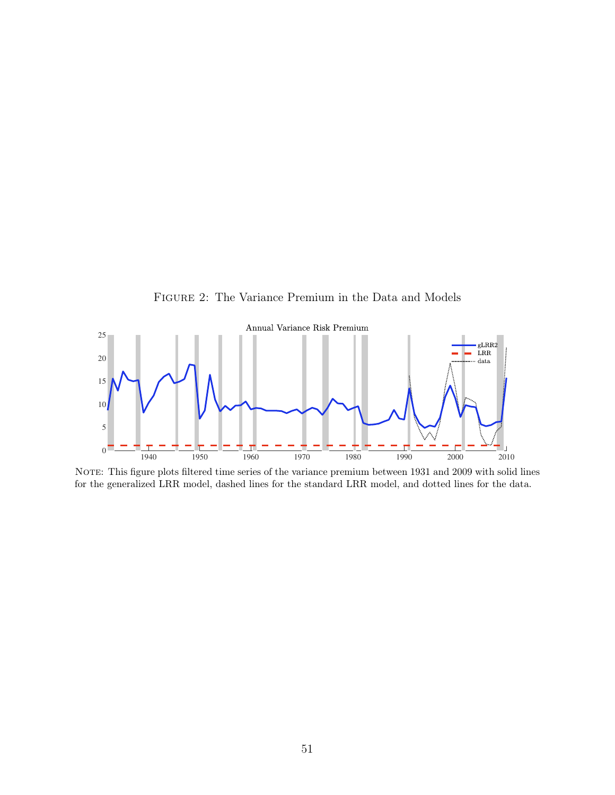Figure 2: The Variance Premium in the Data and Models

<span id="page-51-0"></span>

NOTE: This figure plots filtered time series of the variance premium between 1931 and 2009 with solid lines for the generalized LRR model, dashed lines for the standard LRR model, and dotted lines for the data.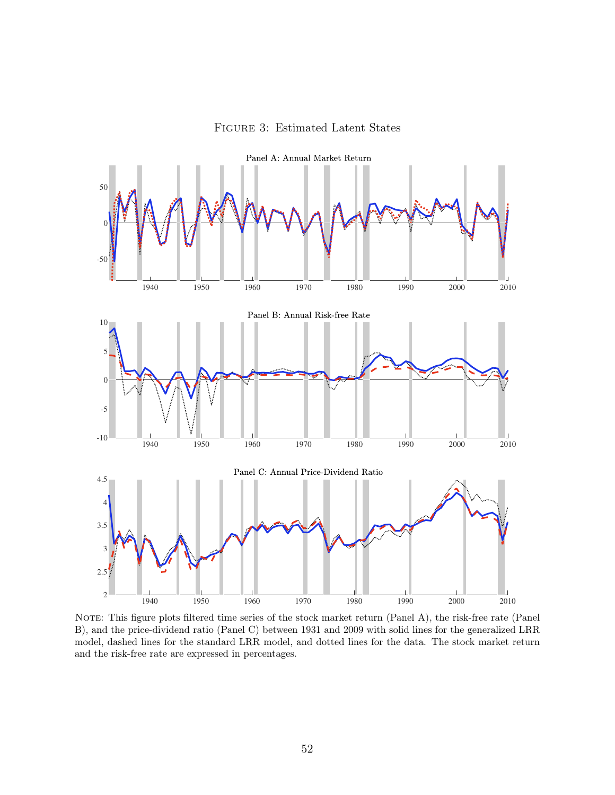

<span id="page-52-0"></span>

Panel A: Annual Market Return

NOTE: This figure plots filtered time series of the stock market return (Panel A), the risk-free rate (Panel B), and the price-dividend ratio (Panel C) between 1931 and 2009 with solid lines for the generalized LRR model, dashed lines for the standard LRR model, and dotted lines for the data. The stock market return and the risk-free rate are expressed in percentages.